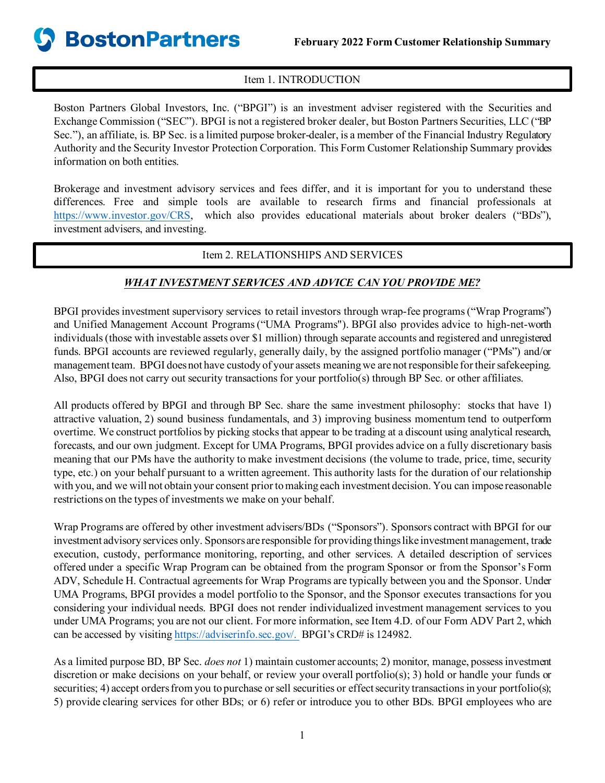### Item 1. INTRODUCTION

Boston Partners Global Investors, Inc. ("BPGI") is an investment adviser registered with the Securities and Exchange Commission ("SEC"). BPGI is not a registered broker dealer, but Boston Partners Securities, LLC ("BP Sec."), an affiliate, is. BP Sec. is a limited purpose broker-dealer, is a member of the Financial Industry Regulatory Authority and the Security Investor Protection Corporation. This Form Customer Relationship Summary provides information on both entities.

Brokerage and investment advisory services and fees differ, and it is important for you to understand these differences. Free and simple tools are available to research firms and financial professionals at <https://www.investor.gov/CRS>, which also provides educational materials about broker dealers ("BDs"), investment advisers, and investing.

### Item 2. RELATIONSHIPS AND SERVICES

### *WHAT INVESTMENT SERVICES AND ADVICE CAN YOU PROVIDE ME?*

BPGI provides investment supervisory services to retail investors through wrap-fee programs ("Wrap Programs") and Unified Management Account Programs("UMA Programs"). BPGI also provides advice to high-net-worth individuals (those with investable assets over \$1 million) through separate accounts and registered and unregistered funds. BPGI accounts are reviewed regularly, generally daily, by the assigned portfolio manager ("PMs") and/or management team. BPGI doesnot have custody of your assets meaning we are not responsible for their safekeeping. Also, BPGI does not carry out security transactions for your portfolio(s) through BP Sec. or other affiliates.

All products offered by BPGI and through BP Sec. share the same investment philosophy: stocks that have 1) attractive valuation, 2) sound business fundamentals, and 3) improving business momentum tend to outperform overtime. We construct portfolios by picking stocks that appear to be trading at a discount using analytical research, forecasts, and our own judgment. Except for UMA Programs, BPGI provides advice on a fully discretionary basis meaning that our PMs have the authority to make investment decisions (the volume to trade, price, time, security type, etc.) on your behalf pursuant to a written agreement. This authority lasts for the duration of our relationship with you, and we will not obtain your consent prior to making each investment decision. You can impose reasonable restrictions on the types of investments we make on your behalf.

Wrap Programs are offered by other investment advisers/BDs ("Sponsors"). Sponsors contract with BPGI for our investment advisory services only. Sponsors are responsible for providing things like investment management, trade execution, custody, performance monitoring, reporting, and other services. A detailed description of services offered under a specific Wrap Program can be obtained from the program Sponsor or from the Sponsor's Form ADV, Schedule H. Contractual agreements for Wrap Programs are typically between you and the Sponsor. Under UMA Programs, BPGI provides a model portfolio to the Sponsor, and the Sponsor executes transactions for you considering your individual needs. BPGI does not render individualized investment management services to you under UMA Programs; you are not our client. For more information, see Item 4.D. of our Form ADV Part 2, which can be accessed by visitin[g https://adviserinfo.sec.gov/](https://adviserinfo.sec.gov/). BPGI's CRD# is 124982.

As a limited purpose BD, BP Sec. *does not* 1) maintain customer accounts; 2) monitor, manage, possess investment discretion or make decisions on your behalf, or review your overall portfolio(s); 3) hold or handle your funds or securities; 4) accept orders from you to purchase or sell securities or effect security transactions in your portfolio(s); 5) provide clearing services for other BDs; or 6) refer or introduce you to other BDs. BPGI employees who are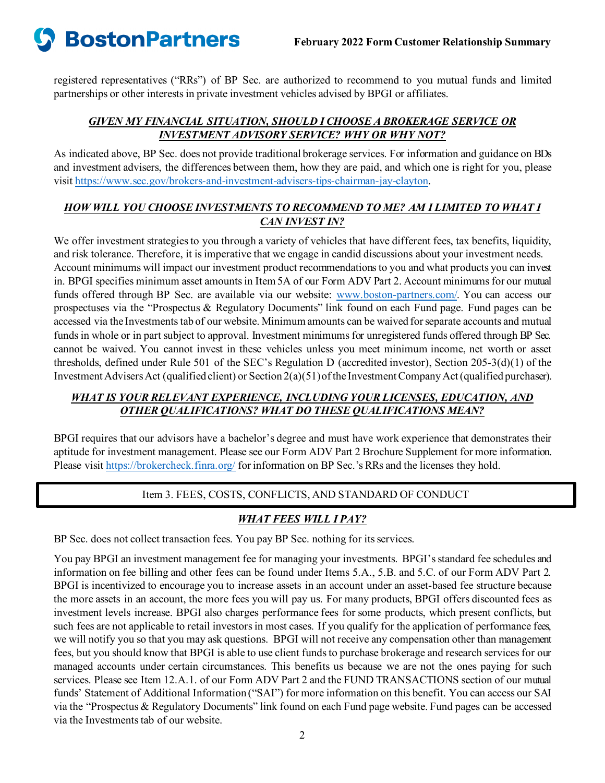

registered representatives ("RRs") of BP Sec. are authorized to recommend to you mutual funds and limited partnerships or other interests in private investment vehicles advised by BPGI or affiliates.

### *GIVEN MY FINANCIAL SITUATION, SHOULD I CHOOSE A BROKERAGE SERVICE OR INVESTMENT ADVISORY SERVICE? WHY OR WHY NOT?*

As indicated above, BP Sec. does not provide traditional brokerage services. For information and guidance on BDs and investment advisers, the differences between them, how they are paid, and which one is right for you, please visi[t https://www.sec.gov/brokers-and-investment-advisers-tips-chairman-jay-clayton](https://www.sec.gov/brokers-and-investment-advisers-tips-chairman-jay-clayton).

### *HOW WILL YOU CHOOSE INVESTMENTS TO RECOMMEND TO ME? AM I LIMITED TO WHAT I CAN INVEST IN?*

We offer investment strategies to you through a variety of vehicles that have different fees, tax benefits, liquidity, and risk tolerance. Therefore, it is imperative that we engage in candid discussions about your investment needs. Account minimums will impact our investment product recommendations to you and what products you can invest in. BPGI specifies minimum asset amounts in Item 5A of our Form ADV Part 2. Account minimums for our mutual funds offered through BP Sec. are available via our website: [www.boston-partners.com/](http://www.boston-partners.com/). You can access our prospectuses via the "Prospectus & Regulatory Documents" link found on each Fund page. Fund pages can be accessed via the Investments tab of our website. Minimum amounts can be waived for separate accounts and mutual funds in whole or in part subject to approval. Investment minimums for unregistered funds offered through BP Sec. cannot be waived. You cannot invest in these vehicles unless you meet minimum income, net worth or asset thresholds, defined under Rule 501 of the SEC's Regulation D (accredited investor), Section 205-3(d)(1) of the Investment Advisers Act (qualified client) or Section 2(a)(51) of the Investment Company Act(qualified purchaser).

### *WHAT IS YOUR RELEVANT EXPERIENCE, INCLUDING YOUR LICENSES, EDUCATION, AND OTHER QUALIFICATIONS? WHAT DO THESE QUALIFICATIONS MEAN?*

BPGI requires that our advisors have a bachelor's degree and must have work experience that demonstrates their aptitude for investment management. Please see our Form ADV Part 2 Brochure Supplement for more information. Please visi[t https://brokercheck.finra.org/](https://brokercheck.finra.org/) for information on BP Sec.'s RRs and the licenses they hold.

### Item 3. FEES, COSTS, CONFLICTS, AND STANDARD OF CONDUCT

### *WHAT FEES WILL I PAY?*

BP Sec. does not collect transaction fees. You pay BP Sec. nothing for its services.

You pay BPGI an investment management fee for managing your investments. BPGI's standard fee schedules and information on fee billing and other fees can be found under Items 5.A., 5.B. and 5.C. of our Form ADV Part 2. BPGI is incentivized to encourage you to increase assets in an account under an asset-based fee structure because the more assets in an account, the more fees you will pay us. For many products, BPGI offers discounted fees as investment levels increase. BPGI also charges performance fees for some products, which present conflicts, but such fees are not applicable to retail investors in most cases. If you qualify for the application of performance fees, we will notify you so that you may ask questions. BPGI will not receive any compensation other than management fees, but you should know that BPGI is able to use client funds to purchase brokerage and research services for our managed accounts under certain circumstances. This benefits us because we are not the ones paying for such services. Please see Item 12.A.1. of our Form ADV Part 2 and the FUND TRANSACTIONS section of our mutual funds' Statement of Additional Information ("SAI") for more information on this benefit. You can access our SAI via the "Prospectus & Regulatory Documents" link found on each Fund page website. Fund pages can be accessed via the Investments tab of our website.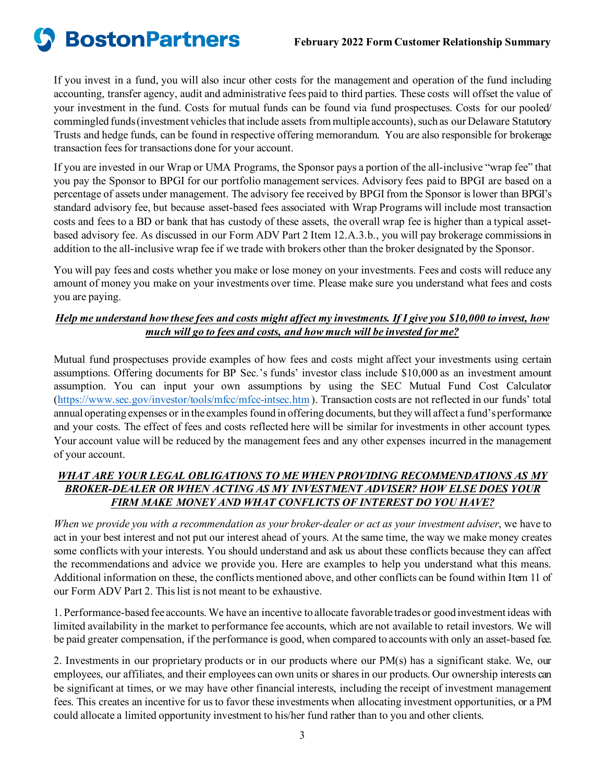# **S** BostonPartners

If you invest in a fund, you will also incur other costs for the management and operation of the fund including accounting, transfer agency, audit and administrative fees paid to third parties. These costs will offset the value of your investment in the fund. Costs for mutual funds can be found via fund prospectuses. Costs for our pooled/ commingled funds (investment vehicles that include assets from multiple accounts), such as our Delaware Statutory Trusts and hedge funds, can be found in respective offering memorandum. You are also responsible for brokerage transaction fees for transactions done for your account.

If you are invested in our Wrap or UMA Programs, the Sponsor pays a portion of the all-inclusive "wrap fee" that you pay the Sponsor to BPGI for our portfolio management services. Advisory fees paid to BPGI are based on a percentage of assets under management. The advisory fee received by BPGI from the Sponsor is lower than BPGI's standard advisory fee, but because asset-based fees associated with Wrap Programs will include most transaction costs and fees to a BD or bank that has custody of these assets, the overall wrap fee is higher than a typical assetbased advisory fee. As discussed in our Form ADV Part 2 Item 12.A.3.b., you will pay brokerage commissionsin addition to the all-inclusive wrap fee if we trade with brokers other than the broker designated by the Sponsor.

You will pay fees and costs whether you make or lose money on your investments. Fees and costs will reduce any amount of money you make on your investments over time. Please make sure you understand what fees and costs you are paying.

### *Help me understand how these fees and costs might affect my investments. If I give you \$10,000 to invest, how much will go to fees and costs, and how much will be invested for me?*

Mutual fund prospectuses provide examples of how fees and costs might affect your investments using certain assumptions. Offering documents for BP Sec.'s funds' investor class include \$10,000 as an investment amount assumption. You can input your own assumptions by using the SEC Mutual Fund Cost Calculator [\(https://www.sec.gov/investor/tools/mfcc/mfcc-intsec.htm](https://www.sec.gov/investor/tools/mfcc/mfcc-intsec.htm)). Transaction costs are not reflected in our funds' total annual operating expenses or in the examples found in offering documents, but they will affect a fund's performance and your costs. The effect of fees and costs reflected here will be similar for investments in other account types. Your account value will be reduced by the management fees and any other expenses incurred in the management of your account.

### *WHAT ARE YOUR LEGAL OBLIGATIONS TO ME WHEN PROVIDING RECOMMENDATIONS AS MY BROKER-DEALER OR WHEN ACTING AS MY INVESTMENT ADVISER? HOW ELSE DOES YOUR FIRM MAKE MONEY AND WHAT CONFLICTS OF INTEREST DO YOU HAVE?*

*When we provide you with a recommendation as your broker-dealer or act as your investment adviser*, we have to act in your best interest and not put our interest ahead of yours. At the same time, the way we make money creates some conflicts with your interests. You should understand and ask us about these conflicts because they can affect the recommendations and advice we provide you. Here are examples to help you understand what this means. Additional information on these, the conflicts mentioned above, and other conflicts can be found within Item 11 of our Form ADV Part 2. This list is not meant to be exhaustive.

1. Performance-based fee accounts. We have an incentive to allocate favorable trades or good investment ideas with limited availability in the market to performance fee accounts, which are not available to retail investors. We will be paid greater compensation, if the performance is good, when compared to accounts with only an asset-based fee.

2. Investments in our proprietary products or in our products where our PM(s) has a significant stake. We, our employees, our affiliates, and their employees can own units or shares in our products. Our ownership interests can be significant at times, or we may have other financial interests, including the receipt of investment management fees. This creates an incentive for us to favor these investments when allocating investment opportunities, or a PM could allocate a limited opportunity investment to his/her fund rather than to you and other clients.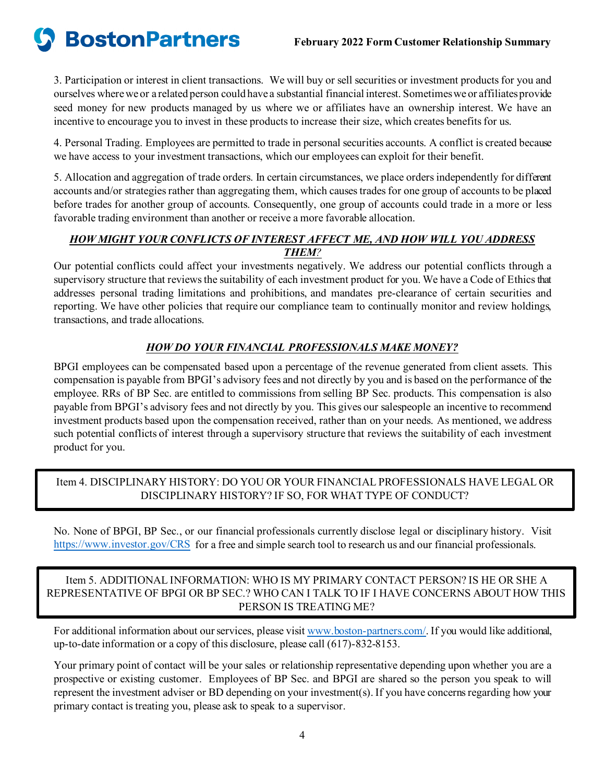**BostonPartners** 

3. Participation or interest in client transactions. We will buy or sell securities or investment products for you and ourselves wherewe or a related person could have a substantial financial interest. Sometimes we or affiliatesprovide seed money for new products managed by us where we or affiliates have an ownership interest. We have an incentive to encourage you to invest in these products to increase their size, which creates benefits for us.

4. Personal Trading. Employees are permitted to trade in personal securities accounts. A conflict is created because we have access to your investment transactions, which our employees can exploit for their benefit.

5. Allocation and aggregation of trade orders. In certain circumstances, we place orders independently for different accounts and/or strategies rather than aggregating them, which causes trades for one group of accounts to be placed before trades for another group of accounts. Consequently, one group of accounts could trade in a more or less favorable trading environment than another or receive a more favorable allocation.

### *HOW MIGHT YOUR CONFLICTS OF INTEREST AFFECT ME, AND HOW WILL YOU ADDRESS THEM?*

Our potential conflicts could affect your investments negatively. We address our potential conflicts through a supervisory structure that reviews the suitability of each investment product for you. We have a Code of Ethics that addresses personal trading limitations and prohibitions, and mandates pre-clearance of certain securities and reporting. We have other policies that require our compliance team to continually monitor and review holdings, transactions, and trade allocations.

### *HOW DO YOUR FINANCIAL PROFESSIONALS MAKE MONEY?*

BPGI employees can be compensated based upon a percentage of the revenue generated from client assets. This compensation is payable from BPGI's advisory fees and not directly by you and is based on the performance of the employee. RRs of BP Sec. are entitled to commissions from selling BP Sec. products. This compensation is also payable from BPGI's advisory fees and not directly by you. This gives our salespeople an incentive to recommend investment products based upon the compensation received, rather than on your needs. As mentioned, we address such potential conflicts of interest through a supervisory structure that reviews the suitability of each investment product for you.

### Item 4. DISCIPLINARY HISTORY: DO YOU OR YOUR FINANCIAL PROFESSIONALS HAVE LEGAL OR DISCIPLINARY HISTORY? IF SO, FOR WHAT TYPE OF CONDUCT?

No. None of BPGI, BP Sec., or our financial professionals currently disclose legal or disciplinary history. Visit <https://www.investor.gov/CRS> for a free and simple search tool to research us and our financial professionals.

### Item 5. ADDITIONAL INFORMATION: WHO IS MY PRIMARY CONTACT PERSON? IS HE OR SHE A REPRESENTATIVE OF BPGI OR BP SEC.? WHO CAN I TALK TO IF I HAVE CONCERNS ABOUT HOW THIS PERSON IS TREATING ME?

For additional information about our services, please visi[t www.boston-partners.com/](http://www.boston-partners.com/). If you would like additional, up-to-date information or a copy of this disclosure, please call (617)-832-8153.

Your primary point of contact will be your sales or relationship representative depending upon whether you are a prospective or existing customer. Employees of BP Sec. and BPGI are shared so the person you speak to will represent the investment adviser or BD depending on your investment(s). If you have concerns regarding how your primary contact is treating you, please ask to speak to a supervisor.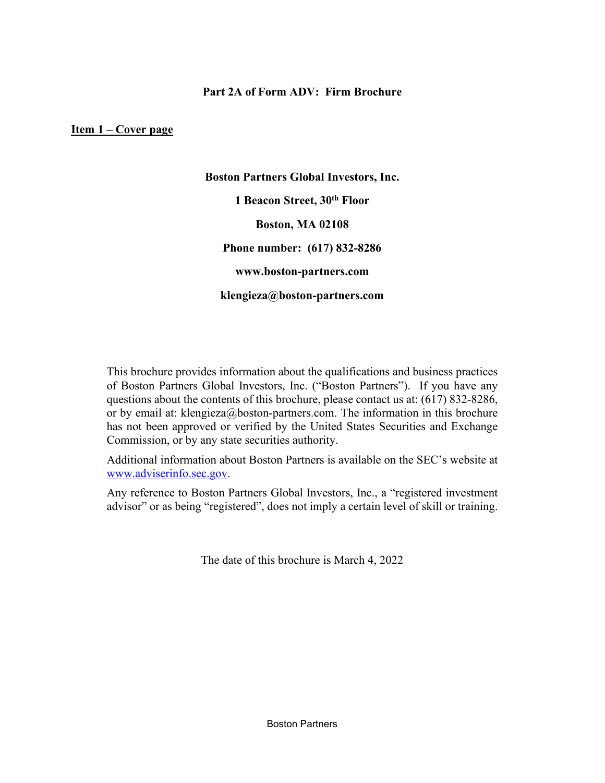### **Part 2A of Form ADV: Firm Brochure**

<span id="page-4-0"></span>**Item 1 – Cover page**

**Boston Partners Global Investors, Inc. 1 Beacon Street, 30th Floor Boston, MA 02108 Phone number: (617) 832-8286 www.boston-partners.com klengieza@boston-partners.com**

This brochure provides information about the qualifications and business practices of Boston Partners Global Investors, Inc. ("Boston Partners"). If you have any questions about the contents of this brochure, please contact us at: (617) 832-8286, or by email at: klengieza@boston-partners.com. The information in this brochure has not been approved or verified by the United States Securities and Exchange Commission, or by any state securities authority.

Additional information about Boston Partners is available on the SEC's website at [www.adviserinfo.sec.gov](http://www.adviserinfo.sec.gov/).

Any reference to Boston Partners Global Investors, Inc., a "registered investment advisor" or as being "registered", does not imply a certain level of skill or training.

The date of this brochure is March 4, 2022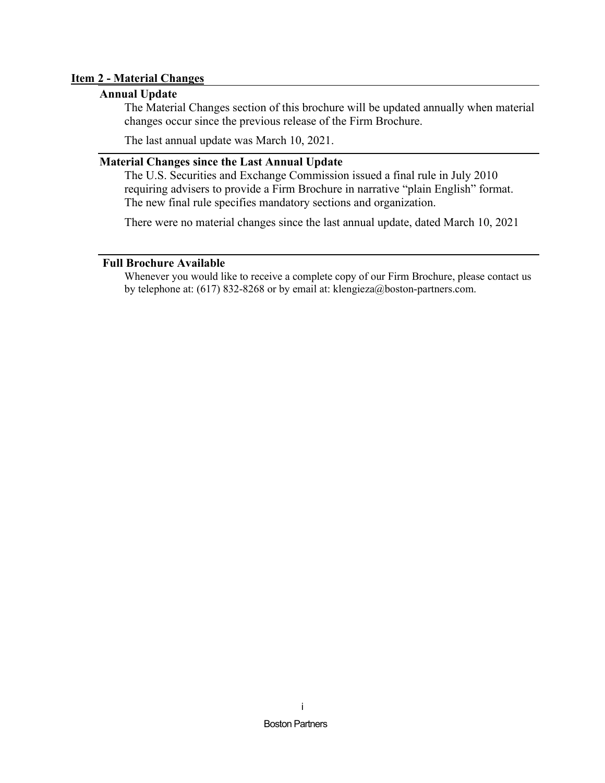### <span id="page-5-1"></span><span id="page-5-0"></span>**Item 2 - Material Changes**

### **Annual Update**

The Material Changes section of this brochure will be updated annually when material changes occur since the previous release of the Firm Brochure.

The last annual update was March 10, 2021.

### <span id="page-5-2"></span>**Material Changes since the Last Annual Update**

The U.S. Securities and Exchange Commission issued a final rule in July 2010 requiring advisers to provide a Firm Brochure in narrative "plain English" format. The new final rule specifies mandatory sections and organization.

There were no material changes since the last annual update, dated March 10, 2021

### <span id="page-5-3"></span>**Full Brochure Available**

Whenever you would like to receive a complete copy of our Firm Brochure, please contact us by telephone at: (617) 832-8268 or by email at: klengieza@boston-partners.com.

i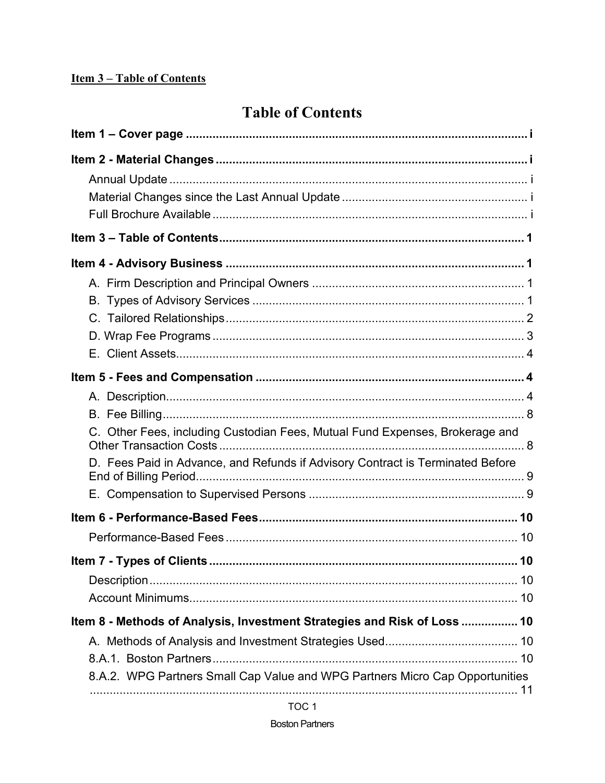### <span id="page-6-0"></span>**Item 3-Table of Contents**

## **Table of Contents**

| C. Other Fees, including Custodian Fees, Mutual Fund Expenses, Brokerage and   |
|--------------------------------------------------------------------------------|
| D. Fees Paid in Advance, and Refunds if Advisory Contract is Terminated Before |
|                                                                                |
|                                                                                |
|                                                                                |
| Item 8 - Methods of Analysis, Investment Strategies and Risk of Loss  10       |
| 8.A.2. WPG Partners Small Cap Value and WPG Partners Micro Cap Opportunities   |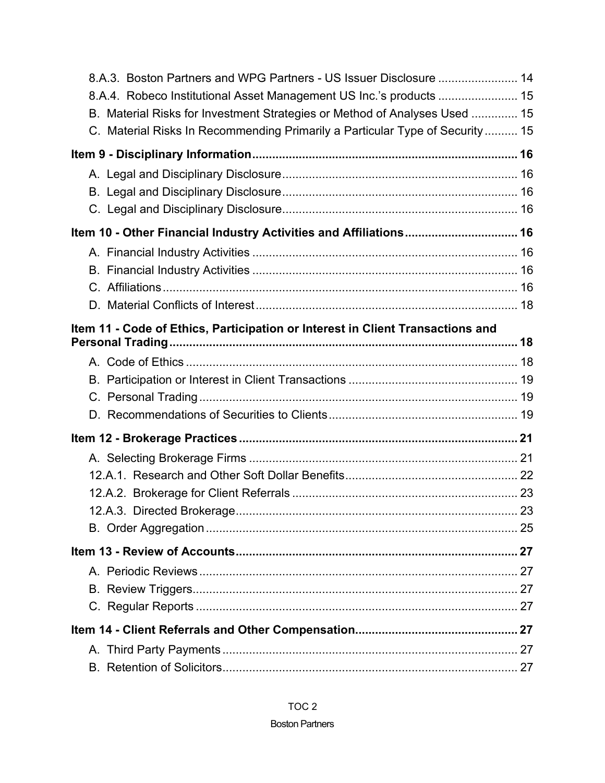| 8.A.3. Boston Partners and WPG Partners - US Issuer Disclosure  14             |    |
|--------------------------------------------------------------------------------|----|
| 8.A.4. Robeco Institutional Asset Management US Inc.'s products  15            |    |
| B. Material Risks for Investment Strategies or Method of Analyses Used  15     |    |
| C. Material Risks In Recommending Primarily a Particular Type of Security 15   |    |
|                                                                                |    |
|                                                                                |    |
|                                                                                |    |
|                                                                                |    |
| Item 10 - Other Financial Industry Activities and Affiliations 16              |    |
|                                                                                |    |
|                                                                                |    |
|                                                                                |    |
|                                                                                |    |
| Item 11 - Code of Ethics, Participation or Interest in Client Transactions and |    |
|                                                                                |    |
|                                                                                |    |
|                                                                                |    |
|                                                                                |    |
|                                                                                |    |
|                                                                                |    |
|                                                                                |    |
|                                                                                |    |
|                                                                                |    |
| 12.A.3. Directed Brokerage                                                     | 23 |
|                                                                                |    |
|                                                                                |    |
|                                                                                |    |
|                                                                                |    |
|                                                                                |    |
|                                                                                |    |
|                                                                                |    |
|                                                                                |    |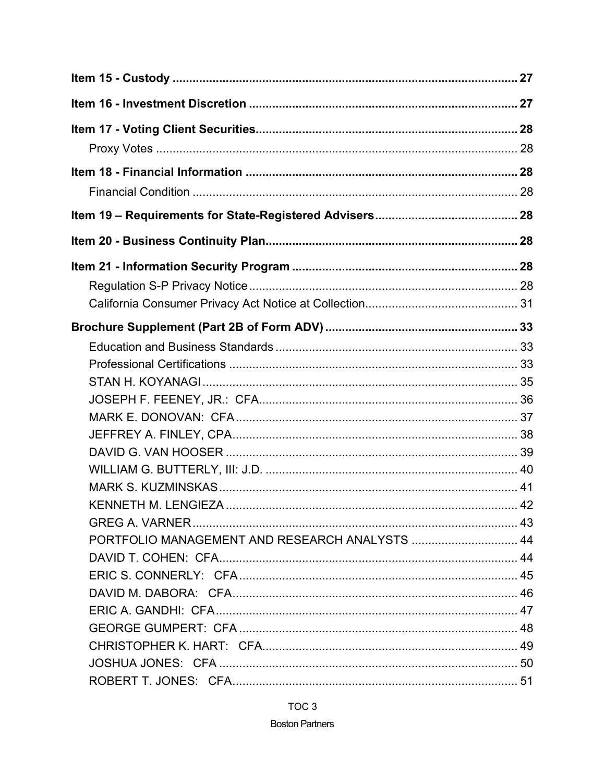| PORTFOLIO MANAGEMENT AND RESEARCH ANALYSTS  44 |  |
|------------------------------------------------|--|
|                                                |  |
|                                                |  |
|                                                |  |
|                                                |  |
|                                                |  |
|                                                |  |
|                                                |  |
|                                                |  |

### TOC<sub>3</sub>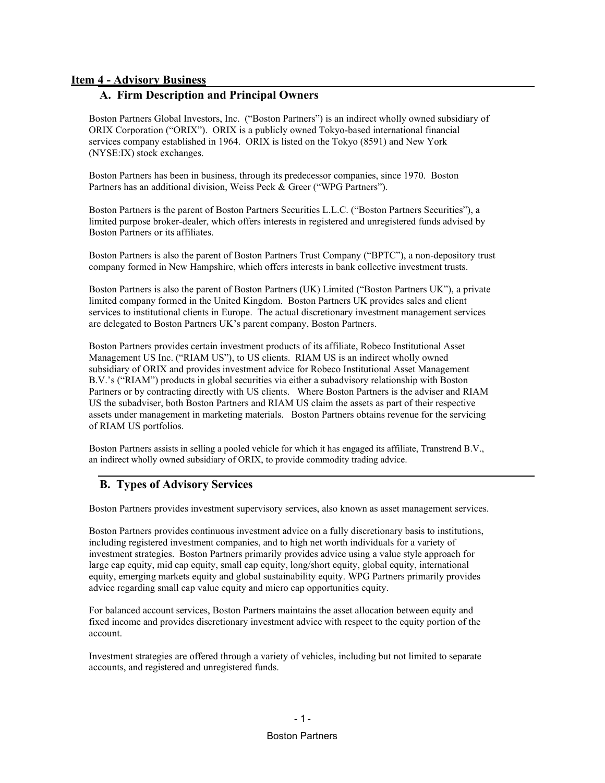#### <span id="page-10-1"></span><span id="page-10-0"></span>**Item 4 - Advisory Business**

### **A. Firm Description and Principal Owners**

Boston Partners Global Investors, Inc. ("Boston Partners") is an indirect wholly owned subsidiary of ORIX Corporation ("ORIX"). ORIX is a publicly owned Tokyo-based international financial services company established in 1964. ORIX is listed on the Tokyo (8591) and New York (NYSE:IX) stock exchanges.

Boston Partners has been in business, through its predecessor companies, since 1970. Boston Partners has an additional division, Weiss Peck & Greer ("WPG Partners").

Boston Partners is the parent of Boston Partners Securities L.L.C. ("Boston Partners Securities"), a limited purpose broker-dealer, which offers interests in registered and unregistered funds advised by Boston Partners or its affiliates.

Boston Partners is also the parent of Boston Partners Trust Company ("BPTC"), a non-depository trust company formed in New Hampshire, which offers interests in bank collective investment trusts.

Boston Partners is also the parent of Boston Partners (UK) Limited ("Boston Partners UK"), a private limited company formed in the United Kingdom. Boston Partners UK provides sales and client services to institutional clients in Europe. The actual discretionary investment management services are delegated to Boston Partners UK's parent company, Boston Partners.

Boston Partners provides certain investment products of its affiliate, Robeco Institutional Asset Management US Inc. ("RIAM US"), to US clients. RIAM US is an indirect wholly owned subsidiary of ORIX and provides investment advice for Robeco Institutional Asset Management B.V.'s ("RIAM") products in global securities via either a subadvisory relationship with Boston Partners or by contracting directly with US clients. Where Boston Partners is the adviser and RIAM US the subadviser, both Boston Partners and RIAM US claim the assets as part of their respective assets under management in marketing materials. Boston Partners obtains revenue for the servicing of RIAM US portfolios.

Boston Partners assists in selling a pooled vehicle for which it has engaged its affiliate, Transtrend B.V., an indirect wholly owned subsidiary of ORIX, to provide commodity trading advice.

### <span id="page-10-2"></span>**B. Types of Advisory Services**

Boston Partners provides investment supervisory services, also known as asset management services.

Boston Partners provides continuous investment advice on a fully discretionary basis to institutions, including registered investment companies, and to high net worth individuals for a variety of investment strategies. Boston Partners primarily provides advice using a value style approach for large cap equity, mid cap equity, small cap equity, long/short equity, global equity, international equity, emerging markets equity and global sustainability equity. WPG Partners primarily provides advice regarding small cap value equity and micro cap opportunities equity.

For balanced account services, Boston Partners maintains the asset allocation between equity and fixed income and provides discretionary investment advice with respect to the equity portion of the account.

Investment strategies are offered through a variety of vehicles, including but not limited to separate accounts, and registered and unregistered funds.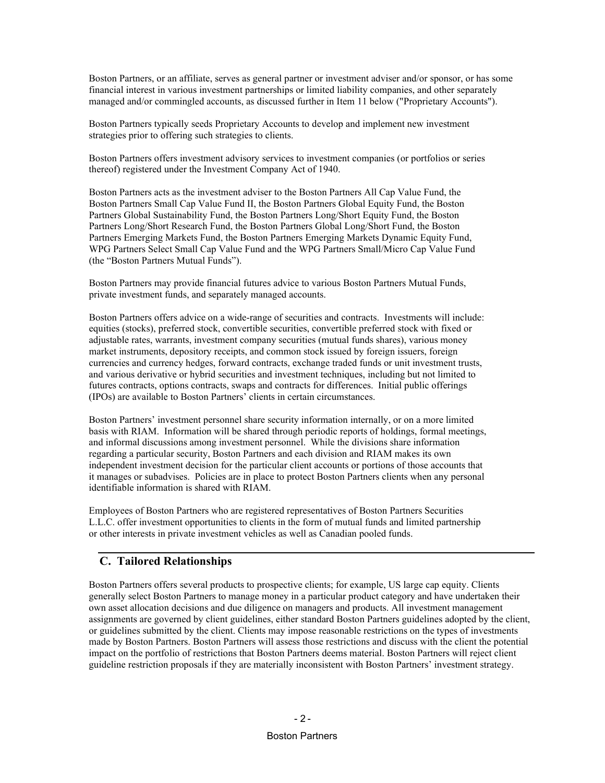Boston Partners, or an affiliate, serves as general partner or investment adviser and/or sponsor, or has some financial interest in various investment partnerships or limited liability companies, and other separately managed and/or commingled accounts, as discussed further in Item 11 below ("Proprietary Accounts").

Boston Partners typically seeds Proprietary Accounts to develop and implement new investment strategies prior to offering such strategies to clients.

Boston Partners offers investment advisory services to investment companies (or portfolios or series thereof) registered under the Investment Company Act of 1940.

Boston Partners acts as the investment adviser to the Boston Partners All Cap Value Fund, the Boston Partners Small Cap Value Fund II, the Boston Partners Global Equity Fund, the Boston Partners Global Sustainability Fund, the Boston Partners Long/Short Equity Fund, the Boston Partners Long/Short Research Fund, the Boston Partners Global Long/Short Fund, the Boston Partners Emerging Markets Fund, the Boston Partners Emerging Markets Dynamic Equity Fund, WPG Partners Select Small Cap Value Fund and the WPG Partners Small/Micro Cap Value Fund (the "Boston Partners Mutual Funds").

Boston Partners may provide financial futures advice to various Boston Partners Mutual Funds, private investment funds, and separately managed accounts.

Boston Partners offers advice on a wide-range of securities and contracts. Investments will include: equities (stocks), preferred stock, convertible securities, convertible preferred stock with fixed or adjustable rates, warrants, investment company securities (mutual funds shares), various money market instruments, depository receipts, and common stock issued by foreign issuers, foreign currencies and currency hedges, forward contracts, exchange traded funds or unit investment trusts, and various derivative or hybrid securities and investment techniques, including but not limited to futures contracts, options contracts, swaps and contracts for differences. Initial public offerings (IPOs) are available to Boston Partners' clients in certain circumstances.

Boston Partners' investment personnel share security information internally, or on a more limited basis with RIAM. Information will be shared through periodic reports of holdings, formal meetings, and informal discussions among investment personnel. While the divisions share information regarding a particular security, Boston Partners and each division and RIAM makes its own independent investment decision for the particular client accounts or portions of those accounts that it manages or subadvises. Policies are in place to protect Boston Partners clients when any personal identifiable information is shared with RIAM.

Employees of Boston Partners who are registered representatives of Boston Partners Securities L.L.C. offer investment opportunities to clients in the form of mutual funds and limited partnership or other interests in private investment vehicles as well as Canadian pooled funds.

### <span id="page-11-0"></span>**C. Tailored Relationships**

Boston Partners offers several products to prospective clients; for example, US large cap equity. Clients generally select Boston Partners to manage money in a particular product category and have undertaken their own asset allocation decisions and due diligence on managers and products. All investment management assignments are governed by client guidelines, either standard Boston Partners guidelines adopted by the client, or guidelines submitted by the client. Clients may impose reasonable restrictions on the types of investments made by Boston Partners. Boston Partners will assess those restrictions and discuss with the client the potential impact on the portfolio of restrictions that Boston Partners deems material. Boston Partners will reject client guideline restriction proposals if they are materially inconsistent with Boston Partners' investment strategy.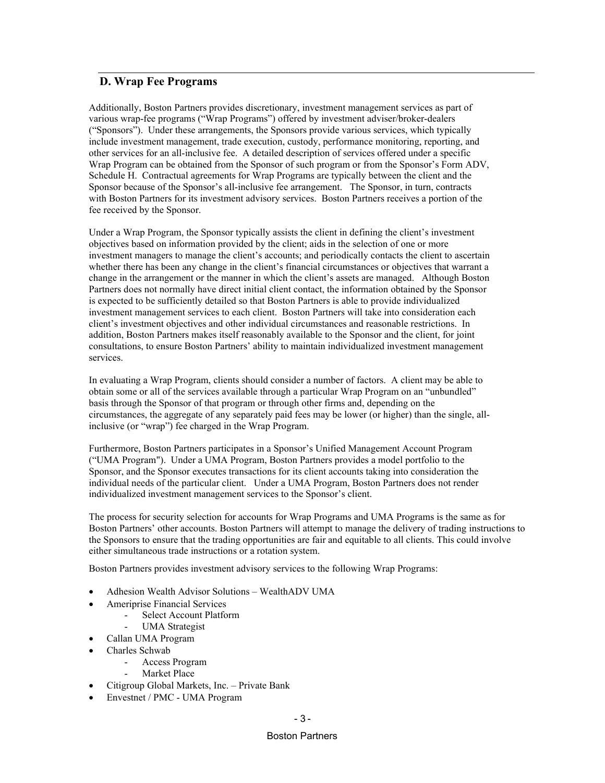### <span id="page-12-0"></span>**D. Wrap Fee Programs**

Additionally, Boston Partners provides discretionary, investment management services as part of various wrap-fee programs ("Wrap Programs") offered by investment adviser/broker-dealers ("Sponsors"). Under these arrangements, the Sponsors provide various services, which typically include investment management, trade execution, custody, performance monitoring, reporting, and other services for an all-inclusive fee. A detailed description of services offered under a specific Wrap Program can be obtained from the Sponsor of such program or from the Sponsor's Form ADV, Schedule H. Contractual agreements for Wrap Programs are typically between the client and the Sponsor because of the Sponsor's all-inclusive fee arrangement. The Sponsor, in turn, contracts with Boston Partners for its investment advisory services. Boston Partners receives a portion of the fee received by the Sponsor.

Under a Wrap Program, the Sponsor typically assists the client in defining the client's investment objectives based on information provided by the client; aids in the selection of one or more investment managers to manage the client's accounts; and periodically contacts the client to ascertain whether there has been any change in the client's financial circumstances or objectives that warrant a change in the arrangement or the manner in which the client's assets are managed. Although Boston Partners does not normally have direct initial client contact, the information obtained by the Sponsor is expected to be sufficiently detailed so that Boston Partners is able to provide individualized investment management services to each client. Boston Partners will take into consideration each client's investment objectives and other individual circumstances and reasonable restrictions. In addition, Boston Partners makes itself reasonably available to the Sponsor and the client, for joint consultations, to ensure Boston Partners' ability to maintain individualized investment management services.

In evaluating a Wrap Program, clients should consider a number of factors. A client may be able to obtain some or all of the services available through a particular Wrap Program on an "unbundled" basis through the Sponsor of that program or through other firms and, depending on the circumstances, the aggregate of any separately paid fees may be lower (or higher) than the single, allinclusive (or "wrap") fee charged in the Wrap Program.

Furthermore, Boston Partners participates in a Sponsor's Unified Management Account Program ("UMA Program"). Under a UMA Program, Boston Partners provides a model portfolio to the Sponsor, and the Sponsor executes transactions for its client accounts taking into consideration the individual needs of the particular client. Under a UMA Program, Boston Partners does not render individualized investment management services to the Sponsor's client.

The process for security selection for accounts for Wrap Programs and UMA Programs is the same as for Boston Partners' other accounts. Boston Partners will attempt to manage the delivery of trading instructions to the Sponsors to ensure that the trading opportunities are fair and equitable to all clients. This could involve either simultaneous trade instructions or a rotation system.

Boston Partners provides investment advisory services to the following Wrap Programs:

- Adhesion Wealth Advisor Solutions WealthADV UMA
- Ameriprise Financial Services
	- Select Account Platform
		- UMA Strategist
- Callan UMA Program
- Charles Schwab
	- Access Program
	- Market Place
- Citigroup Global Markets, Inc. Private Bank
- Envestnet / PMC UMA Program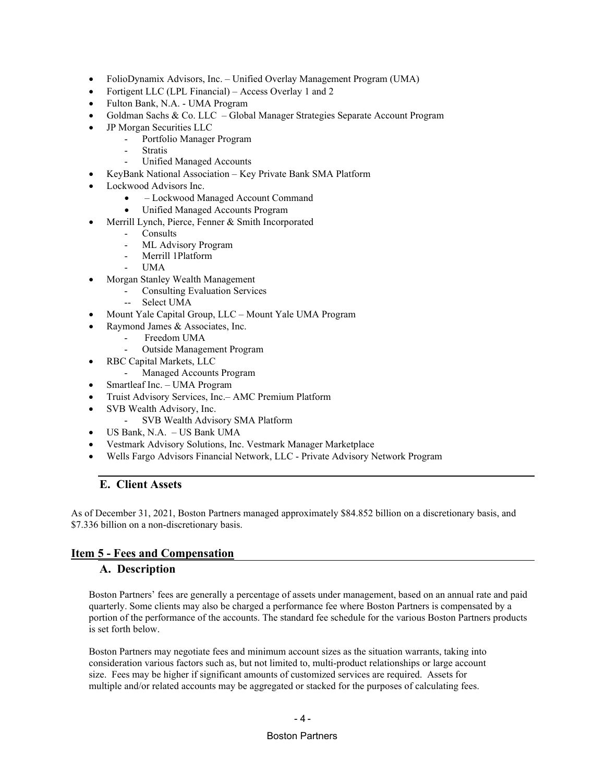- FolioDynamix Advisors, Inc. Unified Overlay Management Program (UMA)
- Fortigent LLC (LPL Financial) Access Overlay 1 and 2
- Fulton Bank, N.A. UMA Program
- Goldman Sachs & Co. LLC Global Manager Strategies Separate Account Program
- JP Morgan Securities LLC
	- Portfolio Manager Program
	- **Stratis**
	- Unified Managed Accounts
- KeyBank National Association Key Private Bank SMA Platform
- Lockwood Advisors Inc.
	- – Lockwood Managed Account Command
	- Unified Managed Accounts Program
	- Merrill Lynch, Pierce, Fenner & Smith Incorporated
		- **Consults**
		- ML Advisory Program
		- Merrill 1Platform
		- UMA
- Morgan Stanley Wealth Management
	- Consulting Evaluation Services
	- -- Select UMA
- Mount Yale Capital Group, LLC Mount Yale UMA Program
	- Raymond James & Associates, Inc.
		- Freedom UMA
		- Outside Management Program
- RBC Capital Markets, LLC
	- Managed Accounts Program
- Smartleaf Inc. UMA Program
- Truist Advisory Services, Inc.– AMC Premium Platform
- SVB Wealth Advisory, Inc.
	- SVB Wealth Advisory SMA Platform
- US Bank, N.A. US Bank UMA
- Vestmark Advisory Solutions, Inc. Vestmark Manager Marketplace
- Wells Fargo Advisors Financial Network, LLC Private Advisory Network Program

### <span id="page-13-0"></span>**E. Client Assets**

As of December 31, 2021, Boston Partners managed approximately \$84.852 billion on a discretionary basis, and \$7.336 billion on a non-discretionary basis.

### <span id="page-13-2"></span><span id="page-13-1"></span>**Item 5 - Fees and Compensation**

#### **A. Description**

Boston Partners' fees are generally a percentage of assets under management, based on an annual rate and paid quarterly. Some clients may also be charged a performance fee where Boston Partners is compensated by a portion of the performance of the accounts. The standard fee schedule for the various Boston Partners products is set forth below.

Boston Partners may negotiate fees and minimum account sizes as the situation warrants, taking into consideration various factors such as, but not limited to, multi-product relationships or large account size. Fees may be higher if significant amounts of customized services are required. Assets for multiple and/or related accounts may be aggregated or stacked for the purposes of calculating fees.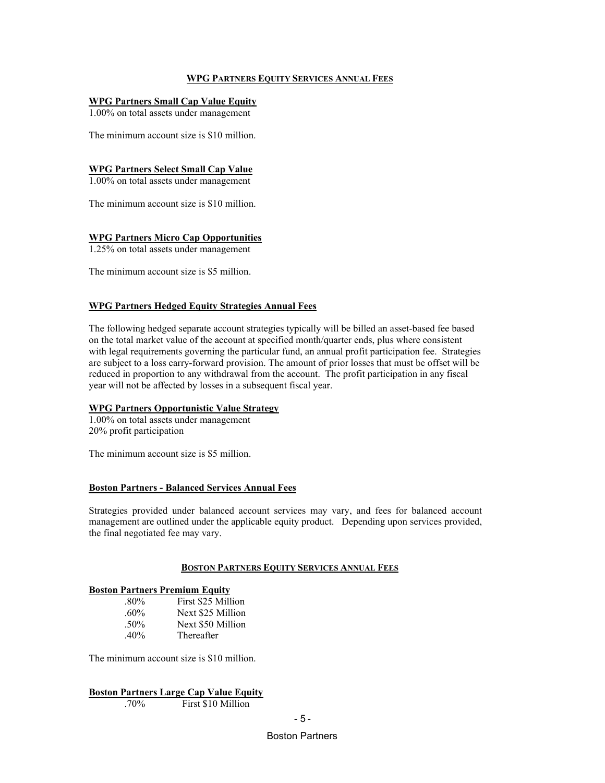#### **WPG PARTNERS EQUITY SERVICES ANNUAL FEES**

#### **WPG Partners Small Cap Value Equity**

1.00% on total assets under management

The minimum account size is \$10 million.

#### **WPG Partners Select Small Cap Value**

1.00% on total assets under management

The minimum account size is \$10 million.

#### **WPG Partners Micro Cap Opportunities**

1.25% on total assets under management

The minimum account size is \$5 million.

#### **WPG Partners Hedged Equity Strategies Annual Fees**

The following hedged separate account strategies typically will be billed an asset-based fee based on the total market value of the account at specified month/quarter ends, plus where consistent with legal requirements governing the particular fund, an annual profit participation fee. Strategies are subject to a loss carry-forward provision. The amount of prior losses that must be offset will be reduced in proportion to any withdrawal from the account. The profit participation in any fiscal year will not be affected by losses in a subsequent fiscal year.

#### **WPG Partners Opportunistic Value Strategy**

1.00% on total assets under management 20% profit participation

The minimum account size is \$5 million.

#### **Boston Partners - Balanced Services Annual Fees**

Strategies provided under balanced account services may vary, and fees for balanced account management are outlined under the applicable equity product. Depending upon services provided, the final negotiated fee may vary.

#### **BOSTON PARTNERS EQUITY SERVICES ANNUAL FEES**

#### **Boston Partners Premium Equity**

| $.80\%$ | First \$25 Million |
|---------|--------------------|
| $.60\%$ | Next \$25 Million  |
| $.50\%$ | Next \$50 Million  |
| $.40\%$ | Thereafter         |

The minimum account size is \$10 million.

**Boston Partners Large Cap Value Equity**<br>70% First \$10 Million

First \$10 Million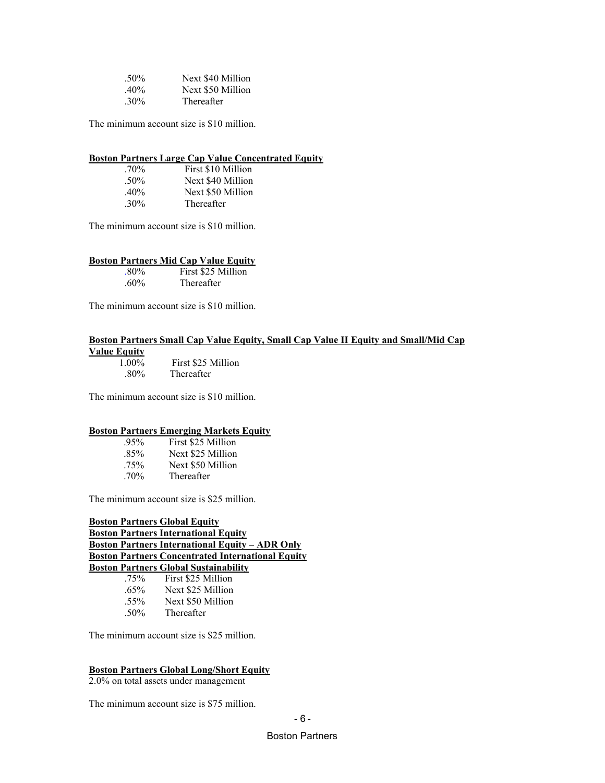| $.50\%$ | Next \$40 Million |
|---------|-------------------|
| $.40\%$ | Next \$50 Million |
| $.30\%$ | Thereafter        |

The minimum account size is \$10 million.

#### **Boston Partners Large Cap Value Concentrated Equity**

| $.70\%$ | First \$10 Million |
|---------|--------------------|
| $.50\%$ | Next \$40 Million  |
| $.40\%$ | Next \$50 Million  |
| $.30\%$ | Thereafter         |

The minimum account size is \$10 million.

#### **Boston Partners Mid Cap Value Equity**

| $.80\%$        | First \$25 Million |
|----------------|--------------------|
| $\epsilon$ 00/ | $T1.$ $\Delta$     |

.60% Thereafter

The minimum account size is \$10 million.

### **Boston Partners Small Cap Value Equity, Small Cap Value II Equity and Small/Mid Cap**

**Value Equity**

 1.00% First \$25 Million .80% Thereafter

The minimum account size is \$10 million.

#### **Boston Partners Emerging Markets Equity**

| $.95\%$ | First \$25 Million |
|---------|--------------------|
| $.85\%$ | Next \$25 Million  |
| $.75\%$ | Next \$50 Million  |
| $.70\%$ | Thereafter         |

The minimum account size is \$25 million.

#### **Boston Partners Global Equity Boston Partners International Equity Boston Partners International Equity – ADR Only Boston Partners Concentrated International Equity Boston Partners Global Sustainability** .75% First \$25 Million

| $.65\%$ | Next \$25 Million |
|---------|-------------------|
| .55%    | Next \$50 Million |
| .50%    | Thereafter        |

The minimum account size is \$25 million.

#### **Boston Partners Global Long/Short Equity**

2.0% on total assets under management

The minimum account size is \$75 million.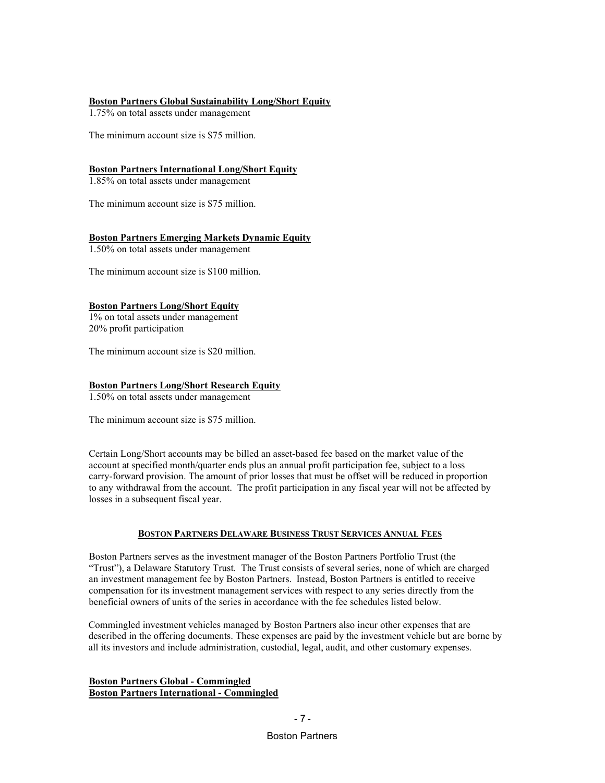#### **Boston Partners Global Sustainability Long/Short Equity**

1.75% on total assets under management

The minimum account size is \$75 million.

#### **Boston Partners International Long/Short Equity**

1.85% on total assets under management

The minimum account size is \$75 million.

#### **Boston Partners Emerging Markets Dynamic Equity**

1.50% on total assets under management

The minimum account size is \$100 million.

#### **Boston Partners Long/Short Equity**

1% on total assets under management 20% profit participation

The minimum account size is \$20 million.

#### **Boston Partners Long/Short Research Equity**

1.50% on total assets under management

The minimum account size is \$75 million.

Certain Long/Short accounts may be billed an asset-based fee based on the market value of the account at specified month/quarter ends plus an annual profit participation fee, subject to a loss carry-forward provision. The amount of prior losses that must be offset will be reduced in proportion to any withdrawal from the account. The profit participation in any fiscal year will not be affected by losses in a subsequent fiscal year.

#### **BOSTON PARTNERS DELAWARE BUSINESS TRUST SERVICES ANNUAL FEES**

Boston Partners serves as the investment manager of the Boston Partners Portfolio Trust (the "Trust"), a Delaware Statutory Trust. The Trust consists of several series, none of which are charged an investment management fee by Boston Partners. Instead, Boston Partners is entitled to receive compensation for its investment management services with respect to any series directly from the beneficial owners of units of the series in accordance with the fee schedules listed below.

Commingled investment vehicles managed by Boston Partners also incur other expenses that are described in the offering documents. These expenses are paid by the investment vehicle but are borne by all its investors and include administration, custodial, legal, audit, and other customary expenses.

**Boston Partners Global - Commingled Boston Partners International - Commingled**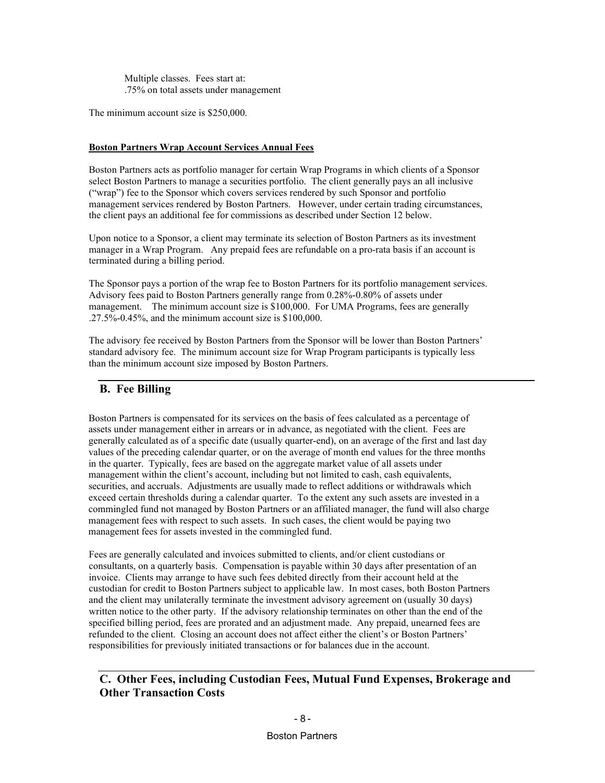Multiple classes. Fees start at: .75% on total assets under management

The minimum account size is \$250,000.

#### **Boston Partners Wrap Account Services Annual Fees**

Boston Partners acts as portfolio manager for certain Wrap Programs in which clients of a Sponsor select Boston Partners to manage a securities portfolio. The client generally pays an all inclusive ("wrap") fee to the Sponsor which covers services rendered by such Sponsor and portfolio management services rendered by Boston Partners. However, under certain trading circumstances, the client pays an additional fee for commissions as described under Section 12 below.

Upon notice to a Sponsor, a client may terminate its selection of Boston Partners as its investment manager in a Wrap Program. Any prepaid fees are refundable on a pro-rata basis if an account is terminated during a billing period.

The Sponsor pays a portion of the wrap fee to Boston Partners for its portfolio management services. Advisory fees paid to Boston Partners generally range from 0.28%-0.80% of assets under management. The minimum account size is \$100,000. For UMA Programs, fees are generally .27.5%-0.45%, and the minimum account size is \$100,000.

The advisory fee received by Boston Partners from the Sponsor will be lower than Boston Partners' standard advisory fee. The minimum account size for Wrap Program participants is typically less than the minimum account size imposed by Boston Partners.

### <span id="page-17-0"></span>**B. Fee Billing**

Boston Partners is compensated for its services on the basis of fees calculated as a percentage of assets under management either in arrears or in advance, as negotiated with the client. Fees are generally calculated as of a specific date (usually quarter-end), on an average of the first and last day values of the preceding calendar quarter, or on the average of month end values for the three months in the quarter. Typically, fees are based on the aggregate market value of all assets under management within the client's account, including but not limited to cash, cash equivalents, securities, and accruals. Adjustments are usually made to reflect additions or withdrawals which exceed certain thresholds during a calendar quarter. To the extent any such assets are invested in a commingled fund not managed by Boston Partners or an affiliated manager, the fund will also charge management fees with respect to such assets. In such cases, the client would be paying two management fees for assets invested in the commingled fund.

Fees are generally calculated and invoices submitted to clients, and/or client custodians or consultants, on a quarterly basis. Compensation is payable within 30 days after presentation of an invoice. Clients may arrange to have such fees debited directly from their account held at the custodian for credit to Boston Partners subject to applicable law. In most cases, both Boston Partners and the client may unilaterally terminate the investment advisory agreement on (usually 30 days) written notice to the other party. If the advisory relationship terminates on other than the end of the specified billing period, fees are prorated and an adjustment made. Any prepaid, unearned fees are refunded to the client. Closing an account does not affect either the client's or Boston Partners' responsibilities for previously initiated transactions or for balances due in the account.

### <span id="page-17-1"></span>**C. Other Fees, including Custodian Fees, Mutual Fund Expenses, Brokerage and Other Transaction Costs**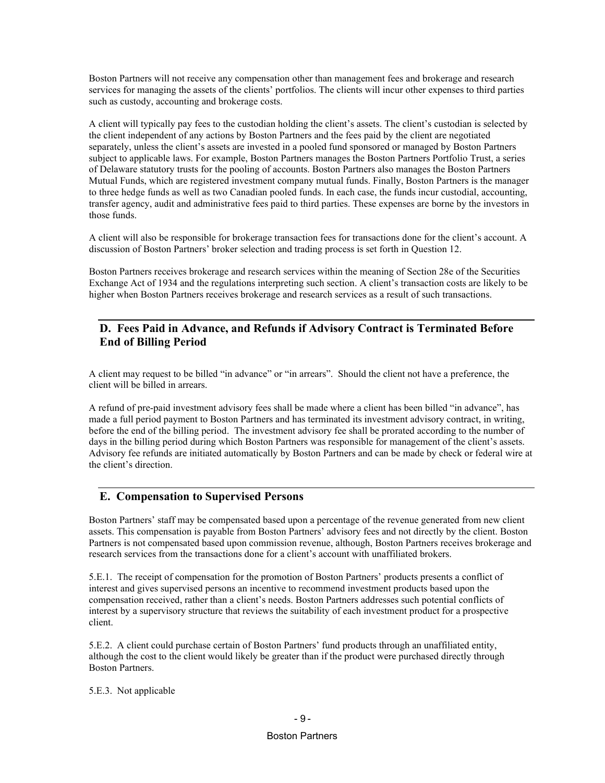Boston Partners will not receive any compensation other than management fees and brokerage and research services for managing the assets of the clients' portfolios. The clients will incur other expenses to third parties such as custody, accounting and brokerage costs.

A client will typically pay fees to the custodian holding the client's assets. The client's custodian is selected by the client independent of any actions by Boston Partners and the fees paid by the client are negotiated separately, unless the client's assets are invested in a pooled fund sponsored or managed by Boston Partners subject to applicable laws. For example, Boston Partners manages the Boston Partners Portfolio Trust, a series of Delaware statutory trusts for the pooling of accounts. Boston Partners also manages the Boston Partners Mutual Funds, which are registered investment company mutual funds. Finally, Boston Partners is the manager to three hedge funds as well as two Canadian pooled funds. In each case, the funds incur custodial, accounting, transfer agency, audit and administrative fees paid to third parties. These expenses are borne by the investors in those funds.

A client will also be responsible for brokerage transaction fees for transactions done for the client's account. A discussion of Boston Partners' broker selection and trading process is set forth in Question 12.

Boston Partners receives brokerage and research services within the meaning of Section 28e of the Securities Exchange Act of 1934 and the regulations interpreting such section. A client's transaction costs are likely to be higher when Boston Partners receives brokerage and research services as a result of such transactions.

### <span id="page-18-0"></span>**D. Fees Paid in Advance, and Refunds if Advisory Contract is Terminated Before End of Billing Period**

A client may request to be billed "in advance" or "in arrears". Should the client not have a preference, the client will be billed in arrears.

A refund of pre-paid investment advisory fees shall be made where a client has been billed "in advance", has made a full period payment to Boston Partners and has terminated its investment advisory contract, in writing, before the end of the billing period. The investment advisory fee shall be prorated according to the number of days in the billing period during which Boston Partners was responsible for management of the client's assets. Advisory fee refunds are initiated automatically by Boston Partners and can be made by check or federal wire at the client's direction.

#### <span id="page-18-1"></span>**E. Compensation to Supervised Persons**

Boston Partners' staff may be compensated based upon a percentage of the revenue generated from new client assets. This compensation is payable from Boston Partners' advisory fees and not directly by the client. Boston Partners is not compensated based upon commission revenue, although, Boston Partners receives brokerage and research services from the transactions done for a client's account with unaffiliated brokers.

5.E.1. The receipt of compensation for the promotion of Boston Partners' products presents a conflict of interest and gives supervised persons an incentive to recommend investment products based upon the compensation received, rather than a client's needs. Boston Partners addresses such potential conflicts of interest by a supervisory structure that reviews the suitability of each investment product for a prospective client.

5.E.2. A client could purchase certain of Boston Partners' fund products through an unaffiliated entity, although the cost to the client would likely be greater than if the product were purchased directly through Boston Partners.

#### 5.E.3. Not applicable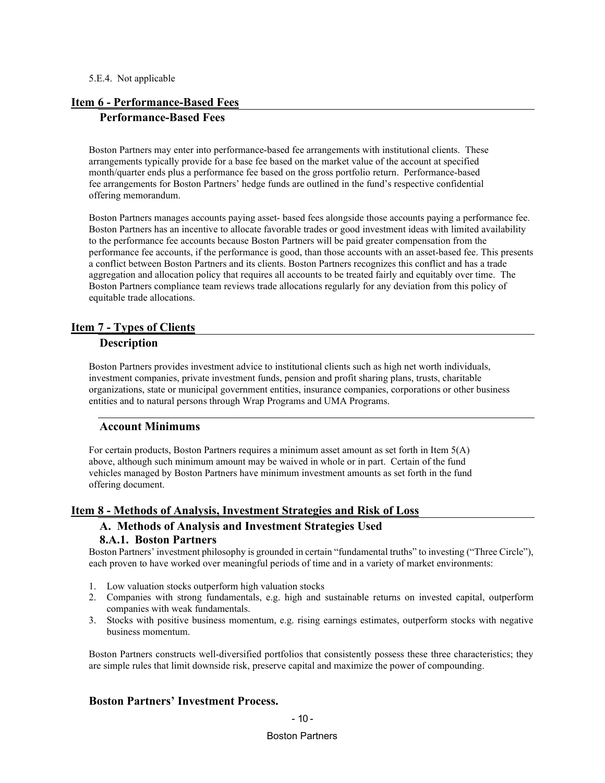#### 5.E.4. Not applicable

#### <span id="page-19-1"></span><span id="page-19-0"></span>**Item 6 - Performance-Based Fees**

#### **Performance-Based Fees**

Boston Partners may enter into performance-based fee arrangements with institutional clients. These arrangements typically provide for a base fee based on the market value of the account at specified month/quarter ends plus a performance fee based on the gross portfolio return. Performance-based fee arrangements for Boston Partners' hedge funds are outlined in the fund's respective confidential offering memorandum.

Boston Partners manages accounts paying asset- based fees alongside those accounts paying a performance fee. Boston Partners has an incentive to allocate favorable trades or good investment ideas with limited availability to the performance fee accounts because Boston Partners will be paid greater compensation from the performance fee accounts, if the performance is good, than those accounts with an asset-based fee. This presents a conflict between Boston Partners and its clients. Boston Partners recognizes this conflict and has a trade aggregation and allocation policy that requires all accounts to be treated fairly and equitably over time. The Boston Partners compliance team reviews trade allocations regularly for any deviation from this policy of equitable trade allocations.

#### <span id="page-19-3"></span><span id="page-19-2"></span>**Item 7 - Types of Clients**

#### **Description**

Boston Partners provides investment advice to institutional clients such as high net worth individuals, investment companies, private investment funds, pension and profit sharing plans, trusts, charitable organizations, state or municipal government entities, insurance companies, corporations or other business entities and to natural persons through Wrap Programs and UMA Programs.

#### <span id="page-19-4"></span>**Account Minimums**

For certain products, Boston Partners requires a minimum asset amount as set forth in Item 5(A) above, although such minimum amount may be waived in whole or in part. Certain of the fund vehicles managed by Boston Partners have minimum investment amounts as set forth in the fund offering document.

#### <span id="page-19-6"></span><span id="page-19-5"></span>**Item 8 - Methods of Analysis, Investment Strategies and Risk of Loss**

### **A. Methods of Analysis and Investment Strategies Used 8.A.1. Boston Partners**

<span id="page-19-7"></span>Boston Partners' investment philosophy is grounded in certain "fundamental truths" to investing ("Three Circle"), each proven to have worked over meaningful periods of time and in a variety of market environments:

- 1. Low valuation stocks outperform high valuation stocks
- 2. Companies with strong fundamentals, e.g. high and sustainable returns on invested capital, outperform companies with weak fundamentals.
- 3. Stocks with positive business momentum, e.g. rising earnings estimates, outperform stocks with negative business momentum.

Boston Partners constructs well-diversified portfolios that consistently possess these three characteristics; they are simple rules that limit downside risk, preserve capital and maximize the power of compounding.

### **Boston Partners' Investment Process.**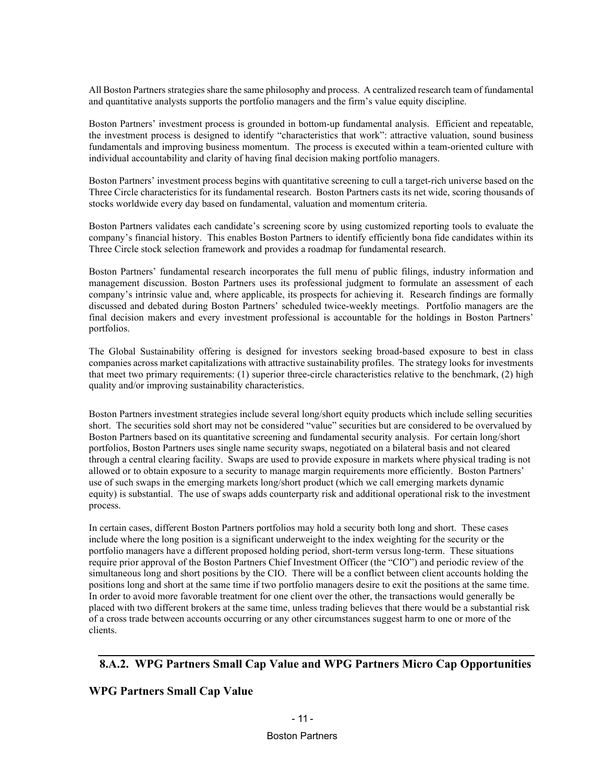All Boston Partners strategies share the same philosophy and process. A centralized research team of fundamental and quantitative analysts supports the portfolio managers and the firm's value equity discipline.

Boston Partners' investment process is grounded in bottom-up fundamental analysis. Efficient and repeatable, the investment process is designed to identify "characteristics that work": attractive valuation, sound business fundamentals and improving business momentum. The process is executed within a team-oriented culture with individual accountability and clarity of having final decision making portfolio managers.

Boston Partners' investment process begins with quantitative screening to cull a target-rich universe based on the Three Circle characteristics for its fundamental research. Boston Partners casts its net wide, scoring thousands of stocks worldwide every day based on fundamental, valuation and momentum criteria.

Boston Partners validates each candidate's screening score by using customized reporting tools to evaluate the company's financial history. This enables Boston Partners to identify efficiently bona fide candidates within its Three Circle stock selection framework and provides a roadmap for fundamental research.

Boston Partners' fundamental research incorporates the full menu of public filings, industry information and management discussion. Boston Partners uses its professional judgment to formulate an assessment of each company's intrinsic value and, where applicable, its prospects for achieving it. Research findings are formally discussed and debated during Boston Partners' scheduled twice-weekly meetings. Portfolio managers are the final decision makers and every investment professional is accountable for the holdings in Boston Partners' portfolios.

The Global Sustainability offering is designed for investors seeking broad-based exposure to best in class companies across market capitalizations with attractive sustainability profiles. The strategy looks for investments that meet two primary requirements: (1) superior three-circle characteristics relative to the benchmark, (2) high quality and/or improving sustainability characteristics.

Boston Partners investment strategies include several long/short equity products which include selling securities short. The securities sold short may not be considered "value" securities but are considered to be overvalued by Boston Partners based on its quantitative screening and fundamental security analysis. For certain long/short portfolios, Boston Partners uses single name security swaps, negotiated on a bilateral basis and not cleared through a central clearing facility. Swaps are used to provide exposure in markets where physical trading is not allowed or to obtain exposure to a security to manage margin requirements more efficiently. Boston Partners' use of such swaps in the emerging markets long/short product (which we call emerging markets dynamic equity) is substantial. The use of swaps adds counterparty risk and additional operational risk to the investment process.

In certain cases, different Boston Partners portfolios may hold a security both long and short. These cases include where the long position is a significant underweight to the index weighting for the security or the portfolio managers have a different proposed holding period, short-term versus long-term. These situations require prior approval of the Boston Partners Chief Investment Officer (the "CIO") and periodic review of the simultaneous long and short positions by the CIO. There will be a conflict between client accounts holding the positions long and short at the same time if two portfolio managers desire to exit the positions at the same time. In order to avoid more favorable treatment for one client over the other, the transactions would generally be placed with two different brokers at the same time, unless trading believes that there would be a substantial risk of a cross trade between accounts occurring or any other circumstances suggest harm to one or more of the clients.

### <span id="page-20-0"></span>**8.A.2. WPG Partners Small Cap Value and WPG Partners Micro Cap Opportunities**

#### **WPG Partners Small Cap Value**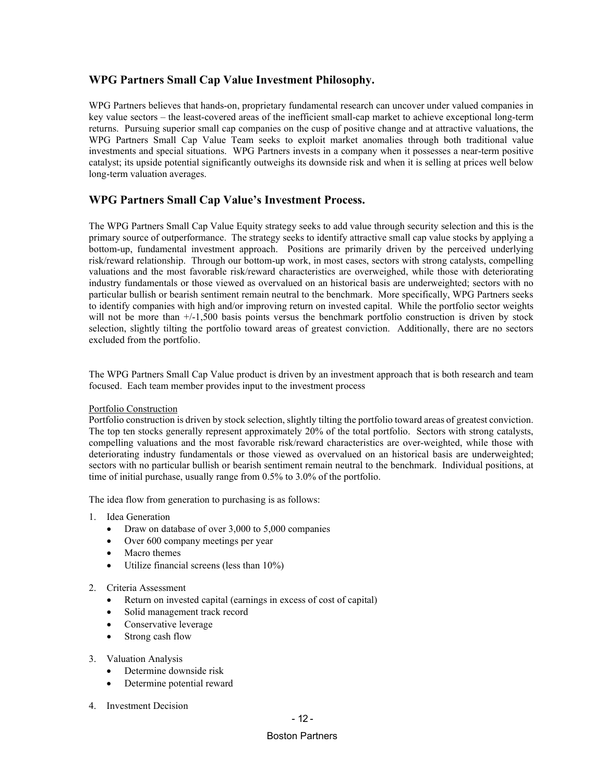### **WPG Partners Small Cap Value Investment Philosophy.**

WPG Partners believes that hands-on, proprietary fundamental research can uncover under valued companies in key value sectors – the least-covered areas of the inefficient small-cap market to achieve exceptional long-term returns. Pursuing superior small cap companies on the cusp of positive change and at attractive valuations, the WPG Partners Small Cap Value Team seeks to exploit market anomalies through both traditional value investments and special situations. WPG Partners invests in a company when it possesses a near-term positive catalyst; its upside potential significantly outweighs its downside risk and when it is selling at prices well below long-term valuation averages.

### **WPG Partners Small Cap Value's Investment Process.**

The WPG Partners Small Cap Value Equity strategy seeks to add value through security selection and this is the primary source of outperformance. The strategy seeks to identify attractive small cap value stocks by applying a bottom-up, fundamental investment approach. Positions are primarily driven by the perceived underlying risk/reward relationship. Through our bottom-up work, in most cases, sectors with strong catalysts, compelling valuations and the most favorable risk/reward characteristics are overweighed, while those with deteriorating industry fundamentals or those viewed as overvalued on an historical basis are underweighted; sectors with no particular bullish or bearish sentiment remain neutral to the benchmark. More specifically, WPG Partners seeks to identify companies with high and/or improving return on invested capital. While the portfolio sector weights will not be more than  $+/1,500$  basis points versus the benchmark portfolio construction is driven by stock selection, slightly tilting the portfolio toward areas of greatest conviction. Additionally, there are no sectors excluded from the portfolio.

The WPG Partners Small Cap Value product is driven by an investment approach that is both research and team focused. Each team member provides input to the investment process

#### Portfolio Construction

Portfolio construction is driven by stock selection, slightly tilting the portfolio toward areas of greatest conviction. The top ten stocks generally represent approximately 20% of the total portfolio. Sectors with strong catalysts, compelling valuations and the most favorable risk/reward characteristics are over-weighted, while those with deteriorating industry fundamentals or those viewed as overvalued on an historical basis are underweighted; sectors with no particular bullish or bearish sentiment remain neutral to the benchmark. Individual positions, at time of initial purchase, usually range from 0.5% to 3.0% of the portfolio.

The idea flow from generation to purchasing is as follows:

- 1. Idea Generation
	- Draw on database of over 3,000 to 5,000 companies
	- Over 600 company meetings per year
	- Macro themes
	- Utilize financial screens (less than 10%)
- 2. Criteria Assessment
	- Return on invested capital (earnings in excess of cost of capital)
	- Solid management track record
	- Conservative leverage
	- Strong cash flow
- 3. Valuation Analysis
	- Determine downside risk
	- Determine potential reward
- 4. Investment Decision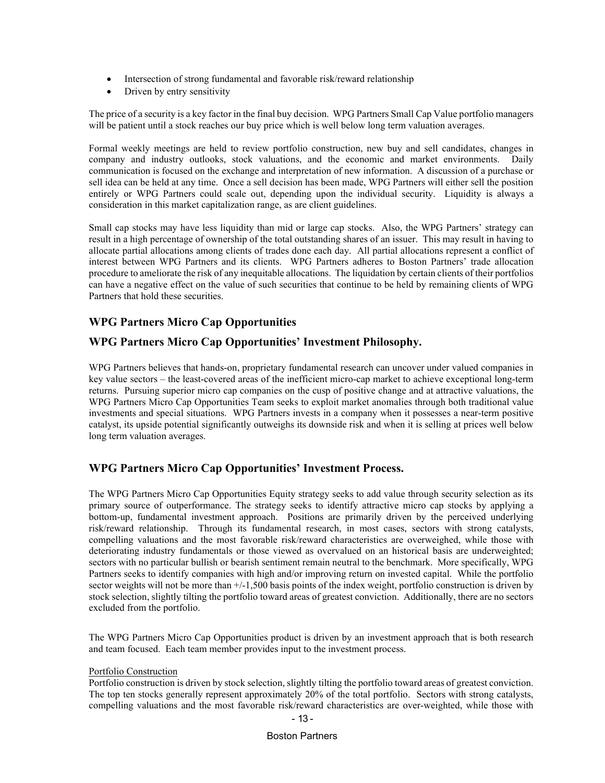- Intersection of strong fundamental and favorable risk/reward relationship
- Driven by entry sensitivity

The price of a security is a key factor in the final buy decision. WPG Partners Small Cap Value portfolio managers will be patient until a stock reaches our buy price which is well below long term valuation averages.

Formal weekly meetings are held to review portfolio construction, new buy and sell candidates, changes in company and industry outlooks, stock valuations, and the economic and market environments. Daily communication is focused on the exchange and interpretation of new information. A discussion of a purchase or sell idea can be held at any time. Once a sell decision has been made, WPG Partners will either sell the position entirely or WPG Partners could scale out, depending upon the individual security. Liquidity is always a consideration in this market capitalization range, as are client guidelines.

Small cap stocks may have less liquidity than mid or large cap stocks. Also, the WPG Partners' strategy can result in a high percentage of ownership of the total outstanding shares of an issuer. This may result in having to allocate partial allocations among clients of trades done each day. All partial allocations represent a conflict of interest between WPG Partners and its clients. WPG Partners adheres to Boston Partners' trade allocation procedure to ameliorate the risk of any inequitable allocations. The liquidation by certain clients of their portfolios can have a negative effect on the value of such securities that continue to be held by remaining clients of WPG Partners that hold these securities.

### **WPG Partners Micro Cap Opportunities**

### **WPG Partners Micro Cap Opportunities' Investment Philosophy.**

WPG Partners believes that hands-on, proprietary fundamental research can uncover under valued companies in key value sectors – the least-covered areas of the inefficient micro-cap market to achieve exceptional long-term returns. Pursuing superior micro cap companies on the cusp of positive change and at attractive valuations, the WPG Partners Micro Cap Opportunities Team seeks to exploit market anomalies through both traditional value investments and special situations. WPG Partners invests in a company when it possesses a near-term positive catalyst, its upside potential significantly outweighs its downside risk and when it is selling at prices well below long term valuation averages.

### **WPG Partners Micro Cap Opportunities' Investment Process.**

The WPG Partners Micro Cap Opportunities Equity strategy seeks to add value through security selection as its primary source of outperformance. The strategy seeks to identify attractive micro cap stocks by applying a bottom-up, fundamental investment approach. Positions are primarily driven by the perceived underlying risk/reward relationship. Through its fundamental research, in most cases, sectors with strong catalysts, compelling valuations and the most favorable risk/reward characteristics are overweighed, while those with deteriorating industry fundamentals or those viewed as overvalued on an historical basis are underweighted; sectors with no particular bullish or bearish sentiment remain neutral to the benchmark. More specifically, WPG Partners seeks to identify companies with high and/or improving return on invested capital. While the portfolio sector weights will not be more than +/-1,500 basis points of the index weight, portfolio construction is driven by stock selection, slightly tilting the portfolio toward areas of greatest conviction. Additionally, there are no sectors excluded from the portfolio.

The WPG Partners Micro Cap Opportunities product is driven by an investment approach that is both research and team focused. Each team member provides input to the investment process.

#### Portfolio Construction

Portfolio construction is driven by stock selection, slightly tilting the portfolio toward areas of greatest conviction. The top ten stocks generally represent approximately 20% of the total portfolio. Sectors with strong catalysts, compelling valuations and the most favorable risk/reward characteristics are over-weighted, while those with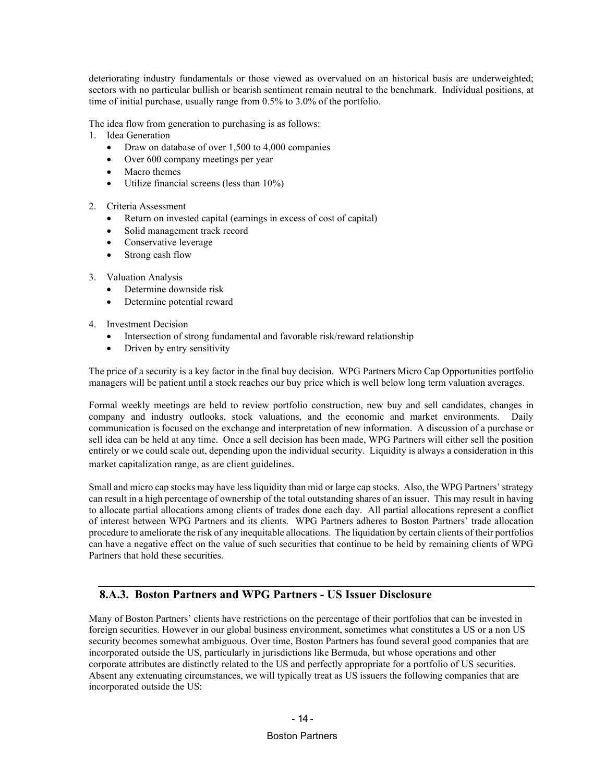deteriorating industry fundamentals or those viewed as overvalued on an historical basis are underweighted; sectors with no particular bullish or bearish sentiment remain neutral to the benchmark. Individual positions, at time of initial purchase, usually range from 0.5% to 3.0% of the portfolio.

The idea flow from generation to purchasing is as follows:

- 1. Idea Generation
	- Draw on database of over 1,500 to 4,000 companies
	- Over 600 company meetings per year
	- Macro themes
	- Utilize financial screens (less than 10%)

#### 2. Criteria Assessment

- Return on invested capital (earnings in excess of cost of capital)
- Solid management track record
- Conservative leverage
- Strong cash flow
- 3. Valuation Analysis
	- Determine downside risk
	- Determine potential reward
- 4. Investment Decision
	- Intersection of strong fundamental and favorable risk/reward relationship
	- Driven by entry sensitivity

The price of a security is a key factor in the final buy decision. WPG Partners Micro Cap Opportunities portfolio managers will be patient until a stock reaches our buy price which is well below long term valuation averages.

Formal weekly meetings are held to review portfolio construction, new buy and sell candidates, changes in company and industry outlooks, stock valuations, and the economic and market environments. Daily communication is focused on the exchange and interpretation of new information. A discussion of a purchase or sell idea can be held at any time. Once a sell decision has been made, WPG Partners will either sell the position entirely or we could scale out, depending upon the individual security. Liquidity is always a consideration in this market capitalization range, as are client guidelines.

Small and micro cap stocks may have less liquidity than mid or large cap stocks. Also, the WPG Partners' strategy can result in a high percentage of ownership of the total outstanding shares of an issuer. This may result in having to allocate partial allocations among clients of trades done each day. All partial allocations represent a conflict of interest between WPG Partners and its clients. WPG Partners adheres to Boston Partners' trade allocation procedure to ameliorate the risk of any inequitable allocations. The liquidation by certain clients of their portfolios can have a negative effect on the value of such securities that continue to be held by remaining clients of WPG Partners that hold these securities.

### <span id="page-23-0"></span>**8.A.3. Boston Partners and WPG Partners - US Issuer Disclosure**

Many of Boston Partners' clients have restrictions on the percentage of their portfolios that can be invested in foreign securities. However in our global business environment, sometimes what constitutes a US or a non US security becomes somewhat ambiguous. Over time, Boston Partners has found several good companies that are incorporated outside the US, particularly in jurisdictions like Bermuda, but whose operations and other corporate attributes are distinctly related to the US and perfectly appropriate for a portfolio of US securities. Absent any extenuating circumstances, we will typically treat as US issuers the following companies that are incorporated outside the US: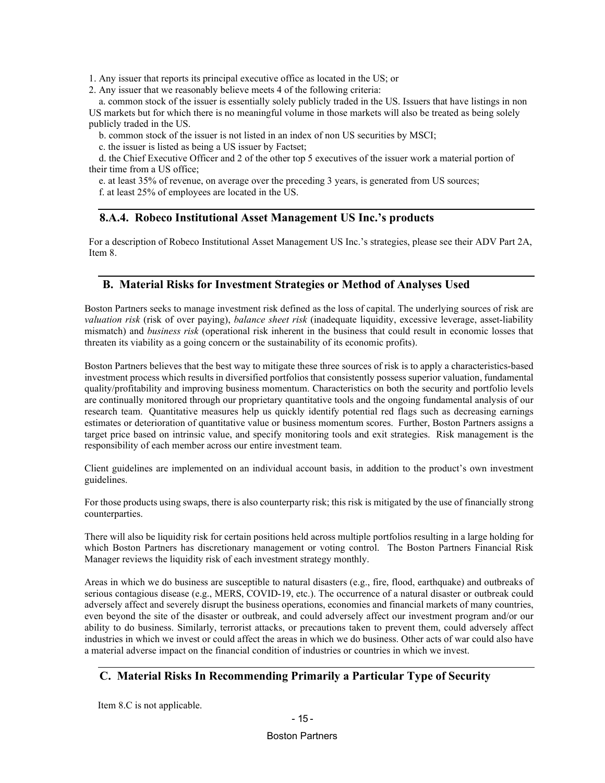1. Any issuer that reports its principal executive office as located in the US; or

2. Any issuer that we reasonably believe meets 4 of the following criteria:

 a. common stock of the issuer is essentially solely publicly traded in the US. Issuers that have listings in non US markets but for which there is no meaningful volume in those markets will also be treated as being solely publicly traded in the US.

b. common stock of the issuer is not listed in an index of non US securities by MSCI;

c. the issuer is listed as being a US issuer by Factset;

 d. the Chief Executive Officer and 2 of the other top 5 executives of the issuer work a material portion of their time from a US office;

e. at least 35% of revenue, on average over the preceding 3 years, is generated from US sources;

f. at least 25% of employees are located in the US.

#### <span id="page-24-0"></span>**8.A.4. Robeco Institutional Asset Management US Inc.'s products**

For a description of Robeco Institutional Asset Management US Inc.'s strategies, please see their ADV Part 2A, Item 8.

#### <span id="page-24-1"></span>**B. Material Risks for Investment Strategies or Method of Analyses Used**

Boston Partners seeks to manage investment risk defined as the loss of capital. The underlying sources of risk are *valuation risk* (risk of over paying), *balance sheet risk* (inadequate liquidity, excessive leverage, asset-liability mismatch) and *business risk* (operational risk inherent in the business that could result in economic losses that threaten its viability as a going concern or the sustainability of its economic profits).

Boston Partners believes that the best way to mitigate these three sources of risk is to apply a characteristics-based investment process which results in diversified portfolios that consistently possess superior valuation, fundamental quality/profitability and improving business momentum. Characteristics on both the security and portfolio levels are continually monitored through our proprietary quantitative tools and the ongoing fundamental analysis of our research team. Quantitative measures help us quickly identify potential red flags such as decreasing earnings estimates or deterioration of quantitative value or business momentum scores. Further, Boston Partners assigns a target price based on intrinsic value, and specify monitoring tools and exit strategies. Risk management is the responsibility of each member across our entire investment team.

Client guidelines are implemented on an individual account basis, in addition to the product's own investment guidelines.

For those products using swaps, there is also counterparty risk; this risk is mitigated by the use of financially strong counterparties.

There will also be liquidity risk for certain positions held across multiple portfolios resulting in a large holding for which Boston Partners has discretionary management or voting control. The Boston Partners Financial Risk Manager reviews the liquidity risk of each investment strategy monthly.

Areas in which we do business are susceptible to natural disasters (e.g., fire, flood, earthquake) and outbreaks of serious contagious disease (e.g., MERS, COVID-19, etc.). The occurrence of a natural disaster or outbreak could adversely affect and severely disrupt the business operations, economies and financial markets of many countries, even beyond the site of the disaster or outbreak, and could adversely affect our investment program and/or our ability to do business. Similarly, terrorist attacks, or precautions taken to prevent them, could adversely affect industries in which we invest or could affect the areas in which we do business. Other acts of war could also have a material adverse impact on the financial condition of industries or countries in which we invest.

### <span id="page-24-2"></span>**C. Material Risks In Recommending Primarily a Particular Type of Security**

Item 8.C is not applicable.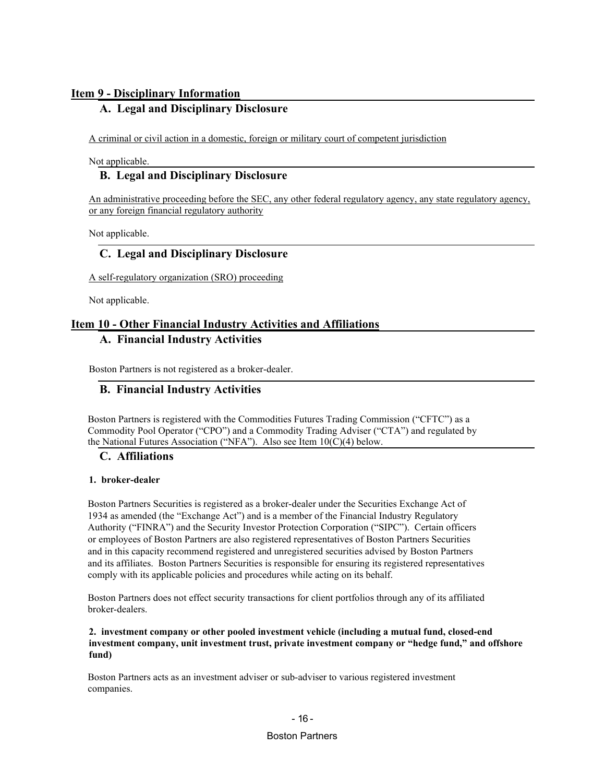### <span id="page-25-1"></span><span id="page-25-0"></span>**Item 9 - Disciplinary Information**

### **A. Legal and Disciplinary Disclosure**

A criminal or civil action in a domestic, foreign or military court of competent jurisdiction

<span id="page-25-2"></span>Not applicable.

### **B. Legal and Disciplinary Disclosure**

An administrative proceeding before the SEC, any other federal regulatory agency, any state regulatory agency, or any foreign financial regulatory authority

<span id="page-25-3"></span>Not applicable.

### **C. Legal and Disciplinary Disclosure**

A self-regulatory organization (SRO) proceeding

Not applicable.

### <span id="page-25-5"></span><span id="page-25-4"></span>**Item 10 - Other Financial Industry Activities and Affiliations**

### **A. Financial Industry Activities**

<span id="page-25-6"></span>Boston Partners is not registered as a broker-dealer.

### **B. Financial Industry Activities**

Boston Partners is registered with the Commodities Futures Trading Commission ("CFTC") as a Commodity Pool Operator ("CPO") and a Commodity Trading Adviser ("CTA") and regulated by the National Futures Association ("NFA"). Also see Item 10(C)(4) below.

#### <span id="page-25-7"></span>**C. Affiliations**

#### **1. broker-dealer**

Boston Partners Securities is registered as a broker-dealer under the Securities Exchange Act of 1934 as amended (the "Exchange Act") and is a member of the Financial Industry Regulatory Authority ("FINRA") and the Security Investor Protection Corporation ("SIPC"). Certain officers or employees of Boston Partners are also registered representatives of Boston Partners Securities and in this capacity recommend registered and unregistered securities advised by Boston Partners and its affiliates. Boston Partners Securities is responsible for ensuring its registered representatives comply with its applicable policies and procedures while acting on its behalf.

Boston Partners does not effect security transactions for client portfolios through any of its affiliated broker-dealers.

#### **2. investment company or other pooled investment vehicle (including a mutual fund, closed-end investment company, unit investment trust, private investment company or "hedge fund," and offshore fund)**

Boston Partners acts as an investment adviser or sub-adviser to various registered investment companies.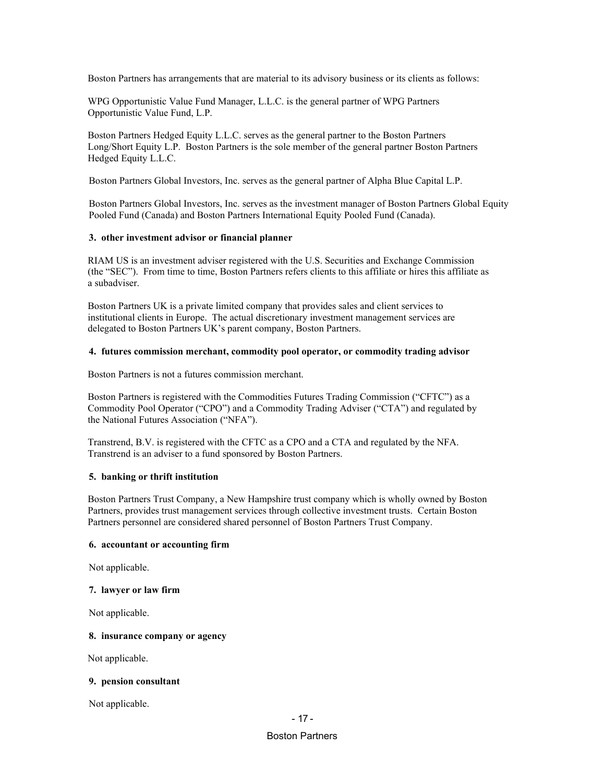Boston Partners has arrangements that are material to its advisory business or its clients as follows:

WPG Opportunistic Value Fund Manager, L.L.C. is the general partner of WPG Partners Opportunistic Value Fund, L.P.

Boston Partners Hedged Equity L.L.C. serves as the general partner to the Boston Partners Long/Short Equity L.P. Boston Partners is the sole member of the general partner Boston Partners Hedged Equity L.L.C.

Boston Partners Global Investors, Inc. serves as the general partner of Alpha Blue Capital L.P.

Boston Partners Global Investors, Inc. serves as the investment manager of Boston Partners Global Equity Pooled Fund (Canada) and Boston Partners International Equity Pooled Fund (Canada).

#### **3. other investment advisor or financial planner**

RIAM US is an investment adviser registered with the U.S. Securities and Exchange Commission (the "SEC"). From time to time, Boston Partners refers clients to this affiliate or hires this affiliate as a subadviser.

Boston Partners UK is a private limited company that provides sales and client services to institutional clients in Europe. The actual discretionary investment management services are delegated to Boston Partners UK's parent company, Boston Partners.

#### **4. futures commission merchant, commodity pool operator, or commodity trading advisor**

Boston Partners is not a futures commission merchant.

Boston Partners is registered with the Commodities Futures Trading Commission ("CFTC") as a Commodity Pool Operator ("CPO") and a Commodity Trading Adviser ("CTA") and regulated by the National Futures Association ("NFA").

Transtrend, B.V. is registered with the CFTC as a CPO and a CTA and regulated by the NFA. Transtrend is an adviser to a fund sponsored by Boston Partners.

#### **5. banking or thrift institution**

Boston Partners Trust Company, a New Hampshire trust company which is wholly owned by Boston Partners, provides trust management services through collective investment trusts. Certain Boston Partners personnel are considered shared personnel of Boston Partners Trust Company.

#### **6. accountant or accounting firm**

Not applicable.

#### **7. lawyer or law firm**

Not applicable.

#### **8. insurance company or agency**

Not applicable.

#### **9. pension consultant**

Not applicable.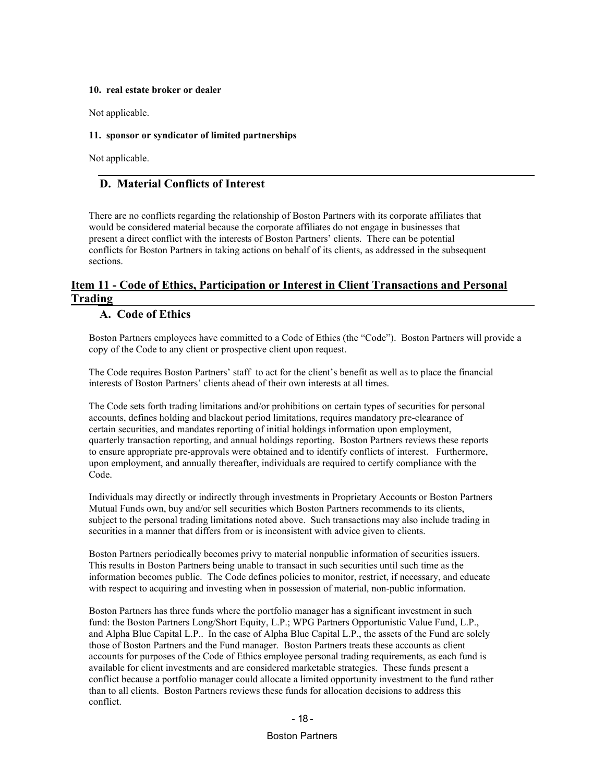#### **10. real estate broker or dealer**

Not applicable.

#### **11. sponsor or syndicator of limited partnerships**

<span id="page-27-0"></span>Not applicable.

### **D. Material Conflicts of Interest**

There are no conflicts regarding the relationship of Boston Partners with its corporate affiliates that would be considered material because the corporate affiliates do not engage in businesses that present a direct conflict with the interests of Boston Partners' clients. There can be potential conflicts for Boston Partners in taking actions on behalf of its clients, as addressed in the subsequent sections.

### <span id="page-27-2"></span><span id="page-27-1"></span>**Item 11 - Code of Ethics, Participation or Interest in Client Transactions and Personal Trading**

#### **A. Code of Ethics**

Boston Partners employees have committed to a Code of Ethics (the "Code"). Boston Partners will provide a copy of the Code to any client or prospective client upon request.

The Code requires Boston Partners' staff to act for the client's benefit as well as to place the financial interests of Boston Partners' clients ahead of their own interests at all times.

The Code sets forth trading limitations and/or prohibitions on certain types of securities for personal accounts, defines holding and blackout period limitations, requires mandatory pre-clearance of certain securities, and mandates reporting of initial holdings information upon employment, quarterly transaction reporting, and annual holdings reporting. Boston Partners reviews these reports to ensure appropriate pre-approvals were obtained and to identify conflicts of interest. Furthermore, upon employment, and annually thereafter, individuals are required to certify compliance with the Code.

Individuals may directly or indirectly through investments in Proprietary Accounts or Boston Partners Mutual Funds own, buy and/or sell securities which Boston Partners recommends to its clients, subject to the personal trading limitations noted above. Such transactions may also include trading in securities in a manner that differs from or is inconsistent with advice given to clients.

Boston Partners periodically becomes privy to material nonpublic information of securities issuers. This results in Boston Partners being unable to transact in such securities until such time as the information becomes public. The Code defines policies to monitor, restrict, if necessary, and educate with respect to acquiring and investing when in possession of material, non-public information.

Boston Partners has three funds where the portfolio manager has a significant investment in such fund: the Boston Partners Long/Short Equity, L.P.; WPG Partners Opportunistic Value Fund, L.P., and Alpha Blue Capital L.P.. In the case of Alpha Blue Capital L.P., the assets of the Fund are solely those of Boston Partners and the Fund manager. Boston Partners treats these accounts as client accounts for purposes of the Code of Ethics employee personal trading requirements, as each fund is available for client investments and are considered marketable strategies. These funds present a conflict because a portfolio manager could allocate a limited opportunity investment to the fund rather than to all clients. Boston Partners reviews these funds for allocation decisions to address this conflict.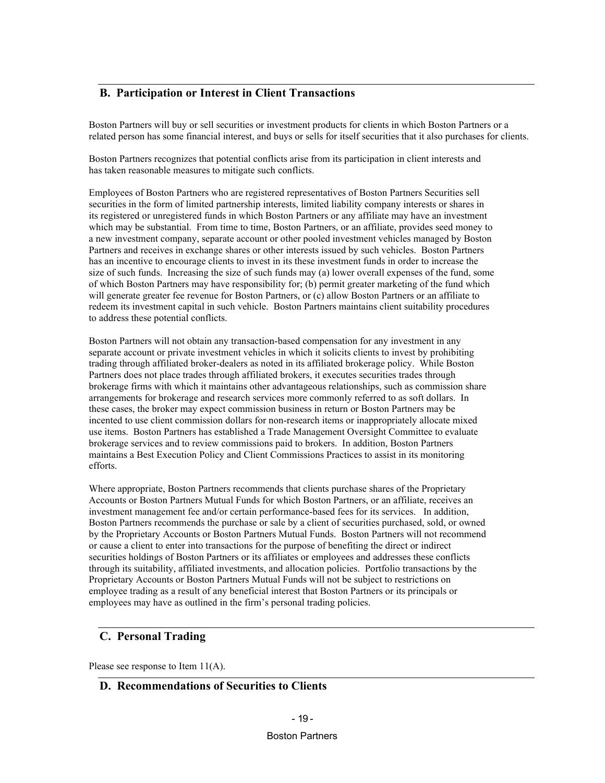### <span id="page-28-0"></span>**B. Participation or Interest in Client Transactions**

Boston Partners will buy or sell securities or investment products for clients in which Boston Partners or a related person has some financial interest, and buys or sells for itself securities that it also purchases for clients.

Boston Partners recognizes that potential conflicts arise from its participation in client interests and has taken reasonable measures to mitigate such conflicts.

Employees of Boston Partners who are registered representatives of Boston Partners Securities sell securities in the form of limited partnership interests, limited liability company interests or shares in its registered or unregistered funds in which Boston Partners or any affiliate may have an investment which may be substantial. From time to time, Boston Partners, or an affiliate, provides seed money to a new investment company, separate account or other pooled investment vehicles managed by Boston Partners and receives in exchange shares or other interests issued by such vehicles. Boston Partners has an incentive to encourage clients to invest in its these investment funds in order to increase the size of such funds. Increasing the size of such funds may (a) lower overall expenses of the fund, some of which Boston Partners may have responsibility for; (b) permit greater marketing of the fund which will generate greater fee revenue for Boston Partners, or (c) allow Boston Partners or an affiliate to redeem its investment capital in such vehicle. Boston Partners maintains client suitability procedures to address these potential conflicts.

Boston Partners will not obtain any transaction-based compensation for any investment in any separate account or private investment vehicles in which it solicits clients to invest by prohibiting trading through affiliated broker-dealers as noted in its affiliated brokerage policy. While Boston Partners does not place trades through affiliated brokers, it executes securities trades through brokerage firms with which it maintains other advantageous relationships, such as commission share arrangements for brokerage and research services more commonly referred to as soft dollars. In these cases, the broker may expect commission business in return or Boston Partners may be incented to use client commission dollars for non-research items or inappropriately allocate mixed use items. Boston Partners has established a Trade Management Oversight Committee to evaluate brokerage services and to review commissions paid to brokers. In addition, Boston Partners maintains a Best Execution Policy and Client Commissions Practices to assist in its monitoring efforts.

Where appropriate, Boston Partners recommends that clients purchase shares of the Proprietary Accounts or Boston Partners Mutual Funds for which Boston Partners, or an affiliate, receives an investment management fee and/or certain performance-based fees for its services. In addition, Boston Partners recommends the purchase or sale by a client of securities purchased, sold, or owned by the Proprietary Accounts or Boston Partners Mutual Funds. Boston Partners will not recommend or cause a client to enter into transactions for the purpose of benefiting the direct or indirect securities holdings of Boston Partners or its affiliates or employees and addresses these conflicts through its suitability, affiliated investments, and allocation policies. Portfolio transactions by the Proprietary Accounts or Boston Partners Mutual Funds will not be subject to restrictions on employee trading as a result of any beneficial interest that Boston Partners or its principals or employees may have as outlined in the firm's personal trading policies.

### <span id="page-28-1"></span>**C. Personal Trading**

<span id="page-28-2"></span>Please see response to Item 11(A).

#### **D. Recommendations of Securities to Clients**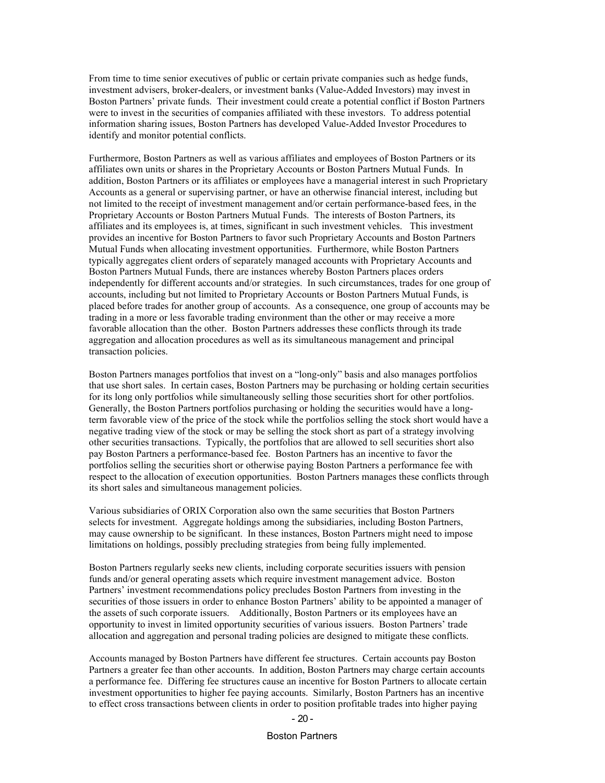From time to time senior executives of public or certain private companies such as hedge funds, investment advisers, broker-dealers, or investment banks (Value-Added Investors) may invest in Boston Partners' private funds. Their investment could create a potential conflict if Boston Partners were to invest in the securities of companies affiliated with these investors. To address potential information sharing issues, Boston Partners has developed Value-Added Investor Procedures to identify and monitor potential conflicts.

Furthermore, Boston Partners as well as various affiliates and employees of Boston Partners or its affiliates own units or shares in the Proprietary Accounts or Boston Partners Mutual Funds. In addition, Boston Partners or its affiliates or employees have a managerial interest in such Proprietary Accounts as a general or supervising partner, or have an otherwise financial interest, including but not limited to the receipt of investment management and/or certain performance-based fees, in the Proprietary Accounts or Boston Partners Mutual Funds. The interests of Boston Partners, its affiliates and its employees is, at times, significant in such investment vehicles. This investment provides an incentive for Boston Partners to favor such Proprietary Accounts and Boston Partners Mutual Funds when allocating investment opportunities. Furthermore, while Boston Partners typically aggregates client orders of separately managed accounts with Proprietary Accounts and Boston Partners Mutual Funds, there are instances whereby Boston Partners places orders independently for different accounts and/or strategies. In such circumstances, trades for one group of accounts, including but not limited to Proprietary Accounts or Boston Partners Mutual Funds, is placed before trades for another group of accounts. As a consequence, one group of accounts may be trading in a more or less favorable trading environment than the other or may receive a more favorable allocation than the other. Boston Partners addresses these conflicts through its trade aggregation and allocation procedures as well as its simultaneous management and principal transaction policies.

Boston Partners manages portfolios that invest on a "long-only" basis and also manages portfolios that use short sales. In certain cases, Boston Partners may be purchasing or holding certain securities for its long only portfolios while simultaneously selling those securities short for other portfolios. Generally, the Boston Partners portfolios purchasing or holding the securities would have a longterm favorable view of the price of the stock while the portfolios selling the stock short would have a negative trading view of the stock or may be selling the stock short as part of a strategy involving other securities transactions. Typically, the portfolios that are allowed to sell securities short also pay Boston Partners a performance-based fee. Boston Partners has an incentive to favor the portfolios selling the securities short or otherwise paying Boston Partners a performance fee with respect to the allocation of execution opportunities. Boston Partners manages these conflicts through its short sales and simultaneous management policies.

Various subsidiaries of ORIX Corporation also own the same securities that Boston Partners selects for investment. Aggregate holdings among the subsidiaries, including Boston Partners, may cause ownership to be significant. In these instances, Boston Partners might need to impose limitations on holdings, possibly precluding strategies from being fully implemented.

Boston Partners regularly seeks new clients, including corporate securities issuers with pension funds and/or general operating assets which require investment management advice. Boston Partners' investment recommendations policy precludes Boston Partners from investing in the securities of those issuers in order to enhance Boston Partners' ability to be appointed a manager of the assets of such corporate issuers. Additionally, Boston Partners or its employees have an opportunity to invest in limited opportunity securities of various issuers. Boston Partners' trade allocation and aggregation and personal trading policies are designed to mitigate these conflicts.

Accounts managed by Boston Partners have different fee structures. Certain accounts pay Boston Partners a greater fee than other accounts. In addition, Boston Partners may charge certain accounts a performance fee. Differing fee structures cause an incentive for Boston Partners to allocate certain investment opportunities to higher fee paying accounts. Similarly, Boston Partners has an incentive to effect cross transactions between clients in order to position profitable trades into higher paying

#### - 20 -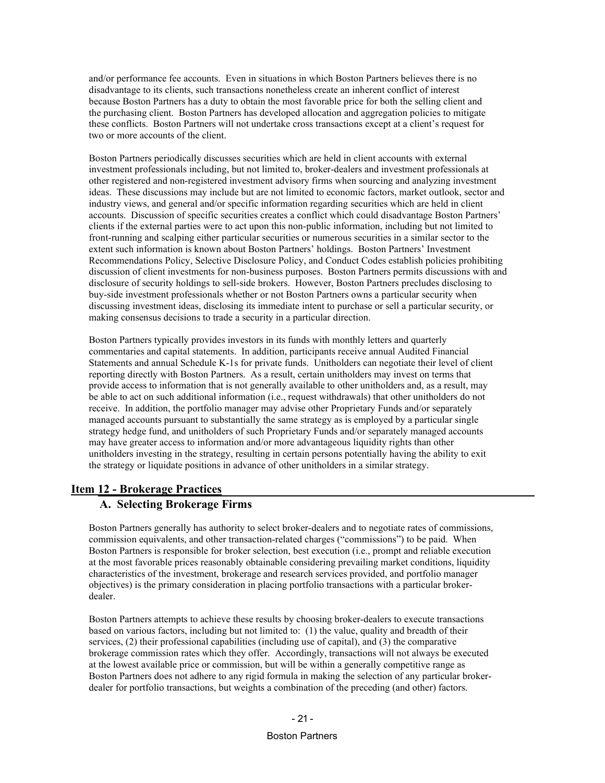and/or performance fee accounts. Even in situations in which Boston Partners believes there is no disadvantage to its clients, such transactions nonetheless create an inherent conflict of interest because Boston Partners has a duty to obtain the most favorable price for both the selling client and the purchasing client. Boston Partners has developed allocation and aggregation policies to mitigate these conflicts. Boston Partners will not undertake cross transactions except at a client's request for two or more accounts of the client.

Boston Partners periodically discusses securities which are held in client accounts with external investment professionals including, but not limited to, broker-dealers and investment professionals at other registered and non-registered investment advisory firms when sourcing and analyzing investment ideas. These discussions may include but are not limited to economic factors, market outlook, sector and industry views, and general and/or specific information regarding securities which are held in client accounts. Discussion of specific securities creates a conflict which could disadvantage Boston Partners' clients if the external parties were to act upon this non-public information, including but not limited to front-running and scalping either particular securities or numerous securities in a similar sector to the extent such information is known about Boston Partners' holdings. Boston Partners' Investment Recommendations Policy, Selective Disclosure Policy, and Conduct Codes establish policies prohibiting discussion of client investments for non-business purposes. Boston Partners permits discussions with and disclosure of security holdings to sell-side brokers. However, Boston Partners precludes disclosing to buy-side investment professionals whether or not Boston Partners owns a particular security when discussing investment ideas, disclosing its immediate intent to purchase or sell a particular security, or making consensus decisions to trade a security in a particular direction.

Boston Partners typically provides investors in its funds with monthly letters and quarterly commentaries and capital statements. In addition, participants receive annual Audited Financial Statements and annual Schedule K-1s for private funds. Unitholders can negotiate their level of client reporting directly with Boston Partners. As a result, certain unitholders may invest on terms that provide access to information that is not generally available to other unitholders and, as a result, may be able to act on such additional information (i.e., request withdrawals) that other unitholders do not receive. In addition, the portfolio manager may advise other Proprietary Funds and/or separately managed accounts pursuant to substantially the same strategy as is employed by a particular single strategy hedge fund, and unitholders of such Proprietary Funds and/or separately managed accounts may have greater access to information and/or more advantageous liquidity rights than other unitholders investing in the strategy, resulting in certain persons potentially having the ability to exit the strategy or liquidate positions in advance of other unitholders in a similar strategy.

#### <span id="page-30-1"></span><span id="page-30-0"></span>**Item 12 - Brokerage Practices**

#### **A. Selecting Brokerage Firms**

Boston Partners generally has authority to select broker-dealers and to negotiate rates of commissions, commission equivalents, and other transaction-related charges ("commissions") to be paid. When Boston Partners is responsible for broker selection, best execution (i.e., prompt and reliable execution at the most favorable prices reasonably obtainable considering prevailing market conditions, liquidity characteristics of the investment, brokerage and research services provided, and portfolio manager objectives) is the primary consideration in placing portfolio transactions with a particular brokerdealer.

Boston Partners attempts to achieve these results by choosing broker-dealers to execute transactions based on various factors, including but not limited to: (1) the value, quality and breadth of their services, (2) their professional capabilities (including use of capital), and (3) the comparative brokerage commission rates which they offer. Accordingly, transactions will not always be executed at the lowest available price or commission, but will be within a generally competitive range as Boston Partners does not adhere to any rigid formula in making the selection of any particular brokerdealer for portfolio transactions, but weights a combination of the preceding (and other) factors.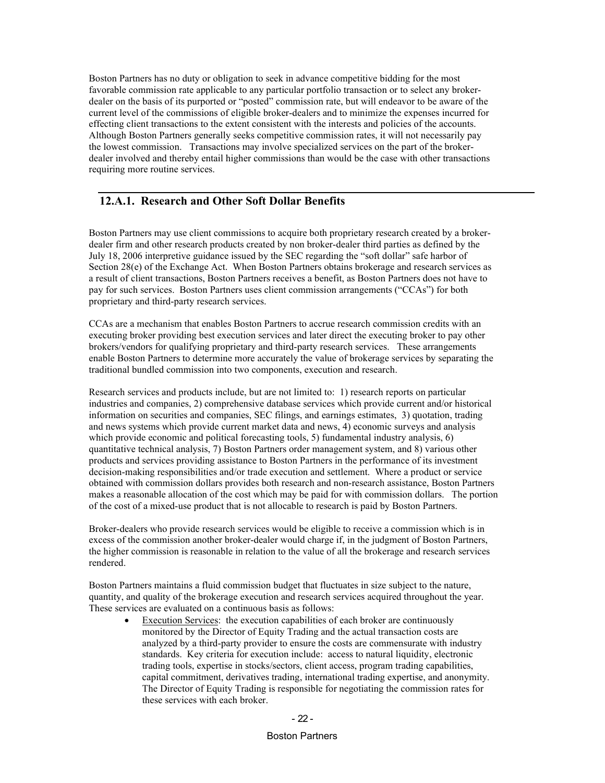Boston Partners has no duty or obligation to seek in advance competitive bidding for the most favorable commission rate applicable to any particular portfolio transaction or to select any brokerdealer on the basis of its purported or "posted" commission rate, but will endeavor to be aware of the current level of the commissions of eligible broker-dealers and to minimize the expenses incurred for effecting client transactions to the extent consistent with the interests and policies of the accounts. Although Boston Partners generally seeks competitive commission rates, it will not necessarily pay the lowest commission. Transactions may involve specialized services on the part of the brokerdealer involved and thereby entail higher commissions than would be the case with other transactions requiring more routine services.

### <span id="page-31-0"></span>**12.A.1. Research and Other Soft Dollar Benefits**

Boston Partners may use client commissions to acquire both proprietary research created by a brokerdealer firm and other research products created by non broker-dealer third parties as defined by the July 18, 2006 interpretive guidance issued by the SEC regarding the "soft dollar" safe harbor of Section 28(e) of the Exchange Act. When Boston Partners obtains brokerage and research services as a result of client transactions, Boston Partners receives a benefit, as Boston Partners does not have to pay for such services. Boston Partners uses client commission arrangements ("CCAs") for both proprietary and third-party research services.

CCAs are a mechanism that enables Boston Partners to accrue research commission credits with an executing broker providing best execution services and later direct the executing broker to pay other brokers/vendors for qualifying proprietary and third-party research services. These arrangements enable Boston Partners to determine more accurately the value of brokerage services by separating the traditional bundled commission into two components, execution and research.

Research services and products include, but are not limited to: 1) research reports on particular industries and companies, 2) comprehensive database services which provide current and/or historical information on securities and companies, SEC filings, and earnings estimates, 3) quotation, trading and news systems which provide current market data and news, 4) economic surveys and analysis which provide economic and political forecasting tools, 5) fundamental industry analysis, 6) quantitative technical analysis, 7) Boston Partners order management system, and 8) various other products and services providing assistance to Boston Partners in the performance of its investment decision-making responsibilities and/or trade execution and settlement. Where a product or service obtained with commission dollars provides both research and non-research assistance, Boston Partners makes a reasonable allocation of the cost which may be paid for with commission dollars. The portion of the cost of a mixed-use product that is not allocable to research is paid by Boston Partners.

Broker-dealers who provide research services would be eligible to receive a commission which is in excess of the commission another broker-dealer would charge if, in the judgment of Boston Partners, the higher commission is reasonable in relation to the value of all the brokerage and research services rendered.

Boston Partners maintains a fluid commission budget that fluctuates in size subject to the nature, quantity, and quality of the brokerage execution and research services acquired throughout the year. These services are evaluated on a continuous basis as follows:

**Execution Services:** the execution capabilities of each broker are continuously monitored by the Director of Equity Trading and the actual transaction costs are analyzed by a third-party provider to ensure the costs are commensurate with industry standards. Key criteria for execution include: access to natural liquidity, electronic trading tools, expertise in stocks/sectors, client access, program trading capabilities, capital commitment, derivatives trading, international trading expertise, and anonymity. The Director of Equity Trading is responsible for negotiating the commission rates for these services with each broker.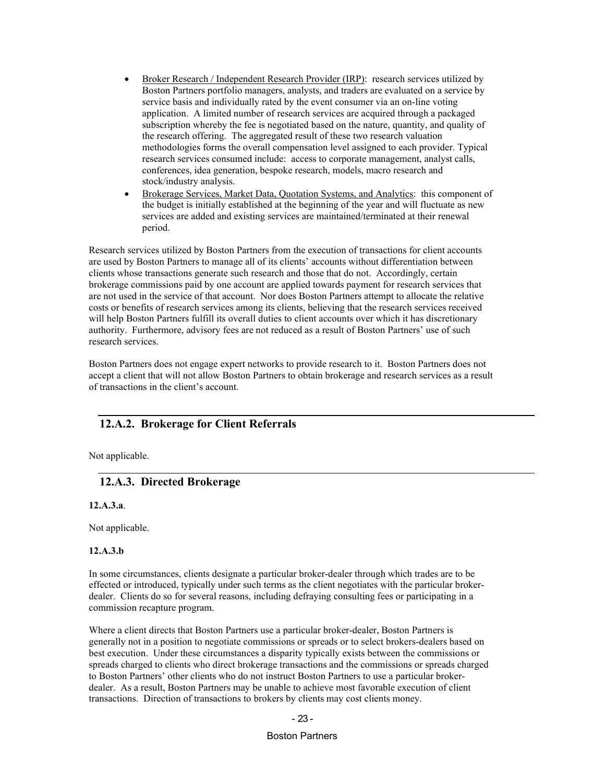- Broker Research / Independent Research Provider (IRP): research services utilized by Boston Partners portfolio managers, analysts, and traders are evaluated on a service by service basis and individually rated by the event consumer via an on-line voting application. A limited number of research services are acquired through a packaged subscription whereby the fee is negotiated based on the nature, quantity, and quality of the research offering. The aggregated result of these two research valuation methodologies forms the overall compensation level assigned to each provider. Typical research services consumed include: access to corporate management, analyst calls, conferences, idea generation, bespoke research, models, macro research and stock/industry analysis.
- Brokerage Services, Market Data, Quotation Systems, and Analytics: this component of the budget is initially established at the beginning of the year and will fluctuate as new services are added and existing services are maintained/terminated at their renewal period.

Research services utilized by Boston Partners from the execution of transactions for client accounts are used by Boston Partners to manage all of its clients' accounts without differentiation between clients whose transactions generate such research and those that do not. Accordingly, certain brokerage commissions paid by one account are applied towards payment for research services that are not used in the service of that account. Nor does Boston Partners attempt to allocate the relative costs or benefits of research services among its clients, believing that the research services received will help Boston Partners fulfill its overall duties to client accounts over which it has discretionary authority. Furthermore, advisory fees are not reduced as a result of Boston Partners' use of such research services.

Boston Partners does not engage expert networks to provide research to it. Boston Partners does not accept a client that will not allow Boston Partners to obtain brokerage and research services as a result of transactions in the client's account.

#### <span id="page-32-0"></span>**12.A.2. Brokerage for Client Referrals**

<span id="page-32-1"></span>Not applicable.

### **12.A.3. Directed Brokerage**

**12.A.3.a**.

Not applicable.

**12.A.3.b**

In some circumstances, clients designate a particular broker-dealer through which trades are to be effected or introduced, typically under such terms as the client negotiates with the particular brokerdealer. Clients do so for several reasons, including defraying consulting fees or participating in a commission recapture program.

Where a client directs that Boston Partners use a particular broker-dealer, Boston Partners is generally not in a position to negotiate commissions or spreads or to select brokers-dealers based on best execution. Under these circumstances a disparity typically exists between the commissions or spreads charged to clients who direct brokerage transactions and the commissions or spreads charged to Boston Partners' other clients who do not instruct Boston Partners to use a particular brokerdealer. As a result, Boston Partners may be unable to achieve most favorable execution of client transactions. Direction of transactions to brokers by clients may cost clients money.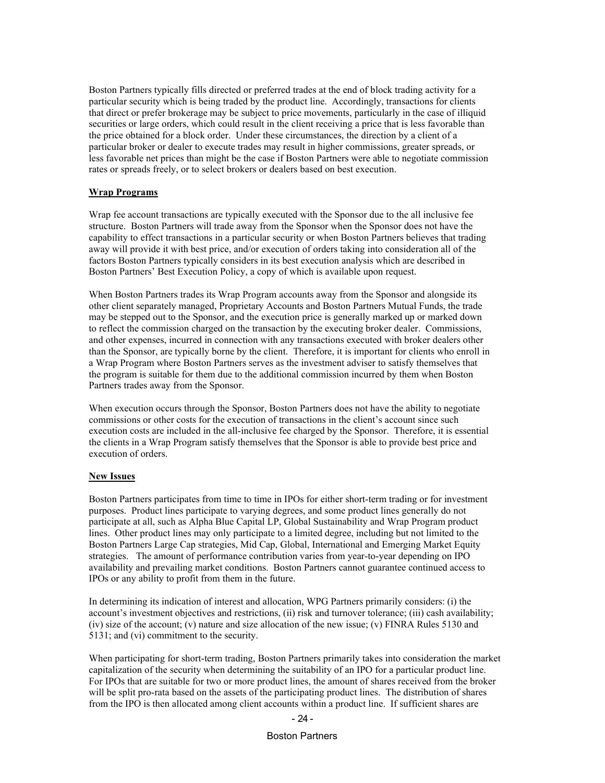Boston Partners typically fills directed or preferred trades at the end of block trading activity for a particular security which is being traded by the product line. Accordingly, transactions for clients that direct or prefer brokerage may be subject to price movements, particularly in the case of illiquid securities or large orders, which could result in the client receiving a price that is less favorable than the price obtained for a block order. Under these circumstances, the direction by a client of a particular broker or dealer to execute trades may result in higher commissions, greater spreads, or less favorable net prices than might be the case if Boston Partners were able to negotiate commission rates or spreads freely, or to select brokers or dealers based on best execution.

#### **Wrap Programs**

Wrap fee account transactions are typically executed with the Sponsor due to the all inclusive fee structure. Boston Partners will trade away from the Sponsor when the Sponsor does not have the capability to effect transactions in a particular security or when Boston Partners believes that trading away will provide it with best price, and/or execution of orders taking into consideration all of the factors Boston Partners typically considers in its best execution analysis which are described in Boston Partners' Best Execution Policy, a copy of which is available upon request.

When Boston Partners trades its Wrap Program accounts away from the Sponsor and alongside its other client separately managed, Proprietary Accounts and Boston Partners Mutual Funds, the trade may be stepped out to the Sponsor, and the execution price is generally marked up or marked down to reflect the commission charged on the transaction by the executing broker dealer. Commissions, and other expenses, incurred in connection with any transactions executed with broker dealers other than the Sponsor, are typically borne by the client. Therefore, it is important for clients who enroll in a Wrap Program where Boston Partners serves as the investment adviser to satisfy themselves that the program is suitable for them due to the additional commission incurred by them when Boston Partners trades away from the Sponsor.

When execution occurs through the Sponsor, Boston Partners does not have the ability to negotiate commissions or other costs for the execution of transactions in the client's account since such execution costs are included in the all-inclusive fee charged by the Sponsor. Therefore, it is essential the clients in a Wrap Program satisfy themselves that the Sponsor is able to provide best price and execution of orders.

#### **New Issues**

Boston Partners participates from time to time in IPOs for either short-term trading or for investment purposes. Product lines participate to varying degrees, and some product lines generally do not participate at all, such as Alpha Blue Capital LP, Global Sustainability and Wrap Program product lines. Other product lines may only participate to a limited degree, including but not limited to the Boston Partners Large Cap strategies, Mid Cap, Global, International and Emerging Market Equity strategies. The amount of performance contribution varies from year-to-year depending on IPO availability and prevailing market conditions. Boston Partners cannot guarantee continued access to IPOs or any ability to profit from them in the future.

In determining its indication of interest and allocation, WPG Partners primarily considers: (i) the account's investment objectives and restrictions, (ii) risk and turnover tolerance; (iii) cash availability; (iv) size of the account; (v) nature and size allocation of the new issue; (v) FINRA Rules 5130 and 5131; and (vi) commitment to the security.

When participating for short-term trading, Boston Partners primarily takes into consideration the market capitalization of the security when determining the suitability of an IPO for a particular product line. For IPOs that are suitable for two or more product lines, the amount of shares received from the broker will be split pro-rata based on the assets of the participating product lines. The distribution of shares from the IPO is then allocated among client accounts within a product line. If sufficient shares are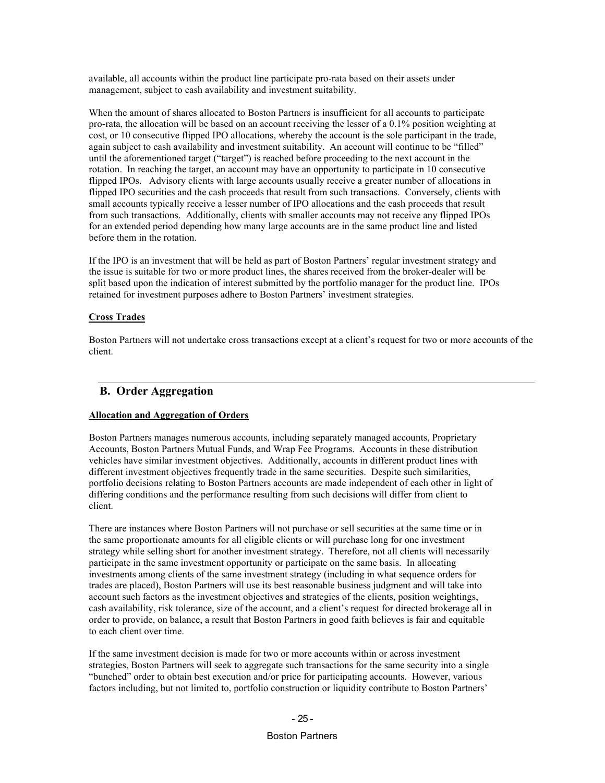available, all accounts within the product line participate pro-rata based on their assets under management, subject to cash availability and investment suitability.

When the amount of shares allocated to Boston Partners is insufficient for all accounts to participate pro-rata, the allocation will be based on an account receiving the lesser of a 0.1% position weighting at cost, or 10 consecutive flipped IPO allocations, whereby the account is the sole participant in the trade, again subject to cash availability and investment suitability. An account will continue to be "filled" until the aforementioned target ("target") is reached before proceeding to the next account in the rotation. In reaching the target, an account may have an opportunity to participate in 10 consecutive flipped IPOs. Advisory clients with large accounts usually receive a greater number of allocations in flipped IPO securities and the cash proceeds that result from such transactions. Conversely, clients with small accounts typically receive a lesser number of IPO allocations and the cash proceeds that result from such transactions. Additionally, clients with smaller accounts may not receive any flipped IPOs for an extended period depending how many large accounts are in the same product line and listed before them in the rotation.

If the IPO is an investment that will be held as part of Boston Partners' regular investment strategy and the issue is suitable for two or more product lines, the shares received from the broker-dealer will be split based upon the indication of interest submitted by the portfolio manager for the product line. IPOs retained for investment purposes adhere to Boston Partners' investment strategies.

#### **Cross Trades**

Boston Partners will not undertake cross transactions except at a client's request for two or more accounts of the client.

#### <span id="page-34-0"></span>**B. Order Aggregation**

#### **Allocation and Aggregation of Orders**

Boston Partners manages numerous accounts, including separately managed accounts, Proprietary Accounts, Boston Partners Mutual Funds, and Wrap Fee Programs. Accounts in these distribution vehicles have similar investment objectives. Additionally, accounts in different product lines with different investment objectives frequently trade in the same securities. Despite such similarities, portfolio decisions relating to Boston Partners accounts are made independent of each other in light of differing conditions and the performance resulting from such decisions will differ from client to client.

There are instances where Boston Partners will not purchase or sell securities at the same time or in the same proportionate amounts for all eligible clients or will purchase long for one investment strategy while selling short for another investment strategy. Therefore, not all clients will necessarily participate in the same investment opportunity or participate on the same basis. In allocating investments among clients of the same investment strategy (including in what sequence orders for trades are placed), Boston Partners will use its best reasonable business judgment and will take into account such factors as the investment objectives and strategies of the clients, position weightings, cash availability, risk tolerance, size of the account, and a client's request for directed brokerage all in order to provide, on balance, a result that Boston Partners in good faith believes is fair and equitable to each client over time.

If the same investment decision is made for two or more accounts within or across investment strategies, Boston Partners will seek to aggregate such transactions for the same security into a single "bunched" order to obtain best execution and/or price for participating accounts. However, various factors including, but not limited to, portfolio construction or liquidity contribute to Boston Partners'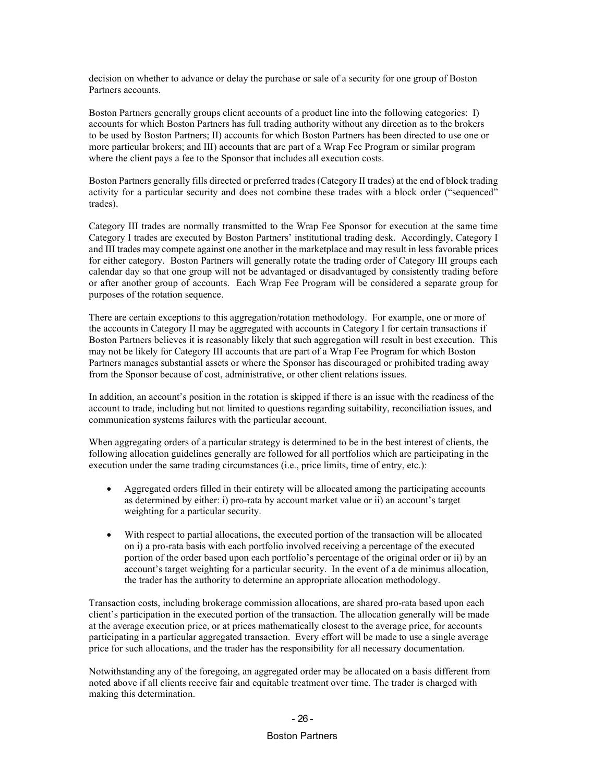decision on whether to advance or delay the purchase or sale of a security for one group of Boston Partners accounts.

Boston Partners generally groups client accounts of a product line into the following categories: I) accounts for which Boston Partners has full trading authority without any direction as to the brokers to be used by Boston Partners; II) accounts for which Boston Partners has been directed to use one or more particular brokers; and III) accounts that are part of a Wrap Fee Program or similar program where the client pays a fee to the Sponsor that includes all execution costs.

Boston Partners generally fills directed or preferred trades (Category II trades) at the end of block trading activity for a particular security and does not combine these trades with a block order ("sequenced" trades).

Category III trades are normally transmitted to the Wrap Fee Sponsor for execution at the same time Category I trades are executed by Boston Partners' institutional trading desk. Accordingly, Category I and III trades may compete against one another in the marketplace and may result in less favorable prices for either category. Boston Partners will generally rotate the trading order of Category III groups each calendar day so that one group will not be advantaged or disadvantaged by consistently trading before or after another group of accounts. Each Wrap Fee Program will be considered a separate group for purposes of the rotation sequence.

There are certain exceptions to this aggregation/rotation methodology. For example, one or more of the accounts in Category II may be aggregated with accounts in Category I for certain transactions if Boston Partners believes it is reasonably likely that such aggregation will result in best execution. This may not be likely for Category III accounts that are part of a Wrap Fee Program for which Boston Partners manages substantial assets or where the Sponsor has discouraged or prohibited trading away from the Sponsor because of cost, administrative, or other client relations issues.

In addition, an account's position in the rotation is skipped if there is an issue with the readiness of the account to trade, including but not limited to questions regarding suitability, reconciliation issues, and communication systems failures with the particular account.

When aggregating orders of a particular strategy is determined to be in the best interest of clients, the following allocation guidelines generally are followed for all portfolios which are participating in the execution under the same trading circumstances (i.e., price limits, time of entry, etc.):

- Aggregated orders filled in their entirety will be allocated among the participating accounts as determined by either: i) pro-rata by account market value or ii) an account's target weighting for a particular security.
- With respect to partial allocations, the executed portion of the transaction will be allocated on i) a pro-rata basis with each portfolio involved receiving a percentage of the executed portion of the order based upon each portfolio's percentage of the original order or ii) by an account's target weighting for a particular security. In the event of a de minimus allocation, the trader has the authority to determine an appropriate allocation methodology.

Transaction costs, including brokerage commission allocations, are shared pro-rata based upon each client's participation in the executed portion of the transaction. The allocation generally will be made at the average execution price, or at prices mathematically closest to the average price, for accounts participating in a particular aggregated transaction. Every effort will be made to use a single average price for such allocations, and the trader has the responsibility for all necessary documentation.

Notwithstanding any of the foregoing, an aggregated order may be allocated on a basis different from noted above if all clients receive fair and equitable treatment over time. The trader is charged with making this determination.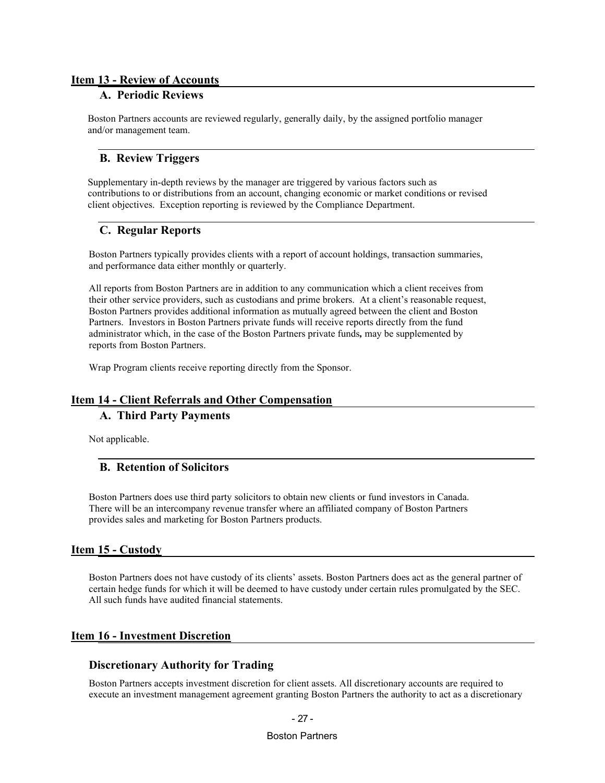#### **Item 13 - Review of Accounts**

### **A. Periodic Reviews**

Boston Partners accounts are reviewed regularly, generally daily, by the assigned portfolio manager and/or management team.

#### **B. Review Triggers**

Supplementary in-depth reviews by the manager are triggered by various factors such as contributions to or distributions from an account, changing economic or market conditions or revised client objectives. Exception reporting is reviewed by the Compliance Department.

### **C. Regular Reports**

Boston Partners typically provides clients with a report of account holdings, transaction summaries, and performance data either monthly or quarterly.

All reports from Boston Partners are in addition to any communication which a client receives from their other service providers, such as custodians and prime brokers. At a client's reasonable request, Boston Partners provides additional information as mutually agreed between the client and Boston Partners. Investors in Boston Partners private funds will receive reports directly from the fund administrator which, in the case of the Boston Partners private funds*,* may be supplemented by reports from Boston Partners.

Wrap Program clients receive reporting directly from the Sponsor.

## **Item 14 - Client Referrals and Other Compensation A. Third Party Payments**

Not applicable.

### **B. Retention of Solicitors**

Boston Partners does use third party solicitors to obtain new clients or fund investors in Canada. There will be an intercompany revenue transfer where an affiliated company of Boston Partners provides sales and marketing for Boston Partners products.

### **Item 15 - Custody**

Boston Partners does not have custody of its clients' assets. Boston Partners does act as the general partner of certain hedge funds for which it will be deemed to have custody under certain rules promulgated by the SEC. All such funds have audited financial statements.

### **Item 16 - Investment Discretion**

#### **Discretionary Authority for Trading**

Boston Partners accepts investment discretion for client assets. All discretionary accounts are required to execute an investment management agreement granting Boston Partners the authority to act as a discretionary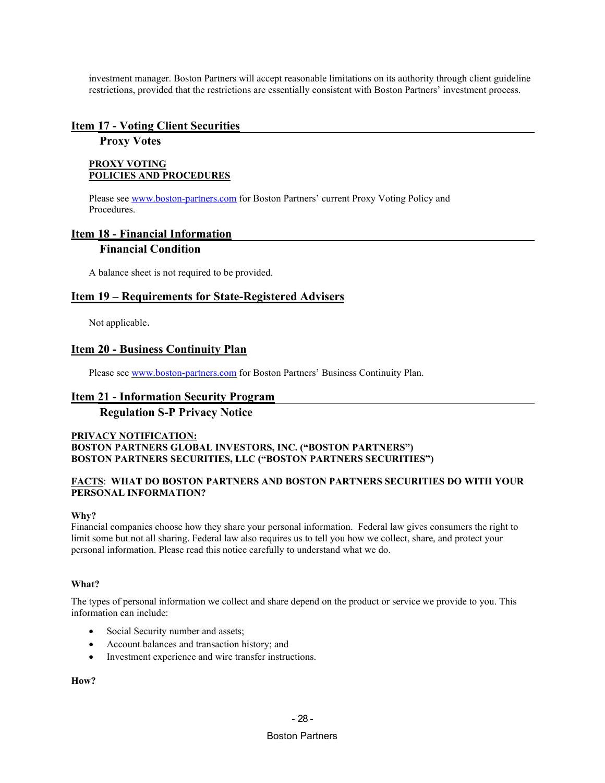investment manager. Boston Partners will accept reasonable limitations on its authority through client guideline restrictions, provided that the restrictions are essentially consistent with Boston Partners' investment process.

#### **Item 17 - Voting Client Securities**

### **Proxy Votes**

#### **PROXY VOTING POLICIES AND PROCEDURES**

Please see [www.boston-partners.com](http://www.boston-partners.com/) for Boston Partners' current Proxy Voting Policy and Procedures.

### **Item 18 - Financial Information**

#### **Financial Condition**

A balance sheet is not required to be provided.

#### **Item 19 – Requirements for State-Registered Advisers**

Not applicable.

#### **Item 20 - Business Continuity Plan**

Please see [www.boston-partners.com](http://www.boston-partners.com/) for Boston Partners' Business Continuity Plan.

#### **Item 21 - Information Security Program**

### **Regulation S-P Privacy Notice**

#### **PRIVACY NOTIFICATION: BOSTON PARTNERS GLOBAL INVESTORS, INC. ("BOSTON PARTNERS") BOSTON PARTNERS SECURITIES, LLC ("BOSTON PARTNERS SECURITIES")**

#### **FACTS**: **WHAT DO BOSTON PARTNERS AND BOSTON PARTNERS SECURITIES DO WITH YOUR PERSONAL INFORMATION?**

#### **Why?**

Financial companies choose how they share your personal information. Federal law gives consumers the right to limit some but not all sharing. Federal law also requires us to tell you how we collect, share, and protect your personal information. Please read this notice carefully to understand what we do.

#### **What?**

The types of personal information we collect and share depend on the product or service we provide to you. This information can include:

- Social Security number and assets;
- Account balances and transaction history; and
- Investment experience and wire transfer instructions.

### **How?**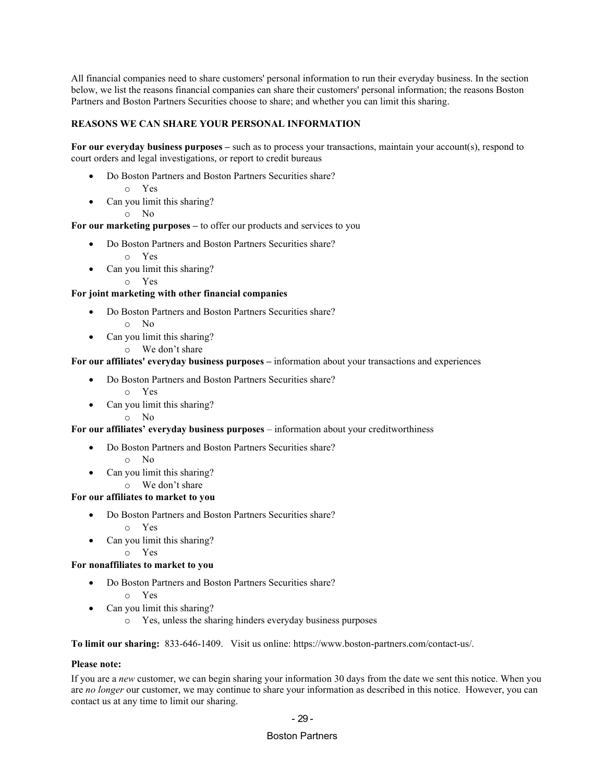All financial companies need to share customers' personal information to run their everyday business. In the section below, we list the reasons financial companies can share their customers' personal information; the reasons Boston Partners and Boston Partners Securities choose to share; and whether you can limit this sharing.

#### **REASONS WE CAN SHARE YOUR PERSONAL INFORMATION**

**For our everyday business purposes –** such as to process your transactions, maintain your account(s), respond to court orders and legal investigations, or report to credit bureaus

- Do Boston Partners and Boston Partners Securities share?
	- o Yes
- Can you limit this sharing?
	- o No

**For our marketing purposes –** to offer our products and services to you

- Do Boston Partners and Boston Partners Securities share?
	- o Yes
- Can you limit this sharing?
	- o Yes

#### **For joint marketing with other financial companies**

- Do Boston Partners and Boston Partners Securities share?
	- o No
- Can you limit this sharing?
	- o We don't share

#### **For our affiliates' everyday business purposes –** information about your transactions and experiences

- Do Boston Partners and Boston Partners Securities share?
	- o Yes
- Can you limit this sharing?
	- o No

#### **For our affiliates' everyday business purposes** – information about your creditworthiness

- Do Boston Partners and Boston Partners Securities share?
	- o No
- Can you limit this sharing?
	- o We don't share

#### **For our affiliates to market to you**

- Do Boston Partners and Boston Partners Securities share?
	- o Yes
- Can you limit this sharing?

## o Yes

### **For nonaffiliates to market to you**

- Do Boston Partners and Boston Partners Securities share?
	- o Yes
- Can you limit this sharing?
	- o Yes, unless the sharing hinders everyday business purposes

**To limit our sharing:** 833-646-1409. Visit us online: https://www.boston-partners.com/contact-us/.

#### **Please note:**

If you are a *new* customer, we can begin sharing your information 30 days from the date we sent this notice. When you are *no longer* our customer, we may continue to share your information as described in this notice. However, you can contact us at any time to limit our sharing.

#### - 29 -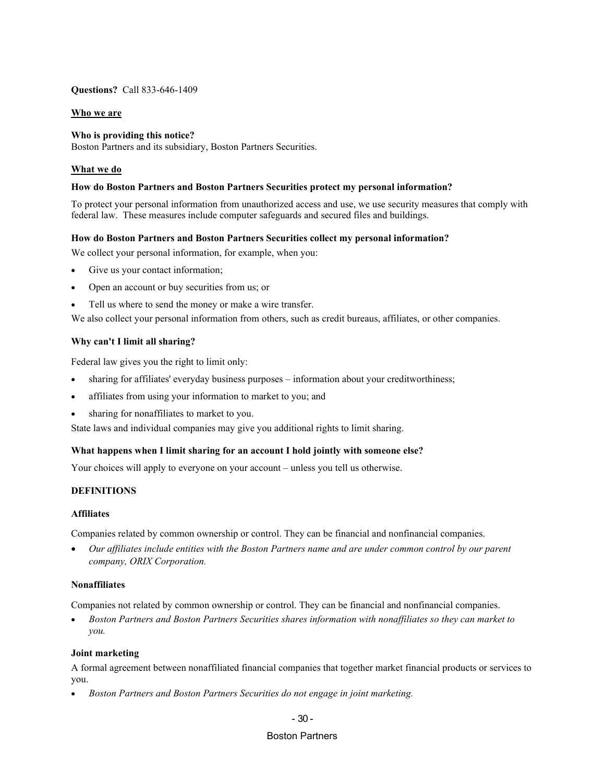#### **Questions?** Call 833-646-1409

#### **Who we are**

#### **Who is providing this notice?**

Boston Partners and its subsidiary, Boston Partners Securities.

#### **What we do**

#### **How do Boston Partners and Boston Partners Securities protect my personal information?**

To protect your personal information from unauthorized access and use, we use security measures that comply with federal law. These measures include computer safeguards and secured files and buildings.

#### **How do Boston Partners and Boston Partners Securities collect my personal information?**

We collect your personal information, for example, when you:

- Give us your contact information;
- Open an account or buy securities from us; or
- Tell us where to send the money or make a wire transfer.

We also collect your personal information from others, such as credit bureaus, affiliates, or other companies.

#### **Why can't I limit all sharing?**

Federal law gives you the right to limit only:

- sharing for affiliates' everyday business purposes information about your creditworthiness;
- affiliates from using your information to market to you; and
- sharing for nonaffiliates to market to you.

State laws and individual companies may give you additional rights to limit sharing.

#### **What happens when I limit sharing for an account I hold jointly with someone else?**

Your choices will apply to everyone on your account – unless you tell us otherwise.

#### **DEFINITIONS**

#### **Affiliates**

Companies related by common ownership or control. They can be financial and nonfinancial companies.

• *Our affiliates include entities with the Boston Partners name and are under common control by our parent company, ORIX Corporation.*

#### **Nonaffiliates**

Companies not related by common ownership or control. They can be financial and nonfinancial companies.

• *Boston Partners and Boston Partners Securities shares information with nonaffiliates so they can market to you.*

#### **Joint marketing**

A formal agreement between nonaffiliated financial companies that together market financial products or services to you.

• *Boston Partners and Boston Partners Securities do not engage in joint marketing.*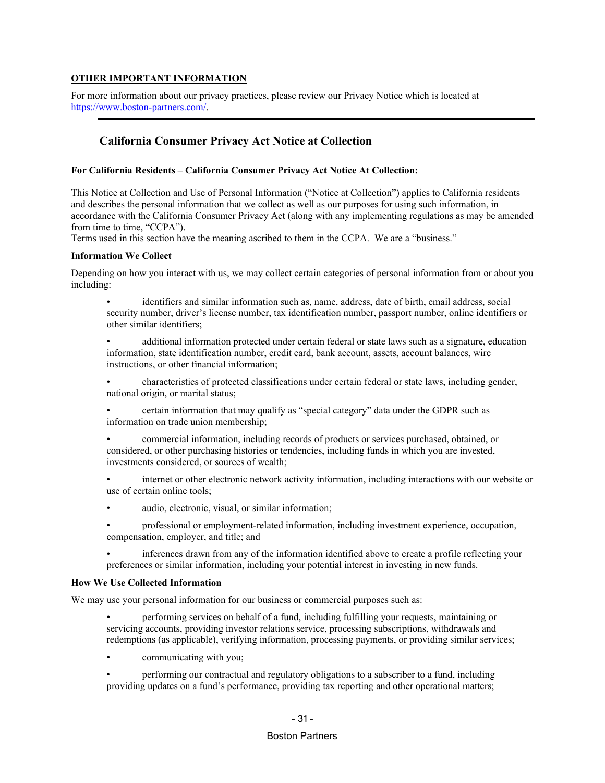#### **OTHER IMPORTANT INFORMATION**

For more information about our privacy practices, please review our Privacy Notice which is located at [https://www.boston-partners.com/.](https://www.boston-partners.com/)

### **California Consumer Privacy Act Notice at Collection**

#### **For California Residents – California Consumer Privacy Act Notice At Collection:**

This Notice at Collection and Use of Personal Information ("Notice at Collection") applies to California residents and describes the personal information that we collect as well as our purposes for using such information, in accordance with the California Consumer Privacy Act (along with any implementing regulations as may be amended from time to time, "CCPA").

Terms used in this section have the meaning ascribed to them in the CCPA. We are a "business."

#### **Information We Collect**

Depending on how you interact with us, we may collect certain categories of personal information from or about you including:

• identifiers and similar information such as, name, address, date of birth, email address, social security number, driver's license number, tax identification number, passport number, online identifiers or other similar identifiers;

• additional information protected under certain federal or state laws such as a signature, education information, state identification number, credit card, bank account, assets, account balances, wire instructions, or other financial information;

• characteristics of protected classifications under certain federal or state laws, including gender, national origin, or marital status;

• certain information that may qualify as "special category" data under the GDPR such as information on trade union membership;

• commercial information, including records of products or services purchased, obtained, or considered, or other purchasing histories or tendencies, including funds in which you are invested, investments considered, or sources of wealth;

• internet or other electronic network activity information, including interactions with our website or use of certain online tools;

audio, electronic, visual, or similar information;

• professional or employment-related information, including investment experience, occupation, compensation, employer, and title; and

• inferences drawn from any of the information identified above to create a profile reflecting your preferences or similar information, including your potential interest in investing in new funds.

#### **How We Use Collected Information**

We may use your personal information for our business or commercial purposes such as:

• performing services on behalf of a fund, including fulfilling your requests, maintaining or servicing accounts, providing investor relations service, processing subscriptions, withdrawals and redemptions (as applicable), verifying information, processing payments, or providing similar services;

communicating with you;

• performing our contractual and regulatory obligations to a subscriber to a fund, including providing updates on a fund's performance, providing tax reporting and other operational matters;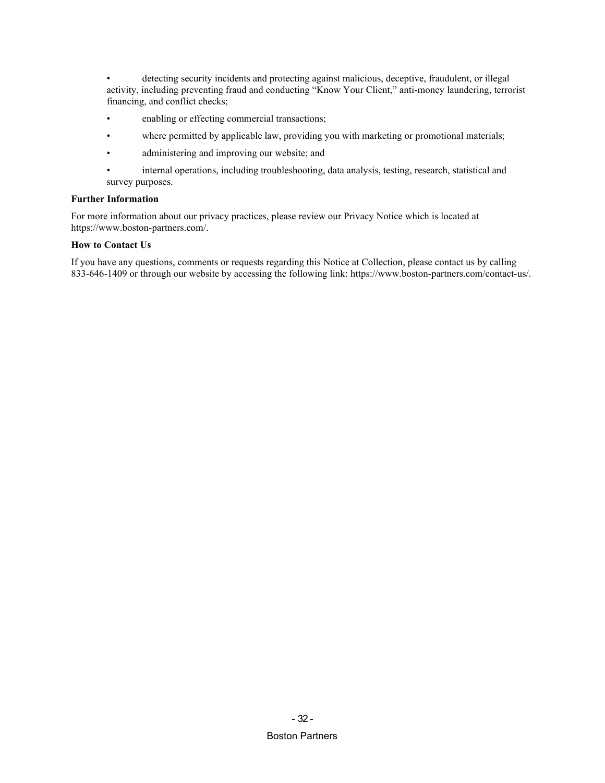detecting security incidents and protecting against malicious, deceptive, fraudulent, or illegal activity, including preventing fraud and conducting "Know Your Client," anti-money laundering, terrorist financing, and conflict checks;

- enabling or effecting commercial transactions;
- where permitted by applicable law, providing you with marketing or promotional materials;
- administering and improving our website; and
- internal operations, including troubleshooting, data analysis, testing, research, statistical and survey purposes.

#### **Further Information**

For more information about our privacy practices, please review our Privacy Notice which is located at https://www.boston-partners.com/.

#### **How to Contact Us**

If you have any questions, comments or requests regarding this Notice at Collection, please contact us by calling 833-646-1409 or through our website by accessing the following link: https://www.boston-partners.com/contact-us/.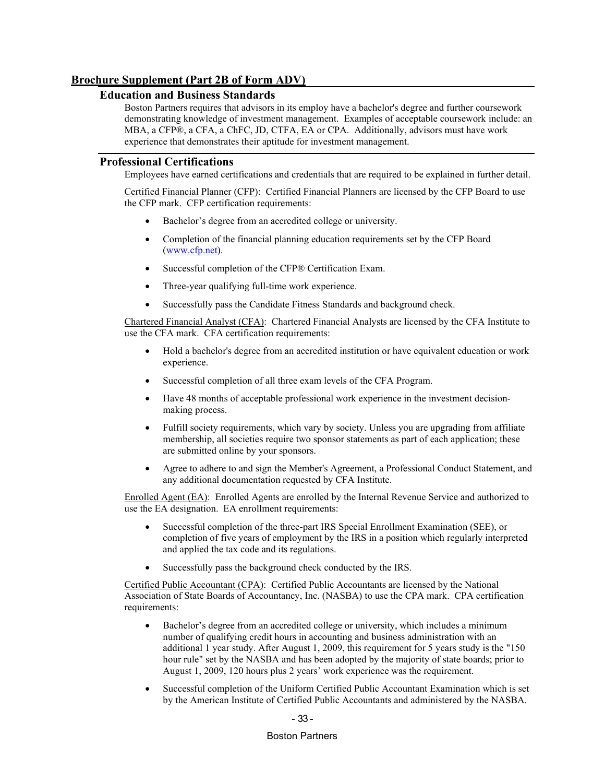### **Brochure Supplement (Part 2B of Form ADV)**

#### **Education and Business Standards**

Boston Partners requires that advisors in its employ have a bachelor's degree and further coursework demonstrating knowledge of investment management. Examples of acceptable coursework include: an MBA, a CFP®, a CFA, a ChFC, JD, CTFA, EA or CPA. Additionally, advisors must have work experience that demonstrates their aptitude for investment management.

#### **Professional Certifications**

Employees have earned certifications and credentials that are required to be explained in further detail.

Certified Financial Planner (CFP): Certified Financial Planners are licensed by the CFP Board to use the CFP mark. CFP certification requirements:

- Bachelor's degree from an accredited college or university.
- Completion of the financial planning education requirements set by the CFP Board ([www.cfp.net](http://www.cfp.net/)).
- Successful completion of the CFP® Certification Exam.
- Three-year qualifying full-time work experience.
- Successfully pass the Candidate Fitness Standards and background check.

Chartered Financial Analyst (CFA): Chartered Financial Analysts are licensed by the CFA Institute to use the CFA mark. CFA certification requirements:

- Hold a bachelor's degree from an accredited institution or have equivalent education or work experience.
- Successful completion of all three exam levels of the CFA Program.
- Have 48 months of [acceptable professional work experience](http://www.cfainstitute.org/about/membership/process/Pages/work_experience.aspx) in the investment decisionmaking process.
- Fulfill society requirements, which vary by society. Unless you are upgrading from affiliate membership, all societies requir[e two sponsor statements](http://www.cfainstitute.org/about/membership/process/Pages/membership_sponsors.aspx) as part of each application; these are submitted online by your sponsors.
- Agree to adhere to and sign the Member's Agreement, a [Professional Conduct Statement,](http://www.cfainstitute.org/ethics/conduct/Pages/about_pcs.aspx) and any additional documentation requested by CFA Institute.

Enrolled Agent (EA): Enrolled Agents are enrolled by the Internal Revenue Service and authorized to use the EA designation. EA enrollment requirements:

- Successful completion of the three-part IRS Special Enrollment Examination (SEE), or completion of five years of employment by the IRS in a position which regularly interpreted and applied the tax code and its regulations.
- Successfully pass the background check conducted by the IRS.

Certified Public Accountant (CPA): Certified Public Accountants are licensed by the National Association of State Boards of Accountancy, Inc. (NASBA) to use the CPA mark. CPA certification requirements:

- Bachelor's degree from an accredited college or university, which includes a minimum number of qualifying credit hours in accounting and business administration with an additional 1 year study. After August 1, 2009, this requirement for 5 years study is the "150 hour rule" set by the NASBA and has been adopted by the majority of state boards; prior to August 1, 2009, 120 hours plus 2 years' work experience was the requirement.
- Successful completion of the Uniform Certified Public Accountant Examination which is set by the American Institute of Certified Public Accountants and administered by the NASBA.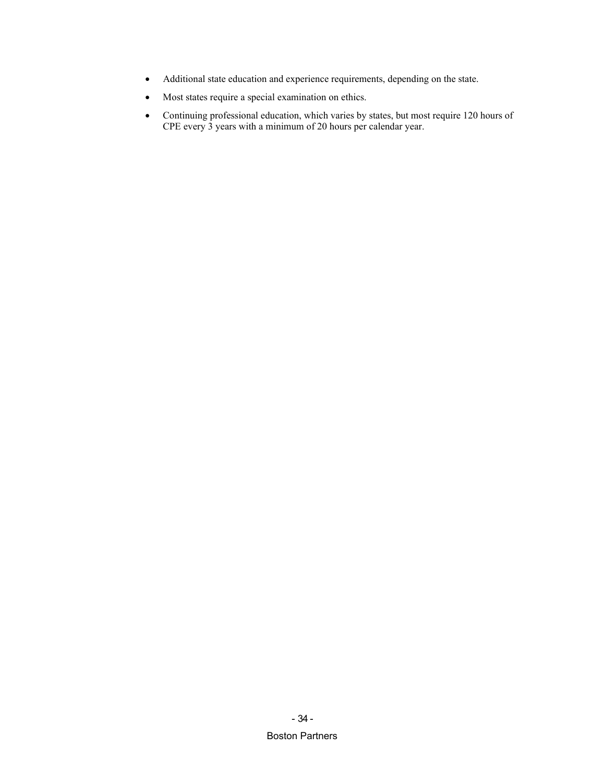- Additional state education and experience requirements, depending on the state.
- Most states require a special examination on ethics.
- Continuing professional education, which varies by states, but most require 120 hours of CPE every 3 years with a minimum of 20 hours per calendar year.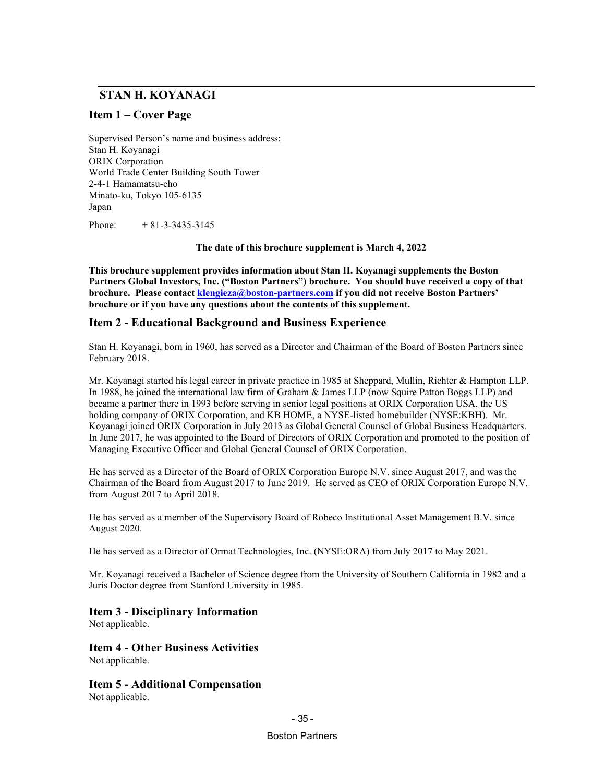## **STAN H. KOYANAGI**

### **Item 1 – Cover Page**

Supervised Person's name and business address: Stan H. Koyanagi ORIX Corporation World Trade Center Building South Tower 2-4-1 Hamamatsu-cho Minato-ku, Tokyo 105-6135 Japan

Phone:  $+ 81 - 3 - 3435 - 3145$ 

**The date of this brochure supplement is March 4, 2022**

**This brochure supplement provides information about Stan H. Koyanagi supplements the Boston Partners Global Investors, Inc. ("Boston Partners") brochure. You should have received a copy of that brochure.** Please contact *[klengieza@boston-partners.com](mailto:william.butterly@robecoinvest.com)* if you did not receive Boston Partners' **brochure or if you have any questions about the contents of this supplement.**

#### **Item 2 - Educational Background and Business Experience**

Stan H. Koyanagi, born in 1960, has served as a Director and Chairman of the Board of Boston Partners since February 2018.

Mr. Koyanagi started his legal career in private practice in 1985 at Sheppard, Mullin, Richter & Hampton LLP. In 1988, he joined the international law firm of Graham & James LLP (now Squire Patton Boggs LLP) and became a partner there in 1993 before serving in senior legal positions at ORIX Corporation USA, the US holding company of ORIX Corporation, and KB HOME, a NYSE-listed homebuilder (NYSE:KBH). Mr. Koyanagi joined ORIX Corporation in July 2013 as Global General Counsel of Global Business Headquarters. In June 2017, he was appointed to the Board of Directors of ORIX Corporation and promoted to the position of Managing Executive Officer and Global General Counsel of ORIX Corporation.

He has served as a Director of the Board of ORIX Corporation Europe N.V. since August 2017, and was the Chairman of the Board from August 2017 to June 2019. He served as CEO of ORIX Corporation Europe N.V. from August 2017 to April 2018.

He has served as a member of the Supervisory Board of Robeco Institutional Asset Management B.V. since August 2020.

He has served as a Director of Ormat Technologies, Inc. (NYSE:ORA) from July 2017 to May 2021.

Mr. Koyanagi received a Bachelor of Science degree from the University of Southern California in 1982 and a Juris Doctor degree from Stanford University in 1985.

### **Item 3 - Disciplinary Information**

Not applicable.

**Item 4 - Other Business Activities** Not applicable.

**Item 5 - Additional Compensation** Not applicable.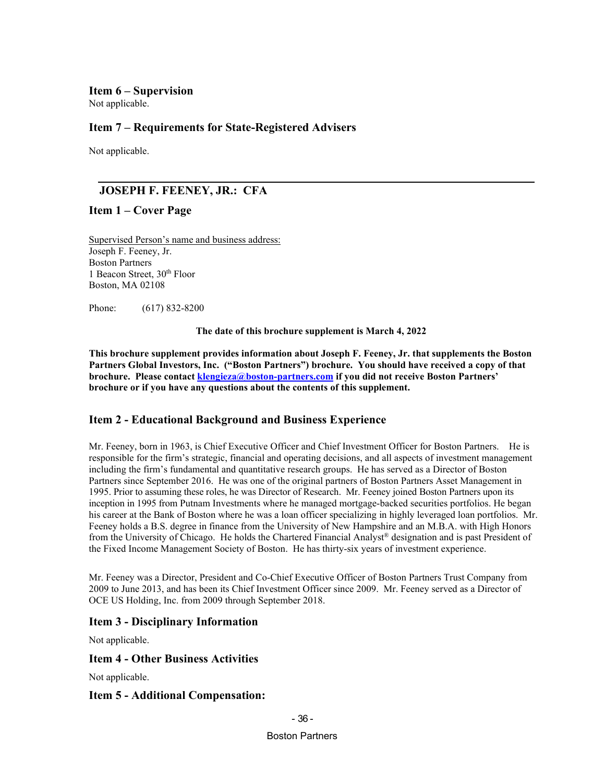### **Item 6 – Supervision**

Not applicable.

## **Item 7 – Requirements for State-Registered Advisers**

Not applicable.

## **JOSEPH F. FEENEY, JR.: CFA**

### **Item 1 – Cover Page**

Supervised Person's name and business address: Joseph F. Feeney, Jr. Boston Partners 1 Beacon Street, 30<sup>th</sup> Floor Boston, MA 02108

Phone: (617) 832-8200

**The date of this brochure supplement is March 4, 2022**

**This brochure supplement provides information about Joseph F. Feeney, Jr. that supplements the Boston Partners Global Investors, Inc. ("Boston Partners") brochure. You should have received a copy of that brochure. Please contact** *[klengieza@boston-partners.com](mailto:william.butterly@robecoinvest.com)* if you did not receive Boston Partners' **brochure or if you have any questions about the contents of this supplement.**

## **Item 2 - Educational Background and Business Experience**

Mr. Feeney, born in 1963, is Chief Executive Officer and Chief Investment Officer for Boston Partners. He is responsible for the firm's strategic, financial and operating decisions, and all aspects of investment management including the firm's fundamental and quantitative research groups. He has served as a Director of Boston Partners since September 2016. He was one of the original partners of Boston Partners Asset Management in 1995. Prior to assuming these roles, he was Director of Research. Mr. Feeney joined Boston Partners upon its inception in 1995 from Putnam Investments where he managed mortgage-backed securities portfolios. He began his career at the Bank of Boston where he was a loan officer specializing in highly leveraged loan portfolios. Mr. Feeney holds a B.S. degree in finance from the University of New Hampshire and an M.B.A. with High Honors from the University of Chicago. He holds the Chartered Financial Analyst® designation and is past President of the Fixed Income Management Society of Boston. He has thirty-six years of investment experience.

Mr. Feeney was a Director, President and Co-Chief Executive Officer of Boston Partners Trust Company from 2009 to June 2013, and has been its Chief Investment Officer since 2009. Mr. Feeney served as a Director of OCE US Holding, Inc. from 2009 through September 2018.

## **Item 3 - Disciplinary Information**

Not applicable.

### **Item 4 - Other Business Activities**

Not applicable.

### **Item 5 - Additional Compensation:**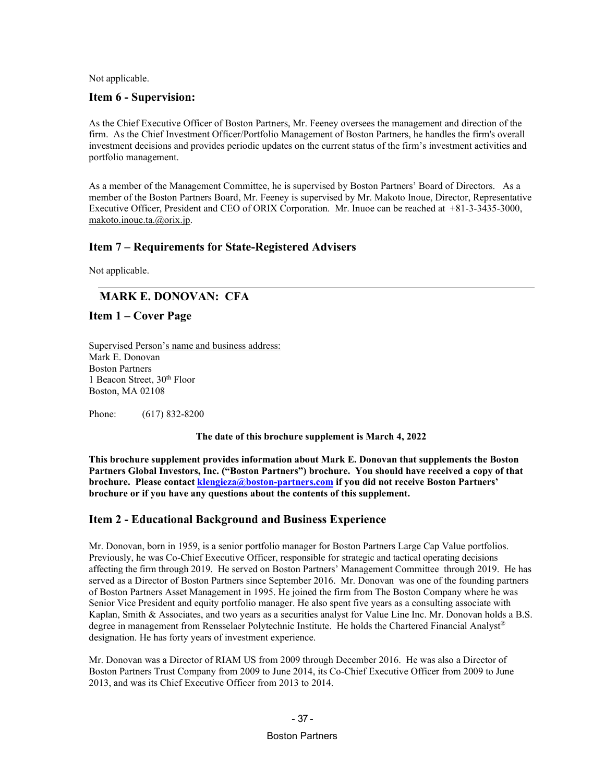#### **Item 6 - Supervision:**

As the Chief Executive Officer of Boston Partners, Mr. Feeney oversees the management and direction of the firm. As the Chief Investment Officer/Portfolio Management of Boston Partners, he handles the firm's overall investment decisions and provides periodic updates on the current status of the firm's investment activities and portfolio management.

As a member of the Management Committee, he is supervised by Boston Partners' Board of Directors. As a member of the Boston Partners Board, Mr. Feeney is supervised by Mr. Makoto Inoue, Director, Representative Executive Officer, President and CEO of ORIX Corporation. Mr. Inuoe can be reached at +81-3-3435-3000, [makoto.inoue.ta.@orix.jp](mailto:makoto.inoue.ta.@orix.jp).

### **Item 7 – Requirements for State-Registered Advisers**

Not applicable.

## **MARK E. DONOVAN: CFA**

**Item 1 – Cover Page**

Supervised Person's name and business address: Mark E. Donovan Boston Partners 1 Beacon Street, 30<sup>th</sup> Floor Boston, MA 02108

Phone: (617) 832-8200

**The date of this brochure supplement is March 4, 2022**

**This brochure supplement provides information about Mark E. Donovan that supplements the Boston Partners Global Investors, Inc. ("Boston Partners") brochure. You should have received a copy of that brochure.** Please contact *[klengieza@boston-partners.com](mailto:william.butterly@robecoinvest.com)* if you did not receive Boston Partners' **brochure or if you have any questions about the contents of this supplement.**

## **Item 2 - Educational Background and Business Experience**

Mr. Donovan, born in 1959, is a senior portfolio manager for Boston Partners Large Cap Value portfolios. Previously, he was Co-Chief Executive Officer, responsible for strategic and tactical operating decisions affecting the firm through 2019. He served on Boston Partners' Management Committee through 2019. He has served as a Director of Boston Partners since September 2016. Mr. Donovan was one of the founding partners of Boston Partners Asset Management in 1995. He joined the firm from The Boston Company where he was Senior Vice President and equity portfolio manager. He also spent five years as a consulting associate with Kaplan, Smith & Associates, and two years as a securities analyst for Value Line Inc. Mr. Donovan holds a B.S. degree in management from Rensselaer Polytechnic Institute. He holds the Chartered Financial Analyst® designation. He has forty years of investment experience.

Mr. Donovan was a Director of RIAM US from 2009 through December 2016. He was also a Director of Boston Partners Trust Company from 2009 to June 2014, its Co-Chief Executive Officer from 2009 to June 2013, and was its Chief Executive Officer from 2013 to 2014.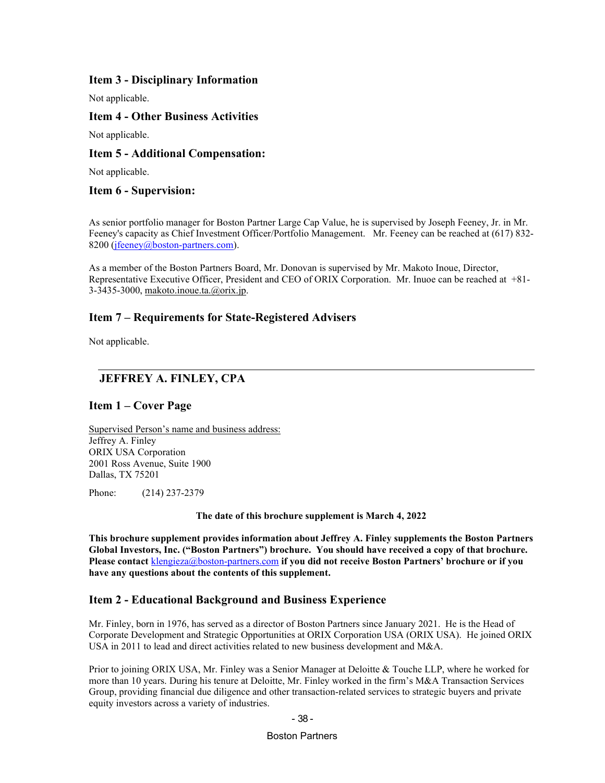### **Item 3 - Disciplinary Information**

Not applicable.

### **Item 4 - Other Business Activities**

Not applicable.

### **Item 5 - Additional Compensation:**

Not applicable.

### **Item 6 - Supervision:**

As senior portfolio manager for Boston Partner Large Cap Value, he is supervised by Joseph Feeney, Jr. in Mr. Feeney's capacity as Chief Investment Officer/Portfolio Management. Mr. Feeney can be reached at (617) 832- 8200 (*[jfeeney@boston-partners.com](mailto:jfeeney@boston-partners.com)*).

As a member of the Boston Partners Board, Mr. Donovan is supervised by Mr. Makoto Inoue, Director, Representative Executive Officer, President and CEO of ORIX Corporation. Mr. Inuoe can be reached at +81- 3-3435-3000[,](mailto:makoto.inoue.ta.@orix.jp) [makoto.inoue.ta.@orix.jp](mailto:makoto.inoue.ta.@orix.jp).

### **Item 7 – Requirements for State-Registered Advisers**

Not applicable.

## **JEFFREY A. FINLEY, CPA**

### **Item 1 – Cover Page**

Supervised Person's name and business address: Jeffrey A. Finley ORIX USA Corporation 2001 Ross Avenue, Suite 1900 Dallas, TX 75201

Phone: (214) 237-2379

**The date of this brochure supplement is March 4, 2022**

**This brochure supplement provides information about Jeffrey A. Finley supplements the Boston Partners Global Investors, Inc. ("Boston Partners") brochure. You should have received a copy of that brochure. Please contact** [klengieza@boston-partners.com](mailto:william.butterly@robecoinvest.com) **if you did not receive Boston Partners' brochure or if you have any questions about the contents of this supplement.**

### **Item 2 - Educational Background and Business Experience**

Mr. Finley, born in 1976, has served as a director of Boston Partners since January 2021. He is the Head of Corporate Development and Strategic Opportunities at ORIX Corporation USA (ORIX USA). He joined ORIX USA in 2011 to lead and direct activities related to new business development and M&A.

Prior to joining ORIX USA, Mr. Finley was a Senior Manager at Deloitte & Touche LLP, where he worked for more than 10 years. During his tenure at Deloitte, Mr. Finley worked in the firm's M&A Transaction Services Group, providing financial due diligence and other transaction-related services to strategic buyers and private equity investors across a variety of industries.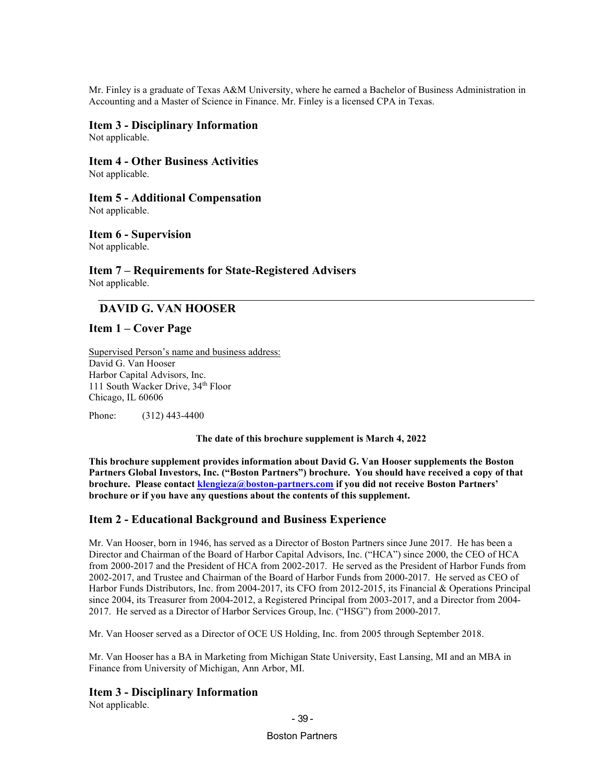Mr. Finley is a graduate of Texas A&M University, where he earned a Bachelor of Business Administration in Accounting and a Master of Science in Finance. Mr. Finley is a licensed CPA in Texas.

#### **Item 3 - Disciplinary Information**

Not applicable.

# **Item 4 - Other Business Activities**

Not applicable.

### **Item 5 - Additional Compensation**

Not applicable.

## **Item 6 - Supervision**

Not applicable.

#### **Item 7 – Requirements for State-Registered Advisers** Not applicable.

## **DAVID G. VAN HOOSER**

### **Item 1 – Cover Page**

Supervised Person's name and business address: David G. Van Hooser Harbor Capital Advisors, Inc. 111 South Wacker Drive, 34<sup>th</sup> Floor Chicago, IL 60606

Phone: (312) 443-4400

**The date of this brochure supplement is March 4, 2022**

**This brochure supplement provides information about David G. Van Hooser supplements the Boston Partners Global Investors, Inc. ("Boston Partners") brochure. You should have received a copy of that brochure. Please contac[t klengieza@boston-partners.com](mailto:william.butterly@robecoinvest.com) if you did not receive Boston Partners' brochure or if you have any questions about the contents of this supplement.**

## **Item 2 - Educational Background and Business Experience**

Mr. Van Hooser, born in 1946, has served as a Director of Boston Partners since June 2017. He has been a Director and Chairman of the Board of Harbor Capital Advisors, Inc. ("HCA") since 2000, the CEO of HCA from 2000-2017 and the President of HCA from 2002-2017. He served as the President of Harbor Funds from 2002-2017, and Trustee and Chairman of the Board of Harbor Funds from 2000-2017. He served as CEO of Harbor Funds Distributors, Inc. from 2004-2017, its CFO from 2012-2015, its Financial & Operations Principal since 2004, its Treasurer from 2004-2012, a Registered Principal from 2003-2017, and a Director from 2004- 2017. He served as a Director of Harbor Services Group, Inc. ("HSG") from 2000-2017.

Mr. Van Hooser served as a Director of OCE US Holding, Inc. from 2005 through September 2018.

Mr. Van Hooser has a BA in Marketing from Michigan State University, East Lansing, MI and an MBA in Finance from University of Michigan, Ann Arbor, MI.

## **Item 3 - Disciplinary Information**

Not applicable.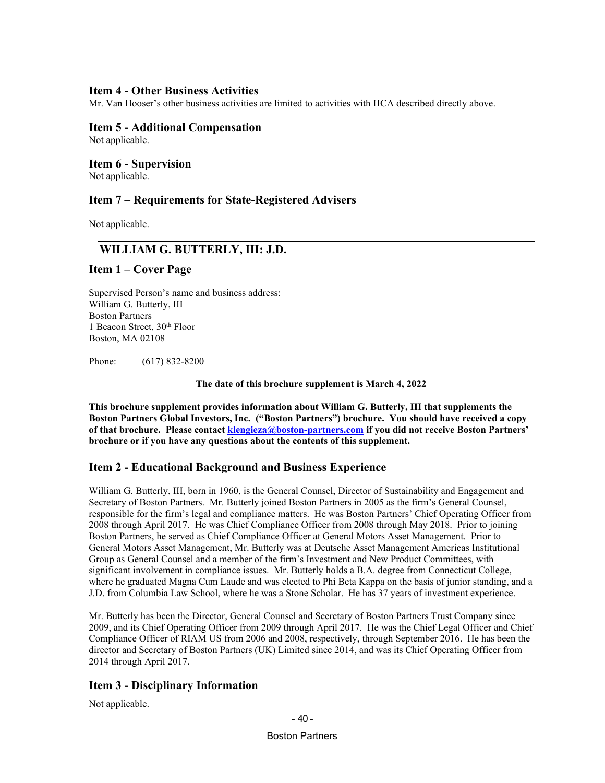### **Item 4 - Other Business Activities**

Mr. Van Hooser's other business activities are limited to activities with HCA described directly above.

#### **Item 5 - Additional Compensation**

Not applicable.

**Item 6 - Supervision**

Not applicable.

### **Item 7 – Requirements for State-Registered Advisers**

Not applicable.

### **WILLIAM G. BUTTERLY, III: J.D.**

#### **Item 1 – Cover Page**

Supervised Person's name and business address: William G. Butterly, III Boston Partners 1 Beacon Street, 30<sup>th</sup> Floor Boston, MA 02108

Phone: (617) 832-8200

**The date of this brochure supplement is March 4, 2022**

**This brochure supplement provides information about William G. Butterly, III that supplements the Boston Partners Global Investors, Inc. ("Boston Partners") brochure. You should have received a copy**  of that brochure. Please contact *[klengieza@boston-partners.com](mailto:william.butterly@robecoinvest.com)* if you did not receive Boston Partners' **brochure or if you have any questions about the contents of this supplement.**

### **Item 2 - Educational Background and Business Experience**

William G. Butterly, III, born in 1960, is the General Counsel, Director of Sustainability and Engagement and Secretary of Boston Partners. Mr. Butterly joined Boston Partners in 2005 as the firm's General Counsel, responsible for the firm's legal and compliance matters. He was Boston Partners' Chief Operating Officer from 2008 through April 2017. He was Chief Compliance Officer from 2008 through May 2018. Prior to joining Boston Partners, he served as Chief Compliance Officer at General Motors Asset Management. Prior to General Motors Asset Management, Mr. Butterly was at Deutsche Asset Management Americas Institutional Group as General Counsel and a member of the firm's Investment and New Product Committees, with significant involvement in compliance issues. Mr. Butterly holds a B.A. degree from Connecticut College, where he graduated Magna Cum Laude and was elected to Phi Beta Kappa on the basis of junior standing, and a J.D. from Columbia Law School, where he was a Stone Scholar. He has 37 years of investment experience.

Mr. Butterly has been the Director, General Counsel and Secretary of Boston Partners Trust Company since 2009, and its Chief Operating Officer from 2009 through April 2017. He was the Chief Legal Officer and Chief Compliance Officer of RIAM US from 2006 and 2008, respectively, through September 2016. He has been the director and Secretary of Boston Partners (UK) Limited since 2014, and was its Chief Operating Officer from 2014 through April 2017.

## **Item 3 - Disciplinary Information**

Not applicable.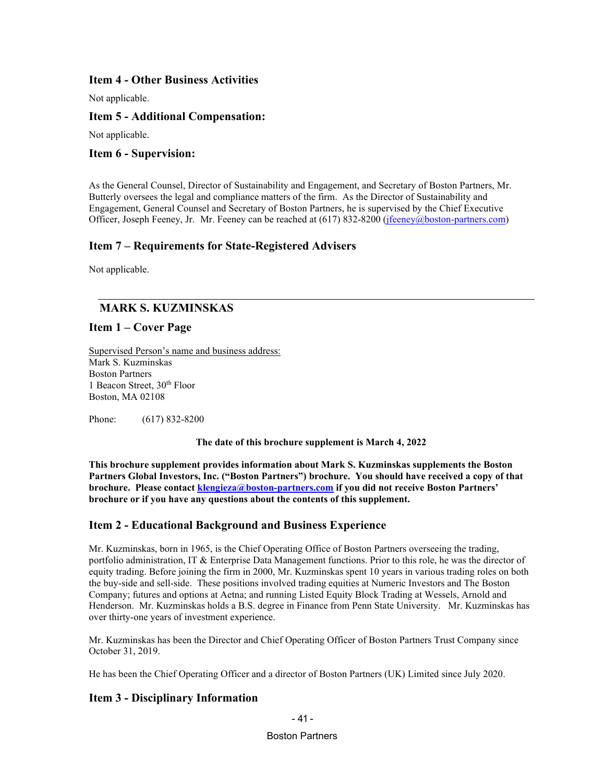### **Item 4 - Other Business Activities**

Not applicable.

### **Item 5 - Additional Compensation:**

Not applicable.

### **Item 6 - Supervision:**

As the General Counsel, Director of Sustainability and Engagement, and Secretary of Boston Partners, Mr. Butterly oversees the legal and compliance matters of the firm. As the Director of Sustainability and Engagement, General Counsel and Secretary of Boston Partners, he is supervised by the Chief Executive Officer, Joseph Feeney, Jr. Mr. Feeney can be reached at (617) 832-8200 (*[jfeeney@boston-partners.com](mailto:jfeeney@boston-partners.com)*)

### **Item 7 – Requirements for State-Registered Advisers**

Not applicable.

## **MARK S. KUZMINSKAS**

### **Item 1 – Cover Page**

Supervised Person's name and business address: Mark S. Kuzminskas Boston Partners 1 Beacon Street, 30th Floor Boston, MA 02108

Phone: (617) 832-8200

**The date of this brochure supplement is March 4, 2022**

**This brochure supplement provides information about Mark S. Kuzminskas supplements the Boston Partners Global Investors, Inc. ("Boston Partners") brochure. You should have received a copy of that brochure. Please contac[t klengieza@boston-partners.com](mailto:klengieza@boston-partners.com) if you did not receive Boston Partners' brochure or if you have any questions about the contents of this supplement.**

### **Item 2 - Educational Background and Business Experience**

Mr. Kuzminskas, born in 1965, is the Chief Operating Office of Boston Partners overseeing the trading, portfolio administration, IT & Enterprise Data Management functions. Prior to this role, he was the director of equity trading. Before joining the firm in 2000, Mr. Kuzminskas spent 10 years in various trading roles on both the buy-side and sell-side. These positions involved trading equities at Numeric Investors and The Boston Company; futures and options at Aetna; and running Listed Equity Block Trading at Wessels, Arnold and Henderson. Mr. Kuzminskas holds a B.S. degree in Finance from Penn State University. Mr. Kuzminskas has over thirty-one years of investment experience.

Mr. Kuzminskas has been the Director and Chief Operating Officer of Boston Partners Trust Company since October 31, 2019.

He has been the Chief Operating Officer and a director of Boston Partners (UK) Limited since July 2020.

## **Item 3 - Disciplinary Information**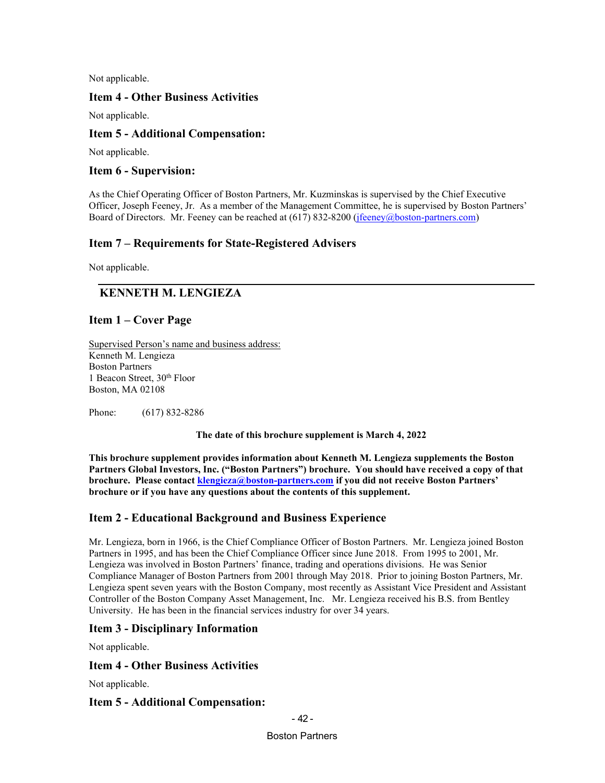### **Item 4 - Other Business Activities**

Not applicable.

### **Item 5 - Additional Compensation:**

Not applicable.

### **Item 6 - Supervision:**

As the Chief Operating Officer of Boston Partners, Mr. Kuzminskas is supervised by the Chief Executive Officer, Joseph Feeney, Jr. As a member of the Management Committee, he is supervised by Boston Partners' Board of Directors. Mr. Feeney can be reached at (617) 832-8200 (*[jfeeney@boston-partners.com](mailto:joseph.feeney@robecoinvest.com)*)

## **Item 7 – Requirements for State-Registered Advisers**

Not applicable.

## **KENNETH M. LENGIEZA**

### **Item 1 – Cover Page**

Supervised Person's name and business address: Kenneth M. Lengieza Boston Partners 1 Beacon Street, 30th Floor Boston, MA 02108

Phone: (617) 832-8286

**The date of this brochure supplement is March 4, 2022**

**This brochure supplement provides information about Kenneth M. Lengieza supplements the Boston Partners Global Investors, Inc. ("Boston Partners") brochure. You should have received a copy of that brochure. Please contac[t klengieza@boston-partners.com](mailto:klengieza@boston-partners.com) if you did not receive Boston Partners' brochure or if you have any questions about the contents of this supplement.**

### **Item 2 - Educational Background and Business Experience**

Mr. Lengieza, born in 1966, is the Chief Compliance Officer of Boston Partners. Mr. Lengieza joined Boston Partners in 1995, and has been the Chief Compliance Officer since June 2018. From 1995 to 2001, Mr. Lengieza was involved in Boston Partners' finance, trading and operations divisions. He was Senior Compliance Manager of Boston Partners from 2001 through May 2018. Prior to joining Boston Partners, Mr. Lengieza spent seven years with the Boston Company, most recently as Assistant Vice President and Assistant Controller of the Boston Company Asset Management, Inc. Mr. Lengieza received his B.S. from Bentley University. He has been in the financial services industry for over 34 years.

### **Item 3 - Disciplinary Information**

Not applicable.

### **Item 4 - Other Business Activities**

Not applicable.

### **Item 5 - Additional Compensation:**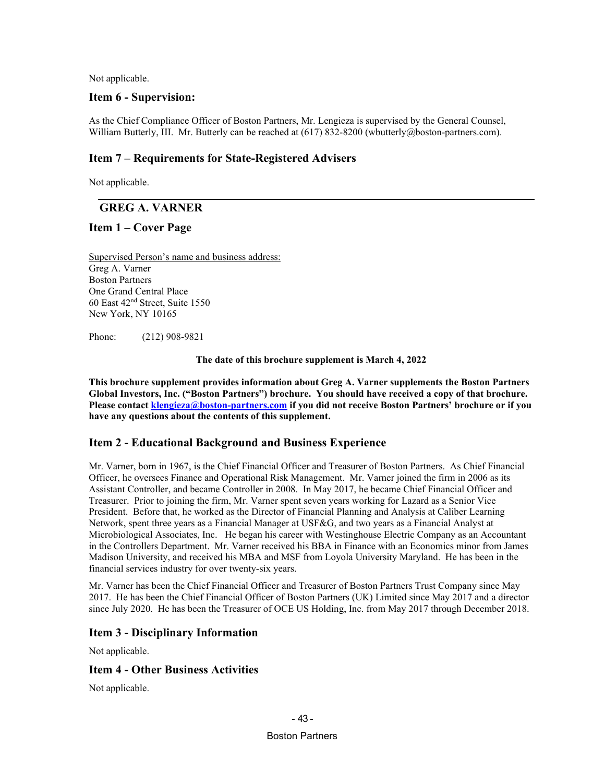### **Item 6 - Supervision:**

As the Chief Compliance Officer of Boston Partners, Mr. Lengieza is supervised by the General Counsel, William Butterly, III. Mr. Butterly can be reached at (617) 832-8200 (wbutterly@boston-partners.com).

## **Item 7 – Requirements for State-Registered Advisers**

Not applicable.

## **GREG A. VARNER**

## **Item 1 – Cover Page**

Supervised Person's name and business address: Greg A. Varner Boston Partners One Grand Central Place 60 East 42nd Street, Suite 1550 New York, NY 10165

Phone: (212) 908-9821

**The date of this brochure supplement is March 4, 2022**

**This brochure supplement provides information about Greg A. Varner supplements the Boston Partners Global Investors, Inc. ("Boston Partners") brochure. You should have received a copy of that brochure. Please contact [klengieza@boston-partners.com](mailto:william.butterly@robecoinvest.com) if you did not receive Boston Partners' brochure or if you have any questions about the contents of this supplement.**

## **Item 2 - Educational Background and Business Experience**

Mr. Varner, born in 1967, is the Chief Financial Officer and Treasurer of Boston Partners. As Chief Financial Officer, he oversees Finance and Operational Risk Management. Mr. Varner joined the firm in 2006 as its Assistant Controller, and became Controller in 2008. In May 2017, he became Chief Financial Officer and Treasurer. Prior to joining the firm, Mr. Varner spent seven years working for Lazard as a Senior Vice President. Before that, he worked as the Director of Financial Planning and Analysis at Caliber Learning Network, spent three years as a Financial Manager at USF&G, and two years as a Financial Analyst at Microbiological Associates, Inc. He began his career with Westinghouse Electric Company as an Accountant in the Controllers Department. Mr. Varner received his BBA in Finance with an Economics minor from James Madison University, and received his MBA and MSF from Loyola University Maryland. He has been in the financial services industry for over twenty-six years.

Mr. Varner has been the Chief Financial Officer and Treasurer of Boston Partners Trust Company since May 2017. He has been the Chief Financial Officer of Boston Partners (UK) Limited since May 2017 and a director since July 2020. He has been the Treasurer of OCE US Holding, Inc. from May 2017 through December 2018.

## **Item 3 - Disciplinary Information**

Not applicable.

## **Item 4 - Other Business Activities**

Not applicable.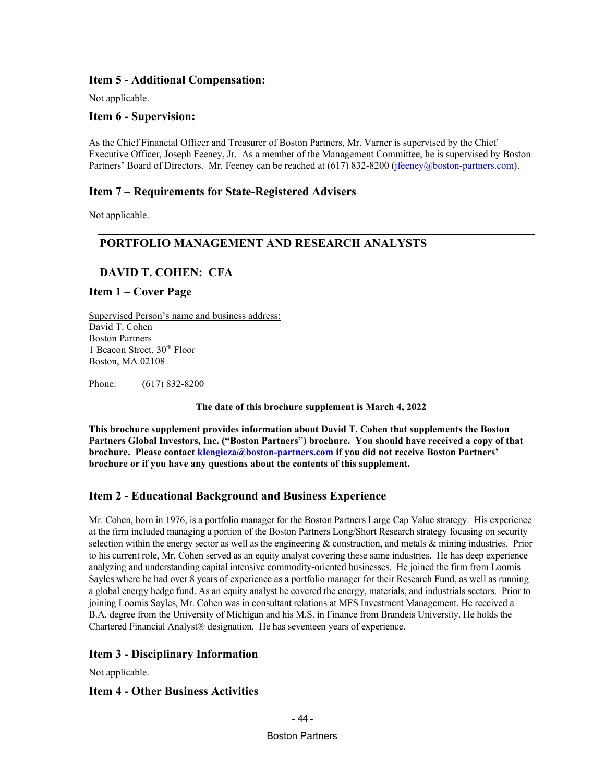## **Item 5 - Additional Compensation:**

Not applicable.

### **Item 6 - Supervision:**

As the Chief Financial Officer and Treasurer of Boston Partners, Mr. Varner is supervised by the Chief Executive Officer, Joseph Feeney, Jr. As a member of the Management Committee, he is supervised by Boston Partners' Board of Directors. Mr. Feeney can be reached at (617) 832-8200 (*ifeeney@boston-partners.com*).

### **Item 7 – Requirements for State-Registered Advisers**

Not applicable.

## **PORTFOLIO MANAGEMENT AND RESEARCH ANALYSTS**

## **DAVID T. COHEN: CFA**

## **Item 1 – Cover Page**

Supervised Person's name and business address: David T. Cohen Boston Partners 1 Beacon Street, 30th Floor Boston, MA 02108

Phone: (617) 832-8200

**The date of this brochure supplement is March 4, 2022**

**This brochure supplement provides information about David T. Cohen that supplements the Boston Partners Global Investors, Inc. ("Boston Partners") brochure. You should have received a copy of that brochure. Please contac[t klengieza@boston-partners.com](mailto:william.butterly@robecoinvest.com) if you did not receive Boston Partners' brochure or if you have any questions about the contents of this supplement.**

## **Item 2 - Educational Background and Business Experience**

Mr. Cohen, born in 1976, is a portfolio manager for the Boston Partners Large Cap Value strategy. His experience at the firm included managing a portion of the Boston Partners Long/Short Research strategy focusing on security selection within the energy sector as well as the engineering  $\&$  construction, and metals  $\&$  mining industries. Prior to his current role, Mr. Cohen served as an equity analyst covering these same industries. He has deep experience analyzing and understanding capital intensive commodity-oriented businesses. He joined the firm from Loomis Sayles where he had over 8 years of experience as a portfolio manager for their Research Fund, as well as running a global energy hedge fund. As an equity analyst he covered the energy, materials, and industrials sectors. Prior to joining Loomis Sayles, Mr. Cohen was in consultant relations at MFS Investment Management. He received a B.A. degree from the University of Michigan and his M.S. in Finance from Brandeis University. He holds the Chartered Financial Analyst® designation. He has seventeen years of experience.

## **Item 3 - Disciplinary Information**

Not applicable.

## **Item 4 - Other Business Activities**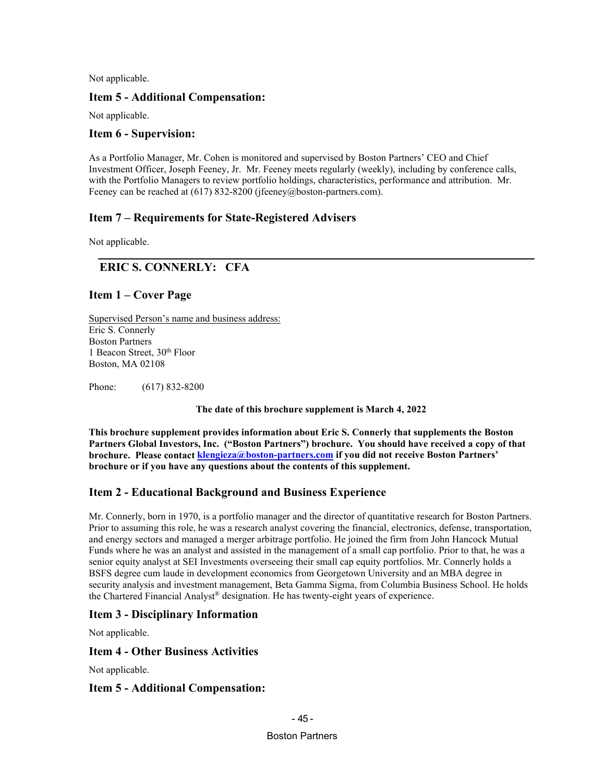### **Item 5 - Additional Compensation:**

Not applicable.

### **Item 6 - Supervision:**

As a Portfolio Manager, Mr. Cohen is monitored and supervised by Boston Partners' CEO and Chief Investment Officer, Joseph Feeney, Jr. Mr. Feeney meets regularly (weekly), including by conference calls, with the Portfolio Managers to review portfolio holdings, characteristics, performance and attribution. Mr. Feeney can be reached at (617) 832-8200 (jfeeney@boston-partners.com).

## **Item 7 – Requirements for State-Registered Advisers**

Not applicable.

## **ERIC S. CONNERLY: CFA**

## **Item 1 – Cover Page**

Supervised Person's name and business address: Eric S. Connerly Boston Partners 1 Beacon Street, 30<sup>th</sup> Floor Boston, MA 02108

Phone: (617) 832-8200

**The date of this brochure supplement is March 4, 2022**

**This brochure supplement provides information about Eric S. Connerly that supplements the Boston Partners Global Investors, Inc. ("Boston Partners") brochure. You should have received a copy of that brochure.** Please contact *[klengieza@boston-partners.com](mailto:william.butterly@robecoinvest.com)* if you did not receive Boston Partners' **brochure or if you have any questions about the contents of this supplement.**

## **Item 2 - Educational Background and Business Experience**

Mr. Connerly, born in 1970, is a portfolio manager and the director of quantitative research for Boston Partners. Prior to assuming this role, he was a research analyst covering the financial, electronics, defense, transportation, and energy sectors and managed a merger arbitrage portfolio. He joined the firm from John Hancock Mutual Funds where he was an analyst and assisted in the management of a small cap portfolio. Prior to that, he was a senior equity analyst at SEI Investments overseeing their small cap equity portfolios. Mr. Connerly holds a BSFS degree cum laude in development economics from Georgetown University and an MBA degree in security analysis and investment management, Beta Gamma Sigma, from Columbia Business School. He holds the Chartered Financial Analyst® designation. He has twenty-eight years of experience.

## **Item 3 - Disciplinary Information**

Not applicable.

## **Item 4 - Other Business Activities**

Not applicable.

### **Item 5 - Additional Compensation:**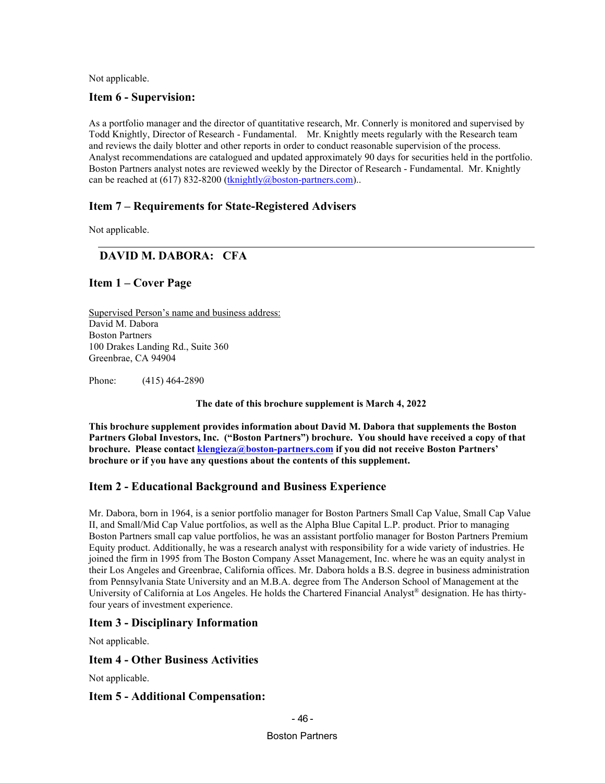### **Item 6 - Supervision:**

As a portfolio manager and the director of quantitative research, Mr. Connerly is monitored and supervised by Todd Knightly, Director of Research - Fundamental. Mr. Knightly meets regularly with the Research team and reviews the daily blotter and other reports in order to conduct reasonable supervision of the process. Analyst recommendations are catalogued and updated approximately 90 days for securities held in the portfolio. Boston Partners analyst notes are reviewed weekly by the Director of Research - Fundamental. Mr. Knightly can be reached at (617) 832-8200 (*[tknightly@boston-partners.com](mailto:tknightly@robecoinvest.com)*)..

## **Item 7 – Requirements for State-Registered Advisers**

Not applicable.

## **DAVID M. DABORA: CFA**

## **Item 1 – Cover Page**

Supervised Person's name and business address: David M. Dabora Boston Partners 100 Drakes Landing Rd., Suite 360 Greenbrae, CA 94904

Phone: (415) 464-2890

**The date of this brochure supplement is March 4, 2022**

**This brochure supplement provides information about David M. Dabora that supplements the Boston Partners Global Investors, Inc. ("Boston Partners") brochure. You should have received a copy of that brochure. Please contact** *[klengieza@boston-partners.com](mailto:william.butterly@robecoinvest.com)* **if you did not receive Boston Partners' brochure or if you have any questions about the contents of this supplement.**

## **Item 2 - Educational Background and Business Experience**

Mr. Dabora, born in 1964, is a senior portfolio manager for Boston Partners Small Cap Value, Small Cap Value II, and Small/Mid Cap Value portfolios, as well as the Alpha Blue Capital L.P. product. Prior to managing Boston Partners small cap value portfolios, he was an assistant portfolio manager for Boston Partners Premium Equity product. Additionally, he was a research analyst with responsibility for a wide variety of industries. He joined the firm in 1995 from The Boston Company Asset Management, Inc. where he was an equity analyst in their Los Angeles and Greenbrae, California offices. Mr. Dabora holds a B.S. degree in business administration from Pennsylvania State University and an M.B.A. degree from The Anderson School of Management at the University of California at Los Angeles. He holds the Chartered Financial Analyst® designation. He has thirtyfour years of investment experience.

## **Item 3 - Disciplinary Information**

Not applicable.

### **Item 4 - Other Business Activities**

Not applicable.

### **Item 5 - Additional Compensation:**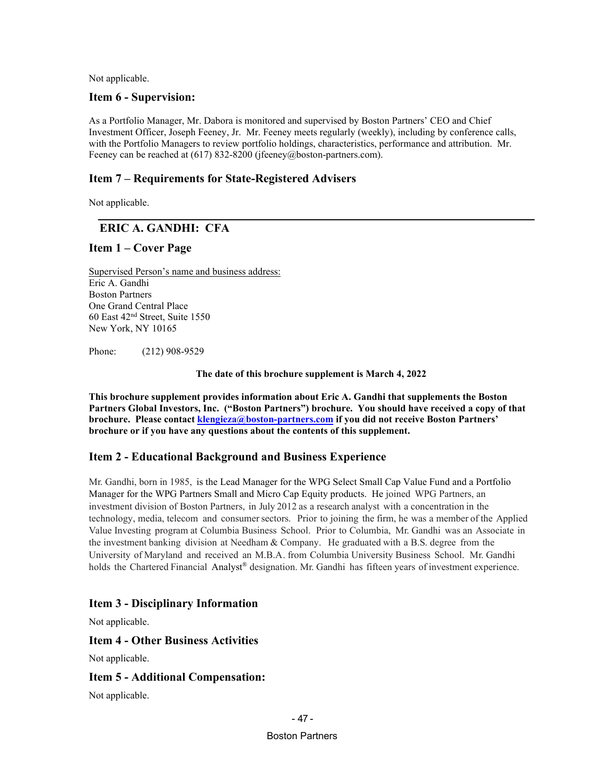### **Item 6 - Supervision:**

As a Portfolio Manager, Mr. Dabora is monitored and supervised by Boston Partners' CEO and Chief Investment Officer, Joseph Feeney, Jr. Mr. Feeney meets regularly (weekly), including by conference calls, with the Portfolio Managers to review portfolio holdings, characteristics, performance and attribution. Mr. Feeney can be reached at (617) 832-8200 (jfeeney@boston-partners.com).

## **Item 7 – Requirements for State-Registered Advisers**

Not applicable.

## **ERIC A. GANDHI: CFA**

## **Item 1 – Cover Page**

Supervised Person's name and business address: Eric A. Gandhi Boston Partners One Grand Central Place 60 East 42nd Street, Suite 1550 New York, NY 10165

Phone: (212) 908-9529

**The date of this brochure supplement is March 4, 2022**

**This brochure supplement provides information about Eric A. Gandhi that supplements the Boston Partners Global Investors, Inc. ("Boston Partners") brochure. You should have received a copy of that brochure.** Please contact *[klengieza@boston-partners.com](mailto:william.butterly@robecoinvest.com)* if you did not receive Boston Partners' **brochure or if you have any questions about the contents of this supplement.**

## **Item 2 - Educational Background and Business Experience**

Mr. Gandhi, born in 1985, is the Lead Manager for the WPG Select Small Cap Value Fund and a Portfolio Manager for the WPG Partners Small and Micro Cap Equity products. He joined WPG Partners, an investment division of Boston Partners, in July 2012 as a research analyst with a concentration in the technology, media, telecom and consumersectors. Prior to joining the firm, he was a member of the Applied Value Investing program at Columbia Business School. Prior to Columbia, Mr. Gandhi was an Associate in the investment banking division at Needham & Company. He graduated with a B.S. degree from the University of Maryland and received an M.B.A. from Columbia University Business School. Mr. Gandhi holds the Chartered Financial Analyst® designation. Mr. Gandhi has fifteen years of investment experience.

## **Item 3 - Disciplinary Information**

Not applicable.

### **Item 4 - Other Business Activities**

Not applicable.

### **Item 5 - Additional Compensation:**

Not applicable.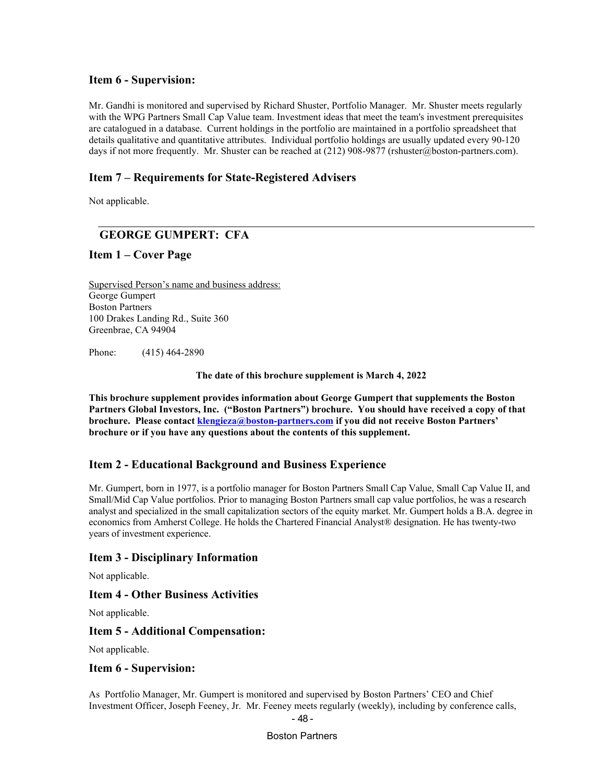### **Item 6 - Supervision:**

Mr. Gandhi is monitored and supervised by Richard Shuster, Portfolio Manager. Mr. Shuster meets regularly with the WPG Partners Small Cap Value team. Investment ideas that meet the team's investment prerequisites are catalogued in a database. Current holdings in the portfolio are maintained in a portfolio spreadsheet that details qualitative and quantitative attributes. Individual portfolio holdings are usually updated every 90-120 days if not more frequently. Mr. Shuster can be reached at (212) 908-9877 (rshuster@boston-partners.com).

### **Item 7 – Requirements for State-Registered Advisers**

Not applicable.

## **GEORGE GUMPERT: CFA**

### **Item 1 – Cover Page**

Supervised Person's name and business address: George Gumpert Boston Partners 100 Drakes Landing Rd., Suite 360 Greenbrae, CA 94904

Phone: (415) 464-2890

**The date of this brochure supplement is March 4, 2022**

**This brochure supplement provides information about George Gumpert that supplements the Boston Partners Global Investors, Inc. ("Boston Partners") brochure. You should have received a copy of that brochure. Please contact** *[klengieza@boston-partners.com](mailto:william.butterly@robecoinvest.com)* if you did not receive Boston Partners' **brochure or if you have any questions about the contents of this supplement.**

### **Item 2 - Educational Background and Business Experience**

Mr. Gumpert, born in 1977, is a portfolio manager for Boston Partners Small Cap Value, Small Cap Value II, and Small/Mid Cap Value portfolios. Prior to managing Boston Partners small cap value portfolios, he was a research analyst and specialized in the small capitalization sectors of the equity market. Mr. Gumpert holds a B.A. degree in economics from Amherst College. He holds the Chartered Financial Analyst® designation. He has twenty-two years of investment experience.

### **Item 3 - Disciplinary Information**

Not applicable.

### **Item 4 - Other Business Activities**

Not applicable.

#### **Item 5 - Additional Compensation:**

Not applicable.

#### **Item 6 - Supervision:**

As Portfolio Manager, Mr. Gumpert is monitored and supervised by Boston Partners' CEO and Chief Investment Officer, Joseph Feeney, Jr. Mr. Feeney meets regularly (weekly), including by conference calls,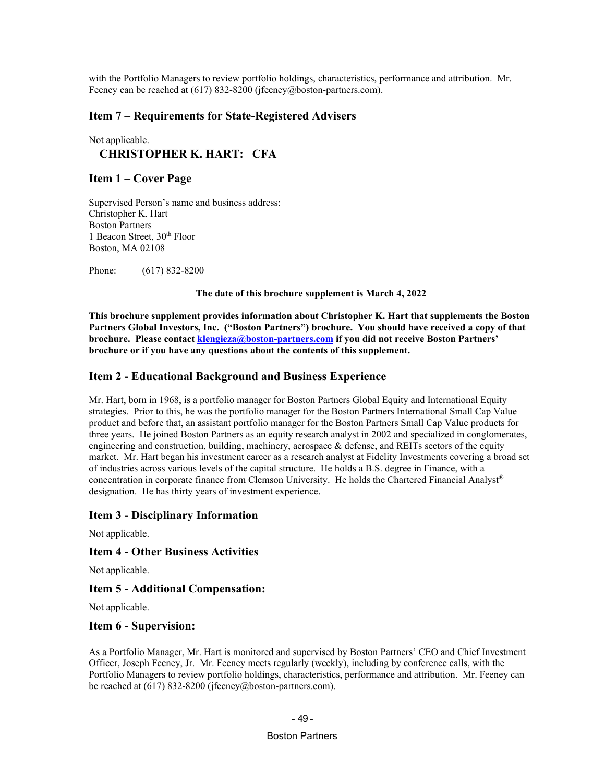with the Portfolio Managers to review portfolio holdings, characteristics, performance and attribution. Mr. Feeney can be reached at (617) 832-8200 (jfeeney@boston-partners.com).

### **Item 7 – Requirements for State-Registered Advisers**

#### Not applicable.

## **CHRISTOPHER K. HART: CFA**

#### **Item 1 – Cover Page**

Supervised Person's name and business address: Christopher K. Hart Boston Partners 1 Beacon Street, 30<sup>th</sup> Floor Boston, MA 02108

Phone: (617) 832-8200

**The date of this brochure supplement is March 4, 2022**

**This brochure supplement provides information about Christopher K. Hart that supplements the Boston Partners Global Investors, Inc. ("Boston Partners") brochure. You should have received a copy of that brochure. Please contact** *[klengieza@boston-partners.com](mailto:william.butterly@robecoinvest.com)* **if you did not receive Boston Partners' brochure or if you have any questions about the contents of this supplement.**

### **Item 2 - Educational Background and Business Experience**

Mr. Hart, born in 1968, is a portfolio manager for Boston Partners Global Equity and International Equity strategies. Prior to this, he was the portfolio manager for the Boston Partners International Small Cap Value product and before that, an assistant portfolio manager for the Boston Partners Small Cap Value products for three years. He joined Boston Partners as an equity research analyst in 2002 and specialized in conglomerates, engineering and construction, building, machinery, aerospace & defense, and REITs sectors of the equity market. Mr. Hart began his investment career as a research analyst at Fidelity Investments covering a broad set of industries across various levels of the capital structure. He holds a B.S. degree in Finance, with a concentration in corporate finance from Clemson University. He holds the Chartered Financial Analyst® designation. He has thirty years of investment experience.

### **Item 3 - Disciplinary Information**

Not applicable.

#### **Item 4 - Other Business Activities**

Not applicable.

#### **Item 5 - Additional Compensation:**

Not applicable.

#### **Item 6 - Supervision:**

As a Portfolio Manager, Mr. Hart is monitored and supervised by Boston Partners' CEO and Chief Investment Officer, Joseph Feeney, Jr. Mr. Feeney meets regularly (weekly), including by conference calls, with the Portfolio Managers to review portfolio holdings, characteristics, performance and attribution. Mr. Feeney can be reached at (617) 832-8200 (jfeeney@boston-partners.com).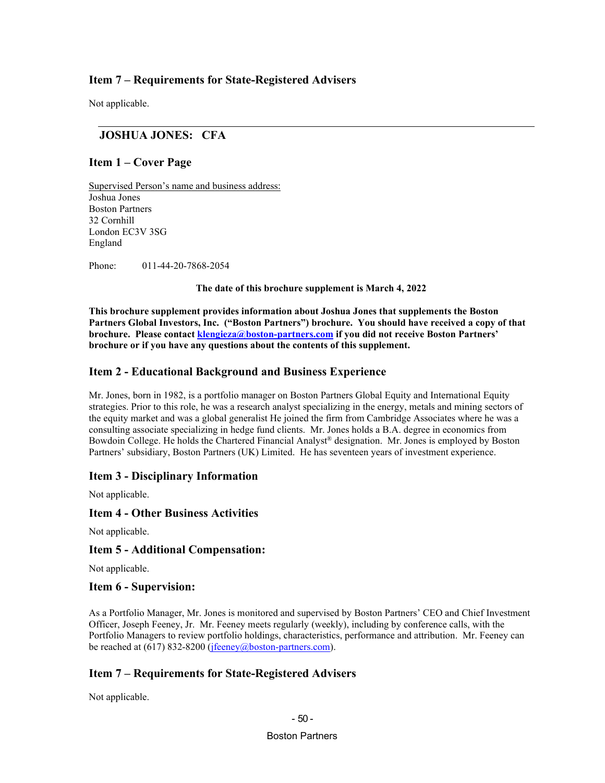## **Item 7 – Requirements for State-Registered Advisers**

Not applicable.

## **JOSHUA JONES: CFA**

### **Item 1 – Cover Page**

Supervised Person's name and business address: Joshua Jones Boston Partners 32 Cornhill London EC3V 3SG England

Phone: 011-44-20-7868-2054

**The date of this brochure supplement is March 4, 2022**

**This brochure supplement provides information about Joshua Jones that supplements the Boston Partners Global Investors, Inc. ("Boston Partners") brochure. You should have received a copy of that brochure. Please contact** *[klengieza@boston-partners.com](mailto:william.butterly@robecoinvest.com)* **if you did not receive Boston Partners' brochure or if you have any questions about the contents of this supplement.**

### **Item 2 - Educational Background and Business Experience**

Mr. Jones, born in 1982, is a portfolio manager on Boston Partners Global Equity and International Equity strategies. Prior to this role, he was a research analyst specializing in the energy, metals and mining sectors of the equity market and was a global generalist He joined the firm from Cambridge Associates where he was a consulting associate specializing in hedge fund clients. Mr. Jones holds a B.A. degree in economics from Bowdoin College. He holds the Chartered Financial Analyst<sup>®</sup> designation. Mr. Jones is employed by Boston Partners' subsidiary, Boston Partners (UK) Limited. He has seventeen years of investment experience.

### **Item 3 - Disciplinary Information**

Not applicable.

### **Item 4 - Other Business Activities**

Not applicable.

#### **Item 5 - Additional Compensation:**

Not applicable.

#### **Item 6 - Supervision:**

As a Portfolio Manager, Mr. Jones is monitored and supervised by Boston Partners' CEO and Chief Investment Officer, Joseph Feeney, Jr. Mr. Feeney meets regularly (weekly), including by conference calls, with the Portfolio Managers to review portfolio holdings, characteristics, performance and attribution. Mr. Feeney can be reached at (617) 832-8200 (*[jfeeney@boston-partners.com](mailto:joseph.feeney@robecoinvest.com)*).

### **Item 7 – Requirements for State-Registered Advisers**

Not applicable.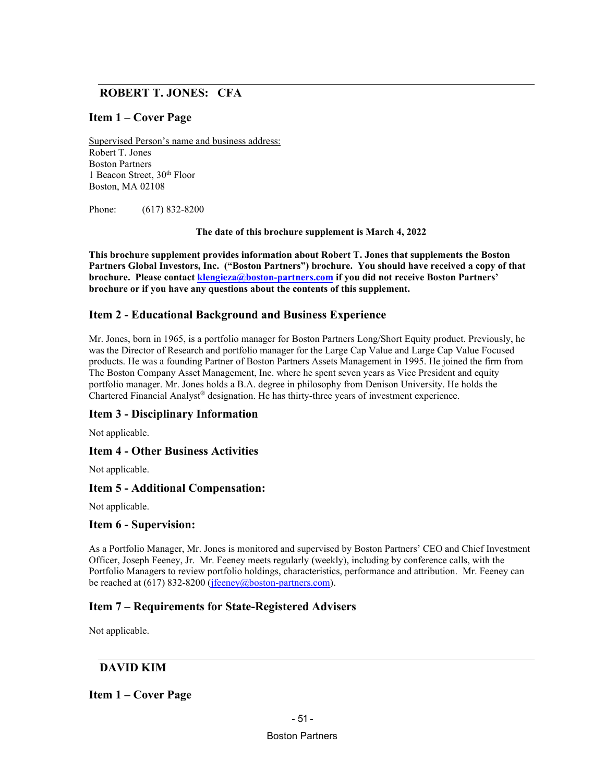## **ROBERT T. JONES: CFA**

## **Item 1 – Cover Page**

Supervised Person's name and business address: Robert T. Jones Boston Partners 1 Beacon Street, 30<sup>th</sup> Floor Boston, MA 02108

Phone: (617) 832-8200

**The date of this brochure supplement is March 4, 2022**

**This brochure supplement provides information about Robert T. Jones that supplements the Boston Partners Global Investors, Inc. ("Boston Partners") brochure. You should have received a copy of that brochure. Please contact** *[klengieza@boston-partners.com](mailto:william.butterly@robecoinvest.com)* if you did not receive Boston Partners' **brochure or if you have any questions about the contents of this supplement.**

## **Item 2 - Educational Background and Business Experience**

Mr. Jones, born in 1965, is a portfolio manager for Boston Partners Long/Short Equity product. Previously, he was the Director of Research and portfolio manager for the Large Cap Value and Large Cap Value Focused products. He was a founding Partner of Boston Partners Assets Management in 1995. He joined the firm from The Boston Company Asset Management, Inc. where he spent seven years as Vice President and equity portfolio manager. Mr. Jones holds a B.A. degree in philosophy from Denison University. He holds the Chartered Financial Analyst® designation. He has thirty-three years of investment experience.

## **Item 3 - Disciplinary Information**

Not applicable.

### **Item 4 - Other Business Activities**

Not applicable.

### **Item 5 - Additional Compensation:**

Not applicable.

### **Item 6 - Supervision:**

As a Portfolio Manager, Mr. Jones is monitored and supervised by Boston Partners' CEO and Chief Investment Officer, Joseph Feeney, Jr. Mr. Feeney meets regularly (weekly), including by conference calls, with the Portfolio Managers to review portfolio holdings, characteristics, performance and attribution. Mr. Feeney can be reached at (617) 832-8200 (*[jfeeney@boston-partners.com](mailto:joseph.feeney@robecoinvest.com)*).

## **Item 7 – Requirements for State-Registered Advisers**

Not applicable.

### **DAVID KIM**

### **Item 1 – Cover Page**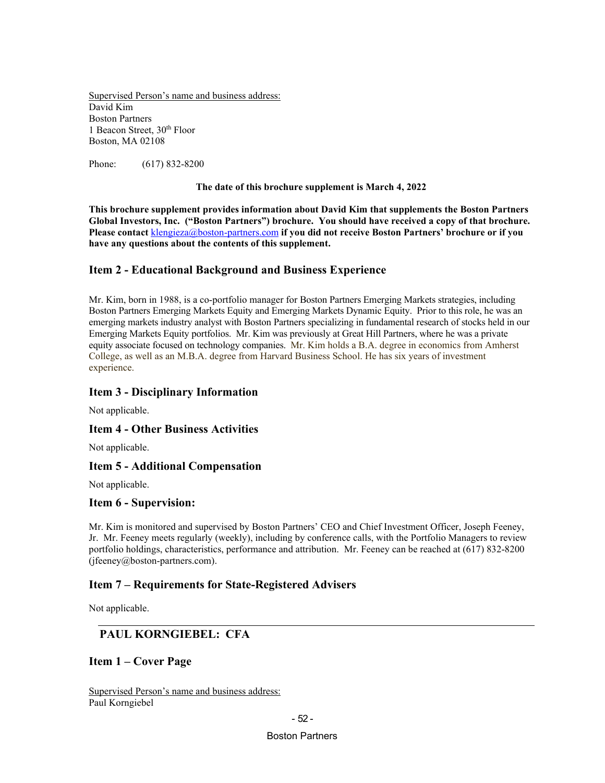Supervised Person's name and business address: David Kim Boston Partners 1 Beacon Street, 30<sup>th</sup> Floor Boston, MA 02108

Phone: (617) 832-8200

#### **The date of this brochure supplement is March 4, 2022**

**This brochure supplement provides information about David Kim that supplements the Boston Partners Global Investors, Inc. ("Boston Partners") brochure. You should have received a copy of that brochure. Please contact** *36T*[klengieza@boston-partners.com](mailto:wbutterly@boston-partners.com)*36T* **if you did not receive Boston Partners' brochure or if you have any questions about the contents of this supplement.**

### **Item 2 - Educational Background and Business Experience**

Mr. Kim, born in 1988, is a co-portfolio manager for Boston Partners Emerging Markets strategies, including Boston Partners Emerging Markets Equity and Emerging Markets Dynamic Equity. Prior to this role, he was an emerging markets industry analyst with Boston Partners specializing in fundamental research of stocks held in our Emerging Markets Equity portfolios. Mr. Kim was previously at Great Hill Partners, where he was a private equity associate focused on technology companies. Mr. Kim holds a B.A. degree in economics from Amherst College, as well as an M.B.A. degree from Harvard Business School. He has six years of investment experience.

### **Item 3 - Disciplinary Information**

Not applicable.

### **Item 4 - Other Business Activities**

Not applicable.

### **Item 5 - Additional Compensation**

Not applicable.

#### **Item 6 - Supervision:**

Mr. Kim is monitored and supervised by Boston Partners' CEO and Chief Investment Officer, Joseph Feeney, Jr. Mr. Feeney meets regularly (weekly), including by conference calls, with the Portfolio Managers to review portfolio holdings, characteristics, performance and attribution. Mr. Feeney can be reached at (617) 832-8200 (jfeeney@boston-partners.com).

### **Item 7 – Requirements for State-Registered Advisers**

Not applicable.

## **PAUL KORNGIEBEL: CFA**

**Item 1 – Cover Page**

Supervised Person's name and business address: Paul Korngiebel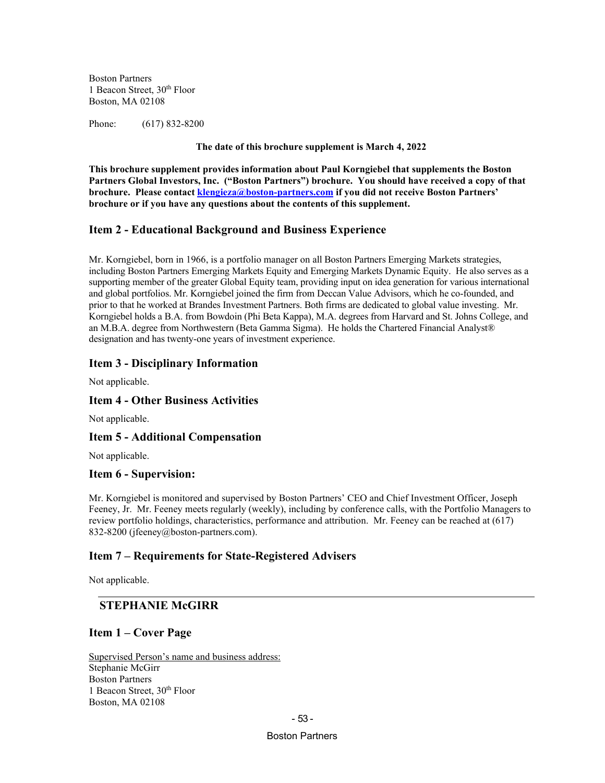Boston Partners 1 Beacon Street, 30<sup>th</sup> Floor Boston, MA 02108

Phone: (617) 832-8200

**The date of this brochure supplement is March 4, 2022**

**This brochure supplement provides information about Paul Korngiebel that supplements the Boston Partners Global Investors, Inc. ("Boston Partners") brochure. You should have received a copy of that brochure. Please contact** *[klengieza@boston-partners.com](mailto:wbutterly@boston-partners.com)* if you did not receive Boston Partners' **brochure or if you have any questions about the contents of this supplement.**

### **Item 2 - Educational Background and Business Experience**

Mr. Korngiebel, born in 1966, is a portfolio manager on all Boston Partners Emerging Markets strategies, including Boston Partners Emerging Markets Equity and Emerging Markets Dynamic Equity. He also serves as a supporting member of the greater Global Equity team, providing input on idea generation for various international and global portfolios. Mr. Korngiebel joined the firm from Deccan Value Advisors, which he co-founded, and prior to that he worked at Brandes Investment Partners. Both firms are dedicated to global value investing. Mr. Korngiebel holds a B.A. from Bowdoin (Phi Beta Kappa), M.A. degrees from Harvard and St. Johns College, and an M.B.A. degree from Northwestern (Beta Gamma Sigma). He holds the Chartered Financial Analyst® designation and has twenty-one years of investment experience.

### **Item 3 - Disciplinary Information**

Not applicable.

### **Item 4 - Other Business Activities**

Not applicable.

### **Item 5 - Additional Compensation**

Not applicable.

### **Item 6 - Supervision:**

Mr. Korngiebel is monitored and supervised by Boston Partners' CEO and Chief Investment Officer, Joseph Feeney, Jr. Mr. Feeney meets regularly (weekly), including by conference calls, with the Portfolio Managers to review portfolio holdings, characteristics, performance and attribution. Mr. Feeney can be reached at (617) 832-8200 (jfeeney@boston-partners.com).

### **Item 7 – Requirements for State-Registered Advisers**

Not applicable.

## **STEPHANIE McGIRR**

### **Item 1 – Cover Page**

Supervised Person's name and business address: Stephanie McGirr Boston Partners 1 Beacon Street, 30<sup>th</sup> Floor Boston, MA 02108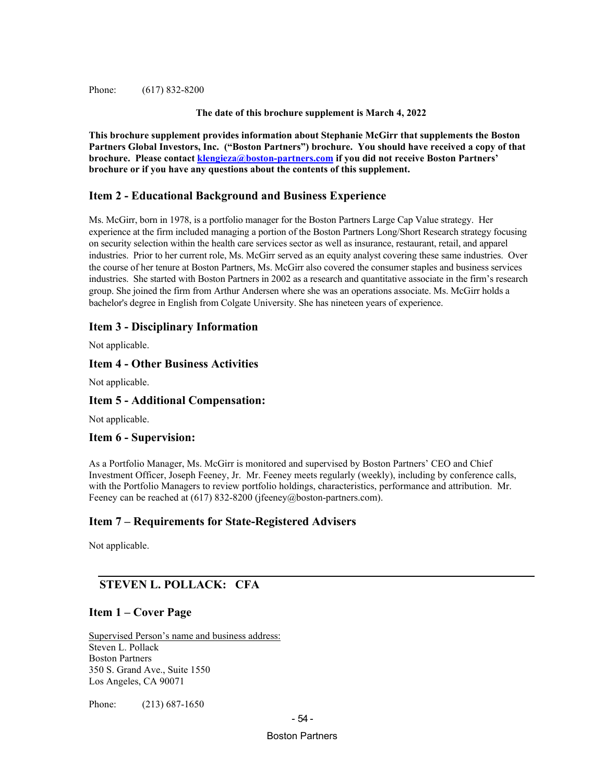Phone: (617) 832-8200

**The date of this brochure supplement is March 4, 2022**

**This brochure supplement provides information about Stephanie McGirr that supplements the Boston Partners Global Investors, Inc. ("Boston Partners") brochure. You should have received a copy of that brochure.** Please contact *[klengieza@boston-partners.com](mailto:william.butterly@robecoinvest.com)* if you did not receive Boston Partners' **brochure or if you have any questions about the contents of this supplement.**

### **Item 2 - Educational Background and Business Experience**

Ms. McGirr, born in 1978, is a portfolio manager for the Boston Partners Large Cap Value strategy. Her experience at the firm included managing a portion of the Boston Partners Long/Short Research strategy focusing on security selection within the health care services sector as well as insurance, restaurant, retail, and apparel industries. Prior to her current role, Ms. McGirr served as an equity analyst covering these same industries. Over the course of her tenure at Boston Partners, Ms. McGirr also covered the consumer staples and business services industries. She started with Boston Partners in 2002 as a research and quantitative associate in the firm's research group. She joined the firm from Arthur Andersen where she was an operations associate. Ms. McGirr holds a bachelor's degree in English from Colgate University. She has nineteen years of experience.

### **Item 3 - Disciplinary Information**

Not applicable.

### **Item 4 - Other Business Activities**

Not applicable.

### **Item 5 - Additional Compensation:**

Not applicable.

### **Item 6 - Supervision:**

As a Portfolio Manager, Ms. McGirr is monitored and supervised by Boston Partners' CEO and Chief Investment Officer, Joseph Feeney, Jr. Mr. Feeney meets regularly (weekly), including by conference calls, with the Portfolio Managers to review portfolio holdings, characteristics, performance and attribution. Mr. Feeney can be reached at (617) 832-8200 (jfeeney@boston-partners.com).

## **Item 7 – Requirements for State-Registered Advisers**

Not applicable.

## **STEVEN L. POLLACK: CFA**

## **Item 1 – Cover Page**

Supervised Person's name and business address: Steven L. Pollack Boston Partners 350 S. Grand Ave., Suite 1550 Los Angeles, CA 90071

Phone: (213) 687-1650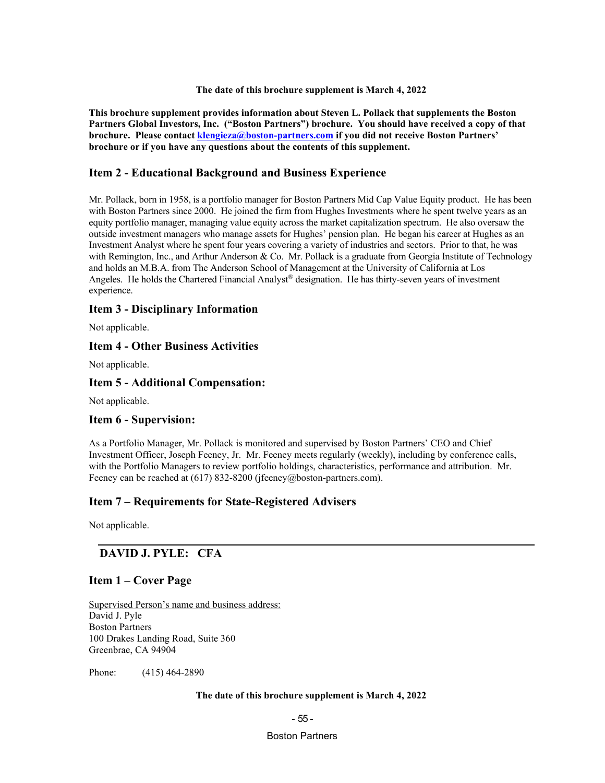#### **The date of this brochure supplement is March 4, 2022**

**This brochure supplement provides information about Steven L. Pollack that supplements the Boston Partners Global Investors, Inc. ("Boston Partners") brochure. You should have received a copy of that brochure. Please contact** *[klengieza@boston-partners.com](mailto:william.butterly@robecoinvest.com)* if you did not receive Boston Partners' **brochure or if you have any questions about the contents of this supplement.**

### **Item 2 - Educational Background and Business Experience**

Mr. Pollack, born in 1958, is a portfolio manager for Boston Partners Mid Cap Value Equity product. He has been with Boston Partners since 2000. He joined the firm from Hughes Investments where he spent twelve years as an equity portfolio manager, managing value equity across the market capitalization spectrum. He also oversaw the outside investment managers who manage assets for Hughes' pension plan. He began his career at Hughes as an Investment Analyst where he spent four years covering a variety of industries and sectors. Prior to that, he was with Remington, Inc., and Arthur Anderson & Co. Mr. Pollack is a graduate from Georgia Institute of Technology and holds an M.B.A. from The Anderson School of Management at the University of California at Los Angeles. He holds the Chartered Financial Analyst® designation. He has thirty-seven years of investment experience.

#### **Item 3 - Disciplinary Information**

Not applicable.

#### **Item 4 - Other Business Activities**

Not applicable.

#### **Item 5 - Additional Compensation:**

Not applicable.

#### **Item 6 - Supervision:**

As a Portfolio Manager, Mr. Pollack is monitored and supervised by Boston Partners' CEO and Chief Investment Officer, Joseph Feeney, Jr. Mr. Feeney meets regularly (weekly), including by conference calls, with the Portfolio Managers to review portfolio holdings, characteristics, performance and attribution. Mr. Feeney can be reached at (617) 832-8200 (jfeeney@boston-partners.com).

### **Item 7 – Requirements for State-Registered Advisers**

Not applicable.

### **DAVID J. PYLE: CFA**

#### **Item 1 – Cover Page**

Supervised Person's name and business address: David J. Pyle Boston Partners 100 Drakes Landing Road, Suite 360 Greenbrae, CA 94904

Phone: (415) 464-2890

#### **The date of this brochure supplement is March 4, 2022**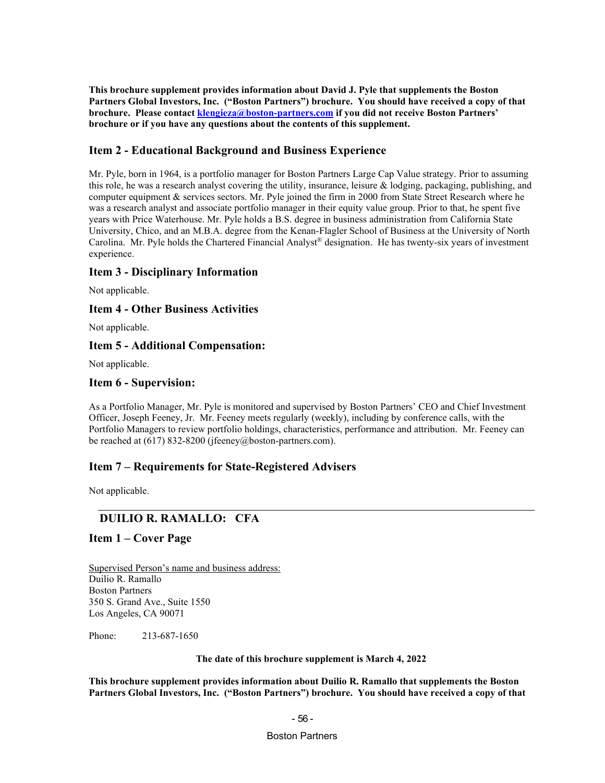**This brochure supplement provides information about David J. Pyle that supplements the Boston Partners Global Investors, Inc. ("Boston Partners") brochure. You should have received a copy of that brochure.** Please contact *[klengieza@boston-partners.com](mailto:william.butterly@robecoinvest.com)* if you did not receive Boston Partners' **brochure or if you have any questions about the contents of this supplement.**

## **Item 2 - Educational Background and Business Experience**

Mr. Pyle, born in 1964, is a portfolio manager for Boston Partners Large Cap Value strategy. Prior to assuming this role, he was a research analyst covering the utility, insurance, leisure & lodging, packaging, publishing, and computer equipment & services sectors. Mr. Pyle joined the firm in 2000 from State Street Research where he was a research analyst and associate portfolio manager in their equity value group. Prior to that, he spent five years with Price Waterhouse. Mr. Pyle holds a B.S. degree in business administration from California State University, Chico, and an M.B.A. degree from the Kenan-Flagler School of Business at the University of North Carolina. Mr. Pyle holds the Chartered Financial Analyst® designation. He has twenty-six years of investment experience.

## **Item 3 - Disciplinary Information**

Not applicable.

### **Item 4 - Other Business Activities**

Not applicable.

### **Item 5 - Additional Compensation:**

Not applicable.

### **Item 6 - Supervision:**

As a Portfolio Manager, Mr. Pyle is monitored and supervised by Boston Partners' CEO and Chief Investment Officer, Joseph Feeney, Jr. Mr. Feeney meets regularly (weekly), including by conference calls, with the Portfolio Managers to review portfolio holdings, characteristics, performance and attribution. Mr. Feeney can be reached at (617) 832-8200 (jfeeney@boston-partners.com).

## **Item 7 – Requirements for State-Registered Advisers**

Not applicable.

## **DUILIO R. RAMALLO: CFA**

### **Item 1 – Cover Page**

Supervised Person's name and business address: Duilio R. Ramallo Boston Partners 350 S. Grand Ave., Suite 1550 Los Angeles, CA 90071

Phone: 213-687-1650

**The date of this brochure supplement is March 4, 2022**

**This brochure supplement provides information about Duilio R. Ramallo that supplements the Boston Partners Global Investors, Inc. ("Boston Partners") brochure. You should have received a copy of that**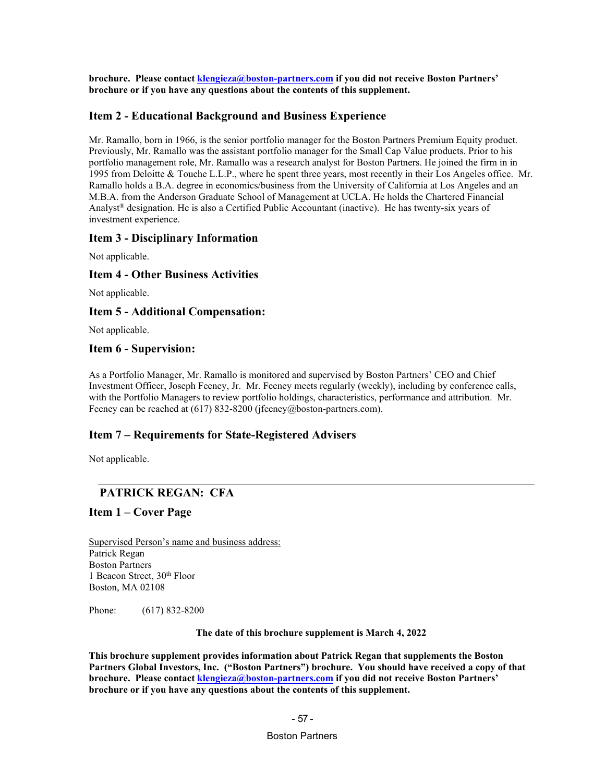**brochure. Please contact** *[klengieza@boston-partners.com](mailto:william.butterly@robecoinvest.com)* **if you did not receive Boston Partners' brochure or if you have any questions about the contents of this supplement.**

#### **Item 2 - Educational Background and Business Experience**

Mr. Ramallo, born in 1966, is the senior portfolio manager for the Boston Partners Premium Equity product. Previously, Mr. Ramallo was the assistant portfolio manager for the Small Cap Value products. Prior to his portfolio management role, Mr. Ramallo was a research analyst for Boston Partners. He joined the firm in in 1995 from Deloitte & Touche L.L.P., where he spent three years, most recently in their Los Angeles office. Mr. Ramallo holds a B.A. degree in economics/business from the University of California at Los Angeles and an M.B.A. from the Anderson Graduate School of Management at UCLA. He holds the Chartered Financial Analyst<sup>®</sup> designation. He is also a Certified Public Accountant (inactive). He has twenty-six years of investment experience.

#### **Item 3 - Disciplinary Information**

Not applicable.

### **Item 4 - Other Business Activities**

Not applicable.

#### **Item 5 - Additional Compensation:**

Not applicable.

#### **Item 6 - Supervision:**

As a Portfolio Manager, Mr. Ramallo is monitored and supervised by Boston Partners' CEO and Chief Investment Officer, Joseph Feeney, Jr. Mr. Feeney meets regularly (weekly), including by conference calls, with the Portfolio Managers to review portfolio holdings, characteristics, performance and attribution. Mr. Feeney can be reached at (617) 832-8200 (jfeeney@boston-partners.com).

### **Item 7 – Requirements for State-Registered Advisers**

Not applicable.

## **PATRICK REGAN: CFA**

#### **Item 1 – Cover Page**

Supervised Person's name and business address: Patrick Regan Boston Partners 1 Beacon Street, 30<sup>th</sup> Floor Boston, MA 02108

Phone: (617) 832-8200

#### **The date of this brochure supplement is March 4, 2022**

**This brochure supplement provides information about Patrick Regan that supplements the Boston Partners Global Investors, Inc. ("Boston Partners") brochure. You should have received a copy of that brochure.** Please contact *[klengieza@boston-partners.com](mailto:william.butterly@robecoinvest.com)* if you did not receive Boston Partners' **brochure or if you have any questions about the contents of this supplement.**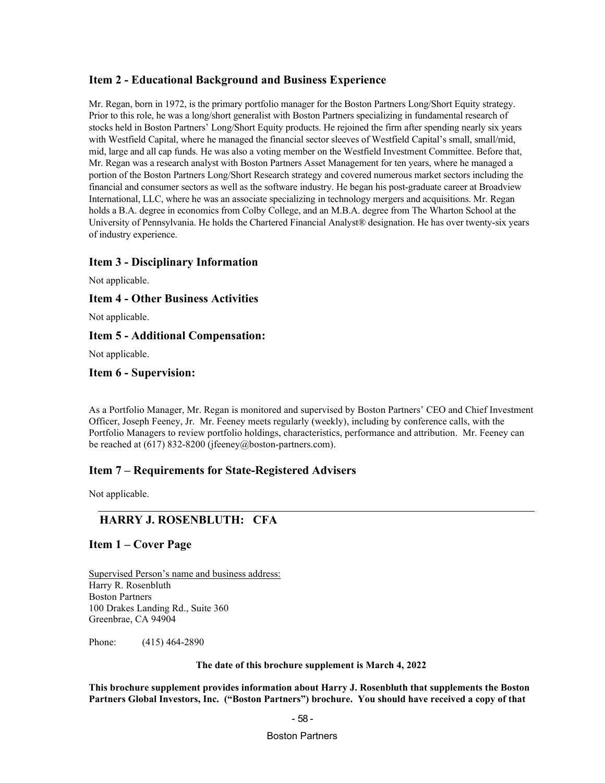## **Item 2 - Educational Background and Business Experience**

Mr. Regan, born in 1972, is the primary portfolio manager for the Boston Partners Long/Short Equity strategy. Prior to this role, he was a long/short generalist with Boston Partners specializing in fundamental research of stocks held in Boston Partners' Long/Short Equity products. He rejoined the firm after spending nearly six years with Westfield Capital, where he managed the financial sector sleeves of Westfield Capital's small, small/mid, mid, large and all cap funds. He was also a voting member on the Westfield Investment Committee. Before that, Mr. Regan was a research analyst with Boston Partners Asset Management for ten years, where he managed a portion of the Boston Partners Long/Short Research strategy and covered numerous market sectors including the financial and consumer sectors as well as the software industry. He began his post-graduate career at Broadview International, LLC, where he was an associate specializing in technology mergers and acquisitions. Mr. Regan holds a B.A. degree in economics from Colby College, and an M.B.A. degree from The Wharton School at the University of Pennsylvania. He holds the Chartered Financial Analyst® designation. He has over twenty-six years of industry experience.

### **Item 3 - Disciplinary Information**

Not applicable.

### **Item 4 - Other Business Activities**

Not applicable.

### **Item 5 - Additional Compensation:**

Not applicable.

### **Item 6 - Supervision:**

As a Portfolio Manager, Mr. Regan is monitored and supervised by Boston Partners' CEO and Chief Investment Officer, Joseph Feeney, Jr. Mr. Feeney meets regularly (weekly), including by conference calls, with the Portfolio Managers to review portfolio holdings, characteristics, performance and attribution. Mr. Feeney can be reached at (617) 832-8200 (jfeeney@boston-partners.com).

## **Item 7 – Requirements for State-Registered Advisers**

Not applicable.

## **HARRY J. ROSENBLUTH: CFA**

### **Item 1 – Cover Page**

Supervised Person's name and business address: Harry R. Rosenbluth Boston Partners 100 Drakes Landing Rd., Suite 360 Greenbrae, CA 94904

Phone: (415) 464-2890

**The date of this brochure supplement is March 4, 2022**

**This brochure supplement provides information about Harry J. Rosenbluth that supplements the Boston Partners Global Investors, Inc. ("Boston Partners") brochure. You should have received a copy of that** 

#### - 58 -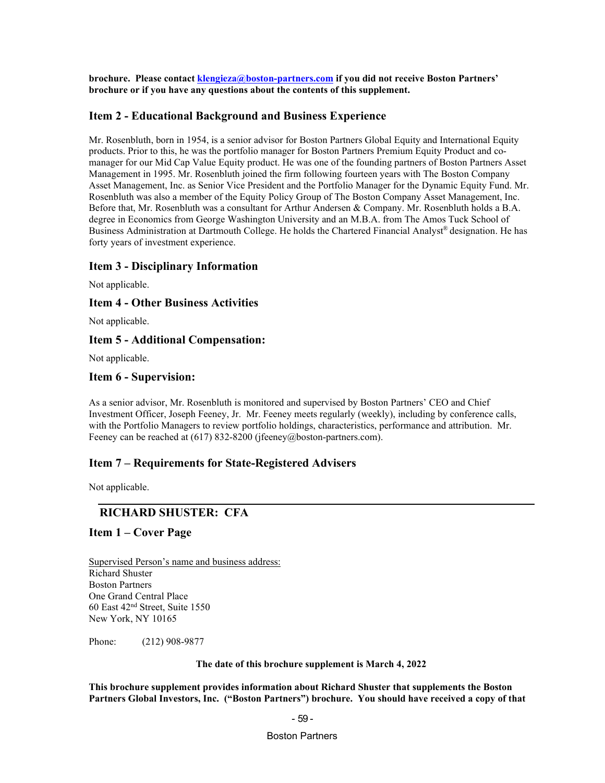**brochure. Please contact** *[klengieza@boston-partners.com](mailto:william.butterly@robecoinvest.com)* **if you did not receive Boston Partners' brochure or if you have any questions about the contents of this supplement.**

#### **Item 2 - Educational Background and Business Experience**

Mr. Rosenbluth, born in 1954, is a senior advisor for Boston Partners Global Equity and International Equity products. Prior to this, he was the portfolio manager for Boston Partners Premium Equity Product and comanager for our Mid Cap Value Equity product. He was one of the founding partners of Boston Partners Asset Management in 1995. Mr. Rosenbluth joined the firm following fourteen years with The Boston Company Asset Management, Inc. as Senior Vice President and the Portfolio Manager for the Dynamic Equity Fund. Mr. Rosenbluth was also a member of the Equity Policy Group of The Boston Company Asset Management, Inc. Before that, Mr. Rosenbluth was a consultant for Arthur Andersen & Company. Mr. Rosenbluth holds a B.A. degree in Economics from George Washington University and an M.B.A. from The Amos Tuck School of Business Administration at Dartmouth College. He holds the Chartered Financial Analyst® designation. He has forty years of investment experience.

#### **Item 3 - Disciplinary Information**

Not applicable.

#### **Item 4 - Other Business Activities**

Not applicable.

### **Item 5 - Additional Compensation:**

Not applicable.

#### **Item 6 - Supervision:**

As a senior advisor, Mr. Rosenbluth is monitored and supervised by Boston Partners' CEO and Chief Investment Officer, Joseph Feeney, Jr. Mr. Feeney meets regularly (weekly), including by conference calls, with the Portfolio Managers to review portfolio holdings, characteristics, performance and attribution. Mr. Feeney can be reached at (617) 832-8200 (jfeeney@boston-partners.com).

#### **Item 7 – Requirements for State-Registered Advisers**

Not applicable.

## **RICHARD SHUSTER: CFA**

#### **Item 1 – Cover Page**

Supervised Person's name and business address: Richard Shuster Boston Partners One Grand Central Place 60 East 42nd Street, Suite 1550 New York, NY 10165

Phone: (212) 908-9877

**The date of this brochure supplement is March 4, 2022**

**This brochure supplement provides information about Richard Shuster that supplements the Boston Partners Global Investors, Inc. ("Boston Partners") brochure. You should have received a copy of that**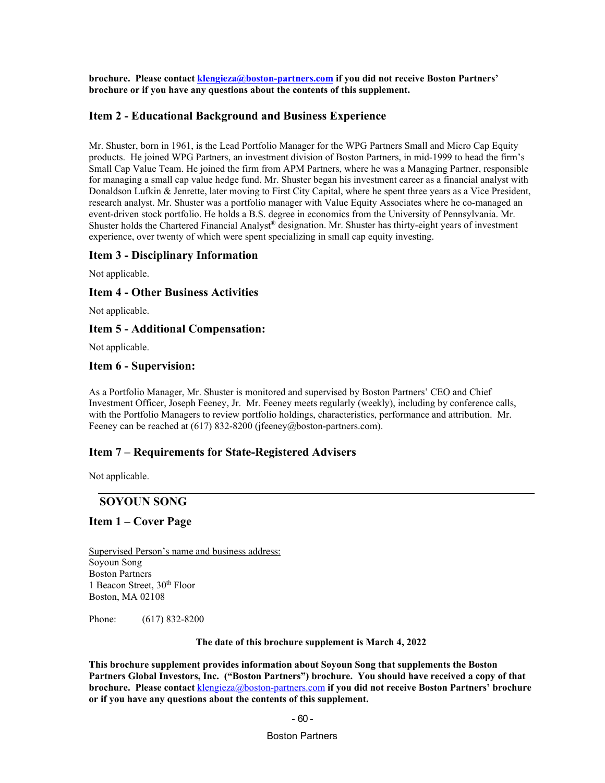**brochure. Please contact** *[klengieza@boston-partners.com](mailto:william.butterly@robecoinvest.com)* **if you did not receive Boston Partners' brochure or if you have any questions about the contents of this supplement.**

#### **Item 2 - Educational Background and Business Experience**

Mr. Shuster, born in 1961, is the Lead Portfolio Manager for the WPG Partners Small and Micro Cap Equity products. He joined WPG Partners, an investment division of Boston Partners, in mid-1999 to head the firm's Small Cap Value Team. He joined the firm from APM Partners, where he was a Managing Partner, responsible for managing a small cap value hedge fund. Mr. Shuster began his investment career as a financial analyst with Donaldson Lufkin & Jenrette, later moving to First City Capital, where he spent three years as a Vice President, research analyst. Mr. Shuster was a portfolio manager with Value Equity Associates where he co-managed an event-driven stock portfolio. He holds a B.S. degree in economics from the University of Pennsylvania. Mr. Shuster holds the Chartered Financial Analyst® designation. Mr. Shuster has thirty-eight years of investment experience, over twenty of which were spent specializing in small cap equity investing.

#### **Item 3 - Disciplinary Information**

Not applicable.

#### **Item 4 - Other Business Activities**

Not applicable.

#### **Item 5 - Additional Compensation:**

Not applicable.

#### **Item 6 - Supervision:**

As a Portfolio Manager, Mr. Shuster is monitored and supervised by Boston Partners' CEO and Chief Investment Officer, Joseph Feeney, Jr. Mr. Feeney meets regularly (weekly), including by conference calls, with the Portfolio Managers to review portfolio holdings, characteristics, performance and attribution. Mr. Feeney can be reached at (617) 832-8200 (jfeeney@boston-partners.com).

#### **Item 7 – Requirements for State-Registered Advisers**

Not applicable.

#### **SOYOUN SONG**

#### **Item 1 – Cover Page**

Supervised Person's name and business address: Soyoun Song Boston Partners 1 Beacon Street, 30<sup>th</sup> Floor Boston, MA 02108

Phone: (617) 832-8200

**The date of this brochure supplement is March 4, 2022**

**This brochure supplement provides information about Soyoun Song that supplements the Boston Partners Global Investors, Inc. ("Boston Partners") brochure. You should have received a copy of that brochure. Please contact** *[klengieza@boston-partners.com](mailto:william.butterly@robecoinvest.com)* **if you did not receive Boston Partners' brochure or if you have any questions about the contents of this supplement.**

#### - 60 -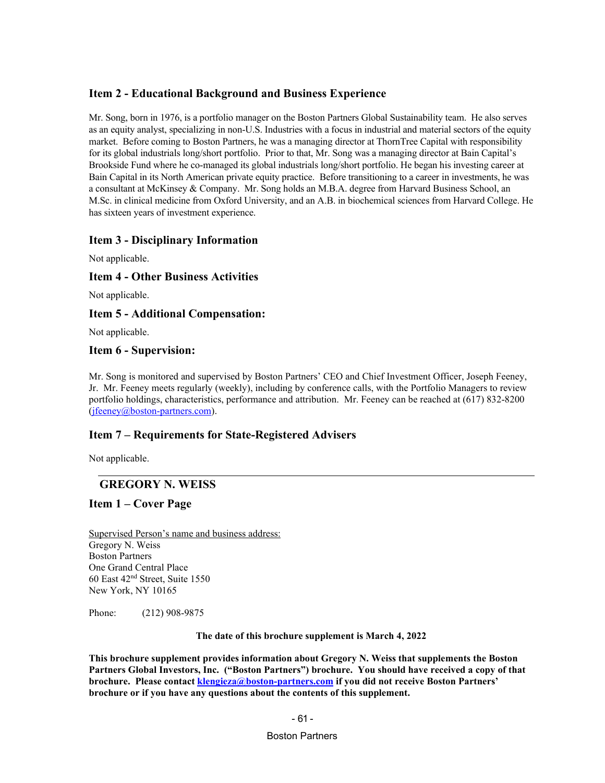## **Item 2 - Educational Background and Business Experience**

Mr. Song, born in 1976, is a portfolio manager on the Boston Partners Global Sustainability team. He also serves as an equity analyst, specializing in non-U.S. Industries with a focus in industrial and material sectors of the equity market. Before coming to Boston Partners, he was a managing director at ThornTree Capital with responsibility for its global industrials long/short portfolio. Prior to that, Mr. Song was a managing director at Bain Capital's Brookside Fund where he co-managed its global industrials long/short portfolio. He began his investing career at Bain Capital in its North American private equity practice. Before transitioning to a career in investments, he was a consultant at McKinsey & Company. Mr. Song holds an M.B.A. degree from Harvard Business School, an M.Sc. in clinical medicine from Oxford University, and an A.B. in biochemical sciences from Harvard College. He has sixteen years of investment experience.

## **Item 3 - Disciplinary Information**

Not applicable.

### **Item 4 - Other Business Activities**

Not applicable.

### **Item 5 - Additional Compensation:**

Not applicable.

### **Item 6 - Supervision:**

Mr. Song is monitored and supervised by Boston Partners' CEO and Chief Investment Officer, Joseph Feeney, Jr. Mr. Feeney meets regularly (weekly), including by conference calls, with the Portfolio Managers to review portfolio holdings, characteristics, performance and attribution. Mr. Feeney can be reached at (617) 832-8200 (*j*feeney@boston-partners.com).

## **Item 7 – Requirements for State-Registered Advisers**

Not applicable.

## **GREGORY N. WEISS**

### **Item 1 – Cover Page**

Supervised Person's name and business address: Gregory N. Weiss Boston Partners One Grand Central Place 60 East 42nd Street, Suite 1550 New York, NY 10165

Phone: (212) 908-9875

**The date of this brochure supplement is March 4, 2022**

**This brochure supplement provides information about Gregory N. Weiss that supplements the Boston Partners Global Investors, Inc. ("Boston Partners") brochure. You should have received a copy of that brochure. Please contact** *[klengieza@boston-partners.com](mailto:william.butterly@robecoinvest.com)* if you did not receive Boston Partners' **brochure or if you have any questions about the contents of this supplement.**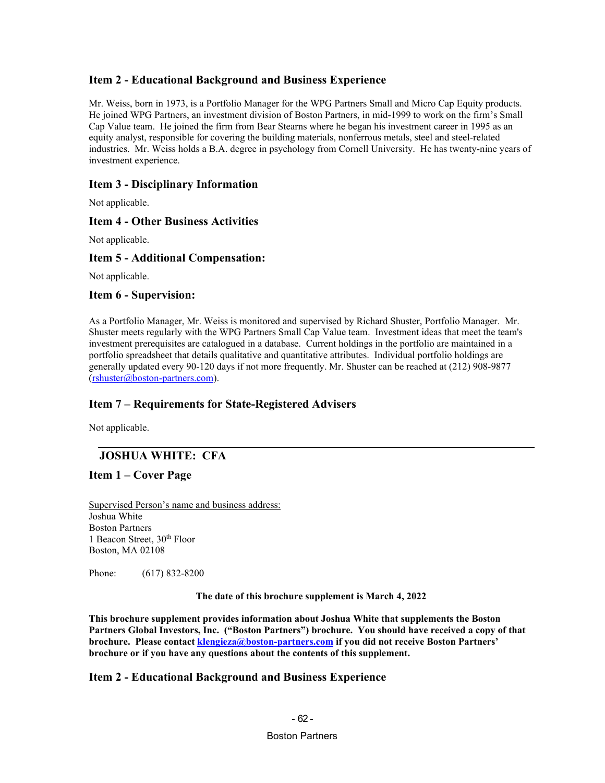## **Item 2 - Educational Background and Business Experience**

Mr. Weiss, born in 1973, is a Portfolio Manager for the WPG Partners Small and Micro Cap Equity products. He joined WPG Partners, an investment division of Boston Partners, in mid-1999 to work on the firm's Small Cap Value team. He joined the firm from Bear Stearns where he began his investment career in 1995 as an equity analyst, responsible for covering the building materials, nonferrous metals, steel and steel-related industries. Mr. Weiss holds a B.A. degree in psychology from Cornell University. He has twenty-nine years of investment experience.

## **Item 3 - Disciplinary Information**

Not applicable.

### **Item 4 - Other Business Activities**

Not applicable.

### **Item 5 - Additional Compensation:**

Not applicable.

#### **Item 6 - Supervision:**

As a Portfolio Manager, Mr. Weiss is monitored and supervised by Richard Shuster, Portfolio Manager. Mr. Shuster meets regularly with the WPG Partners Small Cap Value team. Investment ideas that meet the team's investment prerequisites are catalogued in a database. Current holdings in the portfolio are maintained in a portfolio spreadsheet that details qualitative and quantitative attributes. Individual portfolio holdings are generally updated every 90-120 days if not more frequently. Mr. Shuster can be reached at (212) 908-9877  $(rshuster@boston-partners.com)$  $(rshuster@boston-partners.com)$  $(rshuster@boston-partners.com)$ .

## **Item 7 – Requirements for State-Registered Advisers**

Not applicable.

## **JOSHUA WHITE: CFA**

## **Item 1 – Cover Page**

Supervised Person's name and business address: Joshua White Boston Partners 1 Beacon Street, 30<sup>th</sup> Floor Boston, MA 02108

Phone: (617) 832-8200

**The date of this brochure supplement is March 4, 2022**

**This brochure supplement provides information about Joshua White that supplements the Boston Partners Global Investors, Inc. ("Boston Partners") brochure. You should have received a copy of that brochure.** Please contact *[klengieza@boston-partners.com](mailto:william.butterly@robecoinvest.com)* if you did not receive Boston Partners' **brochure or if you have any questions about the contents of this supplement.**

### **Item 2 - Educational Background and Business Experience**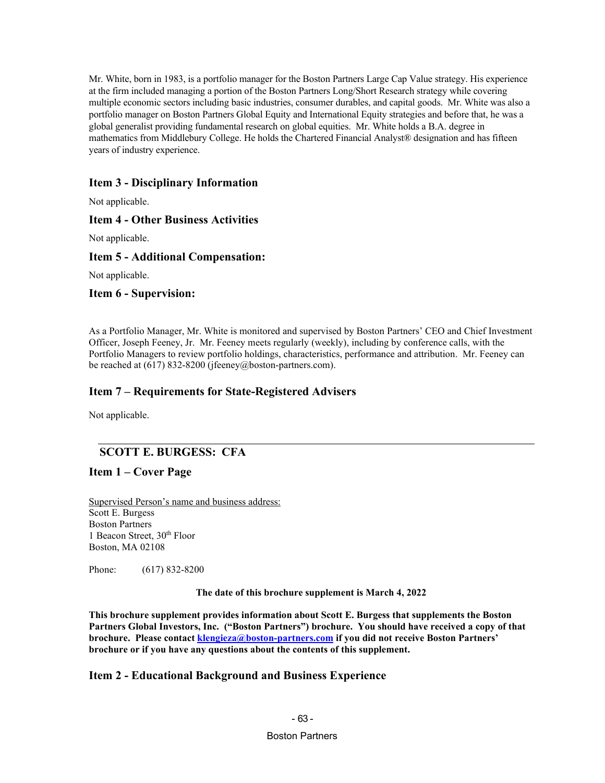Mr. White, born in 1983, is a portfolio manager for the Boston Partners Large Cap Value strategy. His experience at the firm included managing a portion of the Boston Partners Long/Short Research strategy while covering multiple economic sectors including basic industries, consumer durables, and capital goods. Mr. White was also a portfolio manager on Boston Partners Global Equity and International Equity strategies and before that, he was a global generalist providing fundamental research on global equities. Mr. White holds a B.A. degree in mathematics from Middlebury College. He holds the Chartered Financial Analyst® designation and has fifteen years of industry experience.

# **Item 3 - Disciplinary Information**

Not applicable.

## **Item 4 - Other Business Activities**

Not applicable.

### **Item 5 - Additional Compensation:**

Not applicable.

### **Item 6 - Supervision:**

As a Portfolio Manager, Mr. White is monitored and supervised by Boston Partners' CEO and Chief Investment Officer, Joseph Feeney, Jr. Mr. Feeney meets regularly (weekly), including by conference calls, with the Portfolio Managers to review portfolio holdings, characteristics, performance and attribution. Mr. Feeney can be reached at (617) 832-8200 (jfeeney@boston-partners.com).

### **Item 7 – Requirements for State-Registered Advisers**

Not applicable.

# **SCOTT E. BURGESS: CFA**

**Item 1 – Cover Page**

Supervised Person's name and business address: Scott E. Burgess Boston Partners 1 Beacon Street, 30<sup>th</sup> Floor Boston, MA 02108

Phone: (617) 832-8200

**The date of this brochure supplement is March 4, 2022**

**This brochure supplement provides information about Scott E. Burgess that supplements the Boston Partners Global Investors, Inc. ("Boston Partners") brochure. You should have received a copy of that brochure.** Please contact *[klengieza@boston-partners.com](mailto:william.butterly@robecoinvest.com)* if you did not receive Boston Partners' **brochure or if you have any questions about the contents of this supplement.**

### **Item 2 - Educational Background and Business Experience**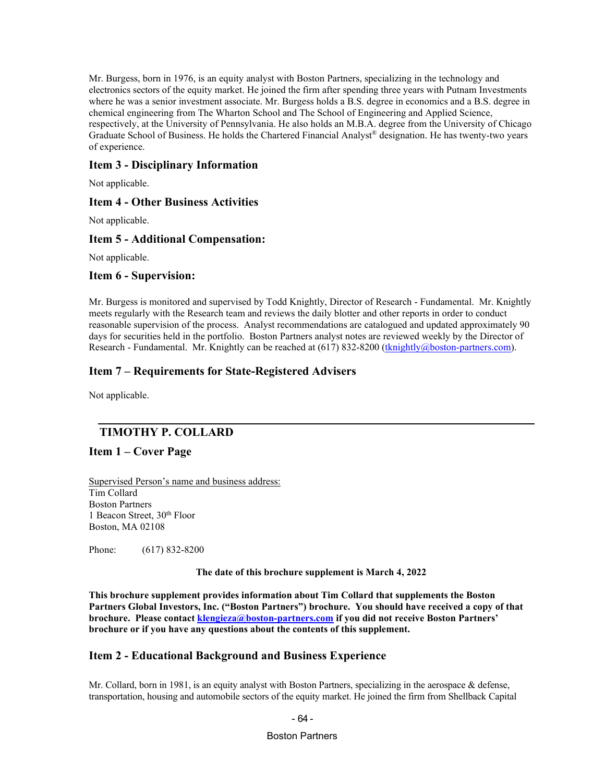Mr. Burgess, born in 1976, is an equity analyst with Boston Partners, specializing in the technology and electronics sectors of the equity market. He joined the firm after spending three years with Putnam Investments where he was a senior investment associate. Mr. Burgess holds a B.S. degree in economics and a B.S. degree in chemical engineering from The Wharton School and The School of Engineering and Applied Science, respectively, at the University of Pennsylvania. He also holds an M.B.A. degree from the University of Chicago Graduate School of Business. He holds the Chartered Financial Analyst® designation. He has twenty-two years of experience.

### **Item 3 - Disciplinary Information**

Not applicable.

### **Item 4 - Other Business Activities**

Not applicable.

### **Item 5 - Additional Compensation:**

Not applicable.

### **Item 6 - Supervision:**

Mr. Burgess is monitored and supervised by Todd Knightly, Director of Research - Fundamental. Mr. Knightly meets regularly with the Research team and reviews the daily blotter and other reports in order to conduct reasonable supervision of the process. Analyst recommendations are catalogued and updated approximately 90 days for securities held in the portfolio. Boston Partners analyst notes are reviewed weekly by the Director of Research - Fundamental. Mr. Knightly can be reached at (617) 832-8200 (*[tknightly@boston-partners.com](mailto:tknightly@robecoinvest.com)*).

### **Item 7 – Requirements for State-Registered Advisers**

Not applicable.

# **TIMOTHY P. COLLARD**

### **Item 1 – Cover Page**

Supervised Person's name and business address: Tim Collard Boston Partners 1 Beacon Street, 30th Floor Boston, MA 02108

Phone: (617) 832-8200

**The date of this brochure supplement is March 4, 2022**

**This brochure supplement provides information about Tim Collard that supplements the Boston Partners Global Investors, Inc. ("Boston Partners") brochure. You should have received a copy of that brochure. Please contact** *[klengieza@boston-partners.com](mailto:william.butterly@robecoinvest.com)* **if you did not receive Boston Partners' brochure or if you have any questions about the contents of this supplement.**

### **Item 2 - Educational Background and Business Experience**

Mr. Collard, born in 1981, is an equity analyst with Boston Partners, specializing in the aerospace & defense, transportation, housing and automobile sectors of the equity market. He joined the firm from Shellback Capital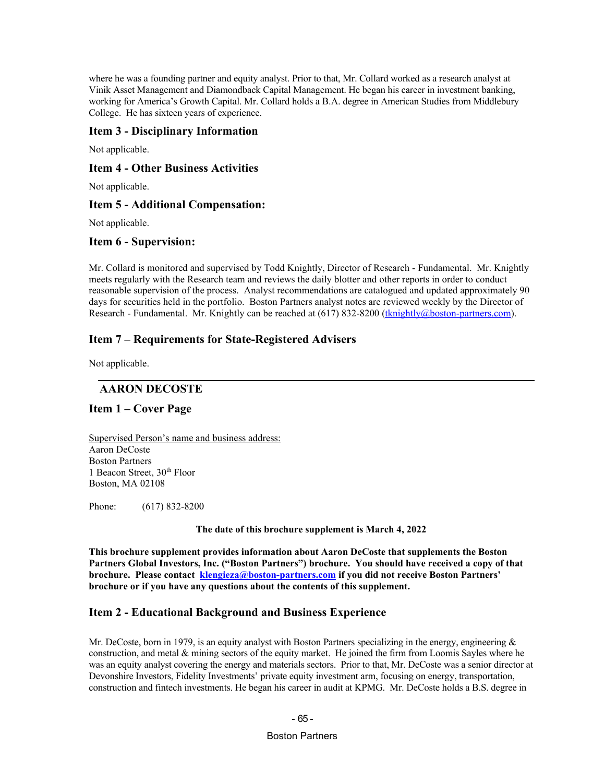where he was a founding partner and equity analyst. Prior to that, Mr. Collard worked as a research analyst at Vinik Asset Management and Diamondback Capital Management. He began his career in investment banking, working for America's Growth Capital. Mr. Collard holds a B.A. degree in American Studies from Middlebury College. He has sixteen years of experience.

## **Item 3 - Disciplinary Information**

Not applicable.

# **Item 4 - Other Business Activities**

Not applicable.

## **Item 5 - Additional Compensation:**

Not applicable.

## **Item 6 - Supervision:**

Mr. Collard is monitored and supervised by Todd Knightly, Director of Research - Fundamental. Mr. Knightly meets regularly with the Research team and reviews the daily blotter and other reports in order to conduct reasonable supervision of the process. Analyst recommendations are catalogued and updated approximately 90 days for securities held in the portfolio. Boston Partners analyst notes are reviewed weekly by the Director of Research - Fundamental. Mr. Knightly can be reached at (617) 832-8200 (*[tknightly@boston-partners.com](mailto:tknightly@robecoinvest.com)*).

## **Item 7 – Requirements for State-Registered Advisers**

Not applicable.

## **AARON DECOSTE**

## **Item 1 – Cover Page**

Supervised Person's name and business address: Aaron DeCoste Boston Partners 1 Beacon Street, 30th Floor Boston, MA 02108

Phone: (617) 832-8200

**The date of this brochure supplement is March 4, 2022**

**This brochure supplement provides information about Aaron DeCoste that supplements the Boston Partners Global Investors, Inc. ("Boston Partners") brochure. You should have received a copy of that brochure.** Please contact *<u>[klengieza@boston-partners.com](mailto:william.butterly@robecoinvest.com)</u>* **if you did not receive Boston Partners' brochure or if you have any questions about the contents of this supplement.**

# **Item 2 - Educational Background and Business Experience**

Mr. DeCoste, born in 1979, is an equity analyst with Boston Partners specializing in the energy, engineering  $\&$ construction, and metal & mining sectors of the equity market. He joined the firm from Loomis Sayles where he was an equity analyst covering the energy and materials sectors. Prior to that, Mr. DeCoste was a senior director at Devonshire Investors, Fidelity Investments' private equity investment arm, focusing on energy, transportation, construction and fintech investments. He began his career in audit at KPMG. Mr. DeCoste holds a B.S. degree in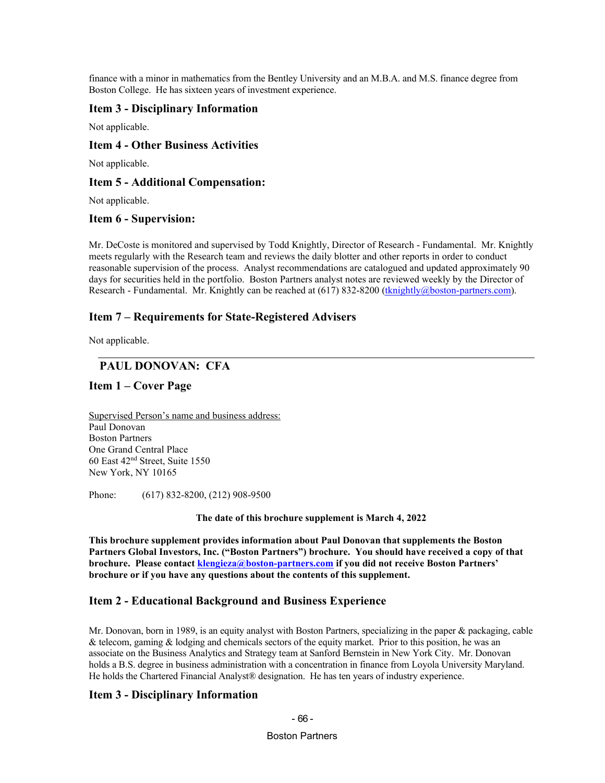finance with a minor in mathematics from the Bentley University and an M.B.A. and M.S. finance degree from Boston College. He has sixteen years of investment experience.

### **Item 3 - Disciplinary Information**

Not applicable.

### **Item 4 - Other Business Activities**

Not applicable.

### **Item 5 - Additional Compensation:**

Not applicable.

### **Item 6 - Supervision:**

Mr. DeCoste is monitored and supervised by Todd Knightly, Director of Research - Fundamental. Mr. Knightly meets regularly with the Research team and reviews the daily blotter and other reports in order to conduct reasonable supervision of the process. Analyst recommendations are catalogued and updated approximately 90 days for securities held in the portfolio. Boston Partners analyst notes are reviewed weekly by the Director of Research - Fundamental. Mr. Knightly can be reached at (617) 832-8200 (*[tknightly@boston-partners.com](mailto:tknightly@robecoinvest.com)*).

## **Item 7 – Requirements for State-Registered Advisers**

Not applicable.

## **PAUL DONOVAN: CFA**

### **Item 1 – Cover Page**

Supervised Person's name and business address: Paul Donovan Boston Partners One Grand Central Place 60 East 42nd Street, Suite 1550 New York, NY 10165

Phone: (617) 832-8200, (212) 908-9500

**The date of this brochure supplement is March 4, 2022**

**This brochure supplement provides information about Paul Donovan that supplements the Boston Partners Global Investors, Inc. ("Boston Partners") brochure. You should have received a copy of that brochure. Please contac[t klengieza@boston-partners.com](mailto:william.butterly@robecoinvest.com) if you did not receive Boston Partners' brochure or if you have any questions about the contents of this supplement.**

## **Item 2 - Educational Background and Business Experience**

Mr. Donovan, born in 1989, is an equity analyst with Boston Partners, specializing in the paper & packaging, cable & telecom, gaming & lodging and chemicals sectors of the equity market. Prior to this position, he was an associate on the Business Analytics and Strategy team at Sanford Bernstein in New York City. Mr. Donovan holds a B.S. degree in business administration with a concentration in finance from Loyola University Maryland. He holds the Chartered Financial Analyst® designation. He has ten years of industry experience.

## **Item 3 - Disciplinary Information**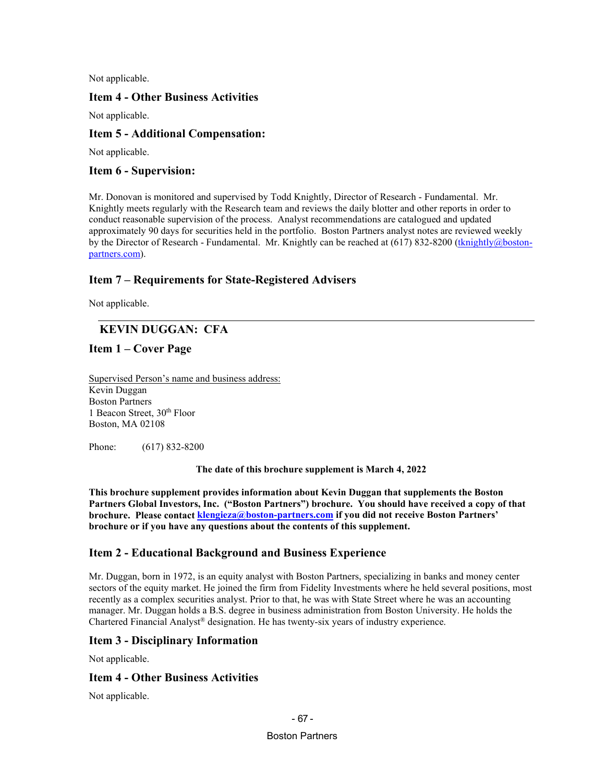Not applicable.

# **Item 4 - Other Business Activities**

Not applicable.

# **Item 5 - Additional Compensation:**

Not applicable.

## **Item 6 - Supervision:**

Mr. Donovan is monitored and supervised by Todd Knightly, Director of Research - Fundamental. Mr. Knightly meets regularly with the Research team and reviews the daily blotter and other reports in order to conduct reasonable supervision of the process. Analyst recommendations are catalogued and updated approximately 90 days for securities held in the portfolio. Boston Partners analyst notes are reviewed weekly by the Director of Research - Fundamental. Mr. Knightly can be reached at (617) 832-8200 (*[tknightly@boston](mailto:tknightly@robecoinvest.com)*[partners.com](mailto:tknightly@robecoinvest.com)).

# **Item 7 – Requirements for State-Registered Advisers**

Not applicable.

# **KEVIN DUGGAN: CFA**

# **Item 1 – Cover Page**

Supervised Person's name and business address: Kevin Duggan Boston Partners 1 Beacon Street, 30<sup>th</sup> Floor Boston, MA 02108

Phone: (617) 832-8200

**The date of this brochure supplement is March 4, 2022**

**This brochure supplement provides information about Kevin Duggan that supplements the Boston Partners Global Investors, Inc. ("Boston Partners") brochure. You should have received a copy of that brochure.** Please contact *[klengieza@boston-partners.com](mailto:william.butterly@robecoinvest.com)* if you did not receive Boston Partners' **brochure or if you have any questions about the contents of this supplement.**

# **Item 2 - Educational Background and Business Experience**

Mr. Duggan, born in 1972, is an equity analyst with Boston Partners, specializing in banks and money center sectors of the equity market. He joined the firm from Fidelity Investments where he held several positions, most recently as a complex securities analyst. Prior to that, he was with State Street where he was an accounting manager. Mr. Duggan holds a B.S. degree in business administration from Boston University. He holds the Chartered Financial Analyst® designation. He has twenty-six years of industry experience.

# **Item 3 - Disciplinary Information**

Not applicable.

# **Item 4 - Other Business Activities**

Not applicable.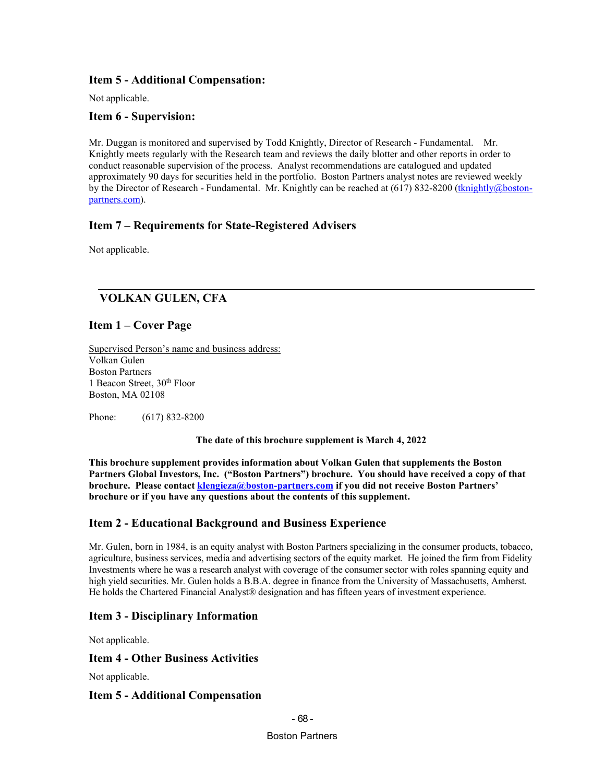# **Item 5 - Additional Compensation:**

Not applicable.

## **Item 6 - Supervision:**

Mr. Duggan is monitored and supervised by Todd Knightly, Director of Research - Fundamental. Mr. Knightly meets regularly with the Research team and reviews the daily blotter and other reports in order to conduct reasonable supervision of the process. Analyst recommendations are catalogued and updated approximately 90 days for securities held in the portfolio. Boston Partners analyst notes are reviewed weekly by the Director of Research - Fundamental. Mr. Knightly can be reached at (617) 832-8200 (*[tknightly@boston](mailto:tknightly@robecoinvest.com)*[partners.com](mailto:tknightly@robecoinvest.com)).

# **Item 7 – Requirements for State-Registered Advisers**

Not applicable.

# **VOLKAN GULEN, CFA**

# **Item 1 – Cover Page**

Supervised Person's name and business address: Volkan Gulen Boston Partners 1 Beacon Street, 30<sup>th</sup> Floor Boston, MA 02108

Phone: (617) 832-8200

**The date of this brochure supplement is March 4, 2022**

**This brochure supplement provides information about Volkan Gulen that supplements the Boston Partners Global Investors, Inc. ("Boston Partners") brochure. You should have received a copy of that brochure. Please contact** *[klengieza@boston-partners.com](mailto:wbutterly@boston-partners.com)* **if you did not receive Boston Partners' brochure or if you have any questions about the contents of this supplement.**

# **Item 2 - Educational Background and Business Experience**

Mr. Gulen, born in 1984, is an equity analyst with Boston Partners specializing in the consumer products, tobacco, agriculture, business services, media and advertising sectors of the equity market. He joined the firm from Fidelity Investments where he was a research analyst with coverage of the consumer sector with roles spanning equity and high yield securities. Mr. Gulen holds a B.B.A. degree in finance from the University of Massachusetts, Amherst. He holds the Chartered Financial Analyst® designation and has fifteen years of investment experience.

# **Item 3 - Disciplinary Information**

Not applicable.

## **Item 4 - Other Business Activities**

Not applicable.

## **Item 5 - Additional Compensation**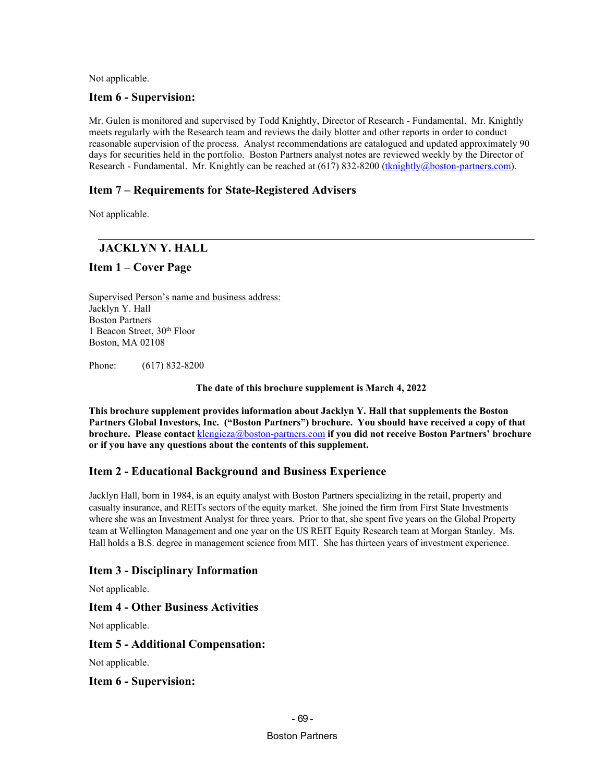Not applicable.

## **Item 6 - Supervision:**

Mr. Gulen is monitored and supervised by Todd Knightly, Director of Research - Fundamental. Mr. Knightly meets regularly with the Research team and reviews the daily blotter and other reports in order to conduct reasonable supervision of the process. Analyst recommendations are catalogued and updated approximately 90 days for securities held in the portfolio. Boston Partners analyst notes are reviewed weekly by the Director of Research - Fundamental. Mr. Knightly can be reached at (617) 832-8200 (*[tknightly@boston-partners.com](mailto:tknightly@robecoinvest.com)*).

# **Item 7 – Requirements for State-Registered Advisers**

Not applicable.

# **JACKLYN Y. HALL**

## **Item 1 – Cover Page**

Supervised Person's name and business address: Jacklyn Y. Hall Boston Partners 1 Beacon Street, 30<sup>th</sup> Floor Boston, MA 02108

Phone: (617) 832-8200

### **The date of this brochure supplement is March 4, 2022**

**This brochure supplement provides information about Jacklyn Y. Hall that supplements the Boston Partners Global Investors, Inc. ("Boston Partners") brochure. You should have received a copy of that brochure. Please contact**  $\frac{\text{klengieza@boston-partners.com}}{\text{partners.com}}$  $\frac{\text{klengieza@boston-partners.com}}{\text{partners.com}}$  $\frac{\text{klengieza@boston-partners.com}}{\text{partners.com}}$  **if you did not receive Boston Partners' brochure or if you have any questions about the contents of this supplement.**

# **Item 2 - Educational Background and Business Experience**

Jacklyn Hall, born in 1984, is an equity analyst with Boston Partners specializing in the retail, property and casualty insurance, and REITs sectors of the equity market. She joined the firm from First State Investments where she was an Investment Analyst for three years. Prior to that, she spent five years on the Global Property team at Wellington Management and one year on the US REIT Equity Research team at Morgan Stanley. Ms. Hall holds a B.S. degree in management science from MIT. She has thirteen years of investment experience.

# **Item 3 - Disciplinary Information**

Not applicable.

## **Item 4 - Other Business Activities**

Not applicable.

## **Item 5 - Additional Compensation:**

Not applicable.

## **Item 6 - Supervision:**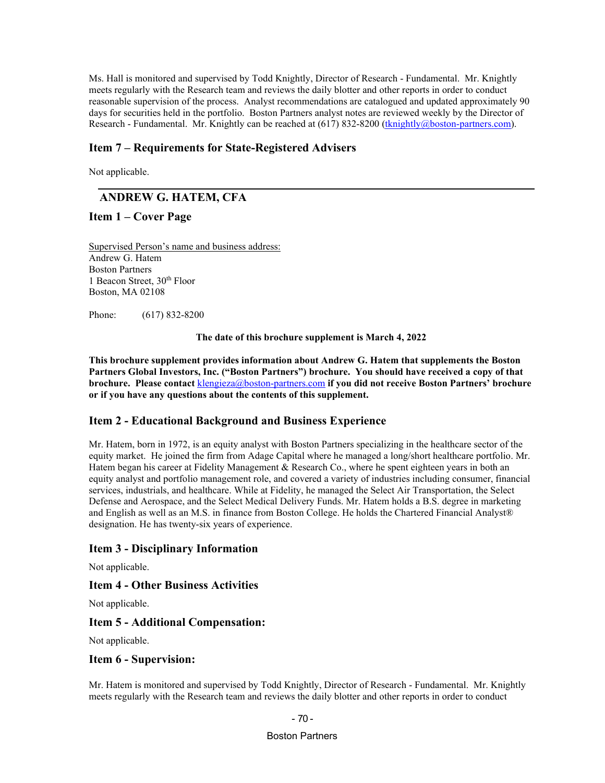Ms. Hall is monitored and supervised by Todd Knightly, Director of Research - Fundamental. Mr. Knightly meets regularly with the Research team and reviews the daily blotter and other reports in order to conduct reasonable supervision of the process. Analyst recommendations are catalogued and updated approximately 90 days for securities held in the portfolio. Boston Partners analyst notes are reviewed weekly by the Director of Research - Fundamental. Mr. Knightly can be reached at (617) 832-8200 (*[tknightly@boston-partners.com](mailto:tknightly@robecoinvest.com)*).

### **Item 7 – Requirements for State-Registered Advisers**

Not applicable.

# **ANDREW G. HATEM, CFA**

## **Item 1 – Cover Page**

Supervised Person's name and business address: Andrew G. Hatem Boston Partners 1 Beacon Street, 30th Floor Boston, MA 02108

Phone: (617) 832-8200

**The date of this brochure supplement is March 4, 2022**

**This brochure supplement provides information about Andrew G. Hatem that supplements the Boston Partners Global Investors, Inc. ("Boston Partners") brochure. You should have received a copy of that brochure. Please contact** [klengieza@boston-partners.com](mailto:klengieza@boston-partners.com) **if you did not receive Boston Partners' brochure or if you have any questions about the contents of this supplement.**

### **Item 2 - Educational Background and Business Experience**

Mr. Hatem, born in 1972, is an equity analyst with Boston Partners specializing in the healthcare sector of the equity market. He joined the firm from Adage Capital where he managed a long/short healthcare portfolio. Mr. Hatem began his career at Fidelity Management & Research Co., where he spent eighteen years in both an equity analyst and portfolio management role, and covered a variety of industries including consumer, financial services, industrials, and healthcare. While at Fidelity, he managed the Select Air Transportation, the Select Defense and Aerospace, and the Select Medical Delivery Funds. Mr. Hatem holds a B.S. degree in marketing and English as well as an M.S. in finance from Boston College. He holds the Chartered Financial Analyst® designation. He has twenty-six years of experience.

### **Item 3 - Disciplinary Information**

Not applicable.

## **Item 4 - Other Business Activities**

Not applicable.

### **Item 5 - Additional Compensation:**

Not applicable.

#### **Item 6 - Supervision:**

Mr. Hatem is monitored and supervised by Todd Knightly, Director of Research - Fundamental. Mr. Knightly meets regularly with the Research team and reviews the daily blotter and other reports in order to conduct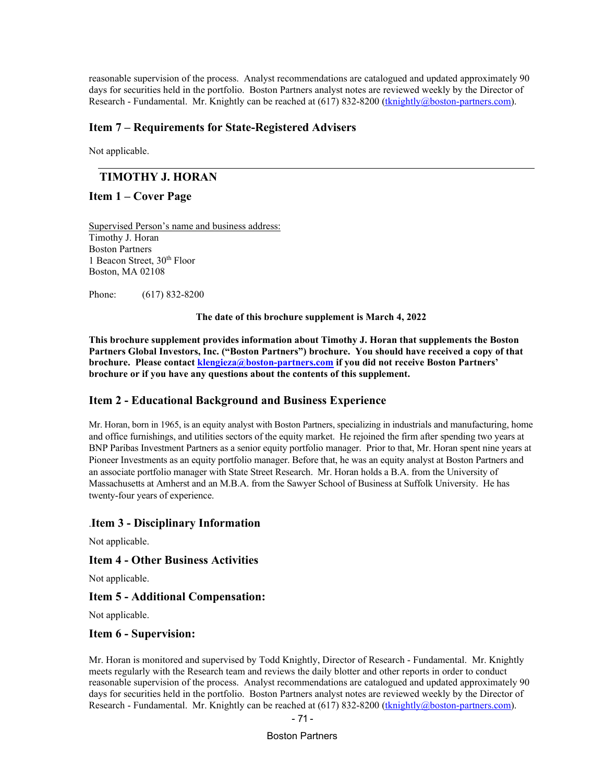reasonable supervision of the process. Analyst recommendations are catalogued and updated approximately 90 days for securities held in the portfolio. Boston Partners analyst notes are reviewed weekly by the Director of Research - Fundamental. Mr. Knightly can be reached at (617) 832-8200 (*[tknightly@boston-partners.com](mailto:tknightly@robecoinvest.com)*).

### **Item 7 – Requirements for State-Registered Advisers**

Not applicable.

# **TIMOTHY J. HORAN**

## **Item 1 – Cover Page**

Supervised Person's name and business address: Timothy J. Horan Boston Partners 1 Beacon Street, 30<sup>th</sup> Floor Boston, MA 02108

Phone: (617) 832-8200

**The date of this brochure supplement is March 4, 2022**

**This brochure supplement provides information about Timothy J. Horan that supplements the Boston Partners Global Investors, Inc. ("Boston Partners") brochure. You should have received a copy of that brochure. Please contac[t klengieza@boston-partners.com](mailto:william.butterly@robecoinvest.com) if you did not receive Boston Partners' brochure or if you have any questions about the contents of this supplement.**

### **Item 2 - Educational Background and Business Experience**

Mr. Horan, born in 1965, is an equity analyst with Boston Partners, specializing in industrials and manufacturing, home and office furnishings, and utilities sectors of the equity market. He rejoined the firm after spending two years at BNP Paribas Investment Partners as a senior equity portfolio manager. Prior to that, Mr. Horan spent nine years at Pioneer Investments as an equity portfolio manager. Before that, he was an equity analyst at Boston Partners and an associate portfolio manager with State Street Research. Mr. Horan holds a B.A. from the University of Massachusetts at Amherst and an M.B.A. from the Sawyer School of Business at Suffolk University. He has twenty-four years of experience.

### .**Item 3 - Disciplinary Information**

Not applicable.

### **Item 4 - Other Business Activities**

Not applicable.

## **Item 5 - Additional Compensation:**

Not applicable.

### **Item 6 - Supervision:**

Mr. Horan is monitored and supervised by Todd Knightly, Director of Research - Fundamental. Mr. Knightly meets regularly with the Research team and reviews the daily blotter and other reports in order to conduct reasonable supervision of the process. Analyst recommendations are catalogued and updated approximately 90 days for securities held in the portfolio. Boston Partners analyst notes are reviewed weekly by the Director of Research - Fundamental. Mr. Knightly can be reached at (617) 832-8200 (*[tknightly@boston-partners.com](mailto:tknightly@robecoinvest.com)*).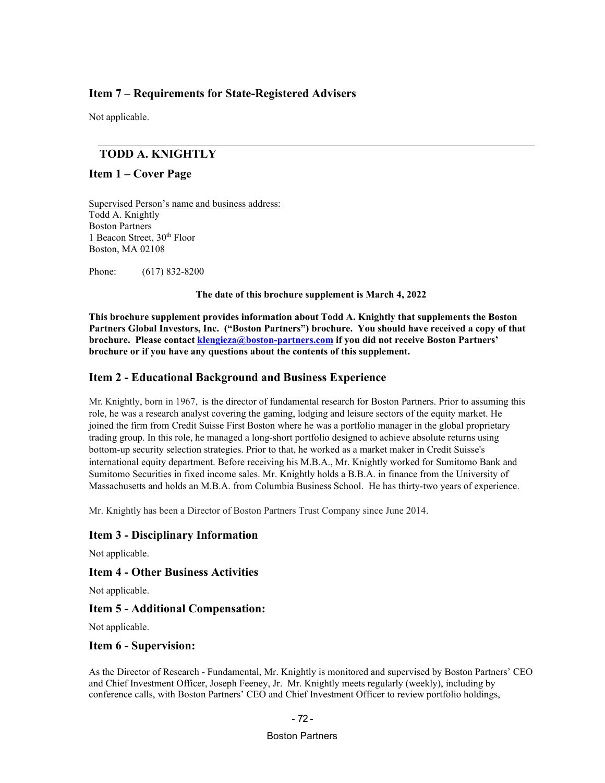# **Item 7 – Requirements for State-Registered Advisers**

Not applicable.

# **TODD A. KNIGHTLY**

### **Item 1 – Cover Page**

Supervised Person's name and business address: Todd A. Knightly Boston Partners 1 Beacon Street, 30<sup>th</sup> Floor Boston, MA 02108

Phone: (617) 832-8200

**The date of this brochure supplement is March 4, 2022**

**This brochure supplement provides information about Todd A. Knightly that supplements the Boston Partners Global Investors, Inc. ("Boston Partners") brochure. You should have received a copy of that brochure.** Please contact *[klengieza@boston-partners.com](mailto:william.butterly@robecoinvest.com)* if you did not receive Boston Partners' **brochure or if you have any questions about the contents of this supplement.**

## **Item 2 - Educational Background and Business Experience**

Mr. Knightly, born in 1967, is the director of fundamental research for Boston Partners. Prior to assuming this role, he was a research analyst covering the gaming, lodging and leisure sectors of the equity market. He joined the firm from Credit Suisse First Boston where he was a portfolio manager in the global proprietary trading group. In this role, he managed a long-short portfolio designed to achieve absolute returns using bottom-up security selection strategies. Prior to that, he worked as a market maker in Credit Suisse's international equity department. Before receiving his M.B.A., Mr. Knightly worked for Sumitomo Bank and Sumitomo Securities in fixed income sales. Mr. Knightly holds a B.B.A. in finance from the University of Massachusetts and holds an M.B.A. from Columbia Business School. He has thirty-two years of experience.

Mr. Knightly has been a Director of Boston Partners Trust Company since June 2014.

## **Item 3 - Disciplinary Information**

Not applicable.

### **Item 4 - Other Business Activities**

Not applicable.

## **Item 5 - Additional Compensation:**

Not applicable.

### **Item 6 - Supervision:**

As the Director of Research - Fundamental, Mr. Knightly is monitored and supervised by Boston Partners' CEO and Chief Investment Officer, Joseph Feeney, Jr. Mr. Knightly meets regularly (weekly), including by conference calls, with Boston Partners' CEO and Chief Investment Officer to review portfolio holdings,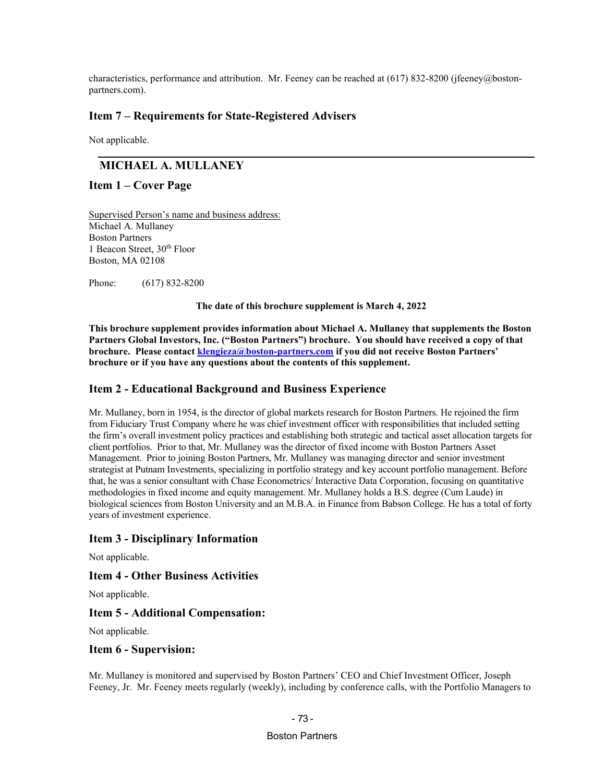characteristics, performance and attribution. Mr. Feeney can be reached at (617) 832-8200 (jfeeney@bostonpartners.com).

# **Item 7 – Requirements for State-Registered Advisers**

Not applicable.

# **MICHAEL A. MULLANEY**

### **Item 1 – Cover Page**

Supervised Person's name and business address: Michael A. Mullaney Boston Partners 1 Beacon Street, 30th Floor Boston, MA 02108

Phone: (617) 832-8200

**The date of this brochure supplement is March 4, 2022**

**This brochure supplement provides information about Michael A. Mullaney that supplements the Boston Partners Global Investors, Inc. ("Boston Partners") brochure. You should have received a copy of that brochure. Please contac[t klengieza@boston-partners.com](mailto:william.butterly@robecoinvest.com) if you did not receive Boston Partners' brochure or if you have any questions about the contents of this supplement.**

## **Item 2 - Educational Background and Business Experience**

Mr. Mullaney, born in 1954, is the director of global markets research for Boston Partners. He rejoined the firm from Fiduciary Trust Company where he was chief investment officer with responsibilities that included setting the firm's overall investment policy practices and establishing both strategic and tactical asset allocation targets for client portfolios. Prior to that, Mr. Mullaney was the director of fixed income with Boston Partners Asset Management. Prior to joining Boston Partners, Mr. Mullaney was managing director and senior investment strategist at Putnam Investments, specializing in portfolio strategy and key account portfolio management. Before that, he was a senior consultant with Chase Econometrics/ Interactive Data Corporation, focusing on quantitative methodologies in fixed income and equity management. Mr. Mullaney holds a B.S. degree (Cum Laude) in biological sciences from Boston University and an M.B.A. in Finance from Babson College. He has a total of forty years of investment experience.

### **Item 3 - Disciplinary Information**

Not applicable.

## **Item 4 - Other Business Activities**

Not applicable.

### **Item 5 - Additional Compensation:**

Not applicable.

### **Item 6 - Supervision:**

Mr. Mullaney is monitored and supervised by Boston Partners' CEO and Chief Investment Officer, Joseph Feeney, Jr. Mr. Feeney meets regularly (weekly), including by conference calls, with the Portfolio Managers to